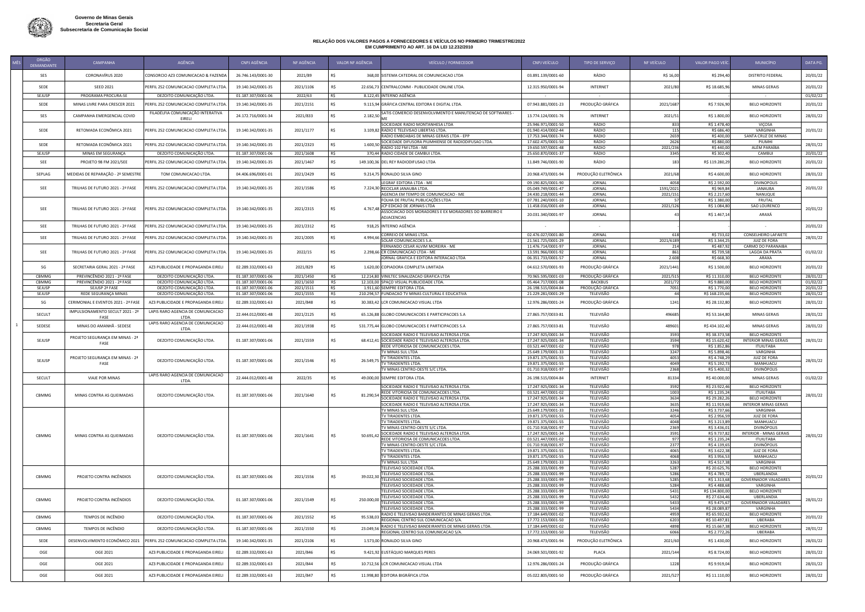

| ORGÃO           |                                               | AGÊNCIA                                                |                                          | NF AGÊNCIA             |               |                                                                                                           |                                          |                                |                       |                                |                                                       |                      |
|-----------------|-----------------------------------------------|--------------------------------------------------------|------------------------------------------|------------------------|---------------|-----------------------------------------------------------------------------------------------------------|------------------------------------------|--------------------------------|-----------------------|--------------------------------|-------------------------------------------------------|----------------------|
| DEMANDANTE      | CAMPANHA                                      |                                                        | <b>CNPJ AGÊNCIA</b>                      |                        |               | VALOR NF AGENCIA<br>VEÍCULO / FORNECEDOR                                                                  | CNPJ VEÍCULO                             | TIPO DE SERVIÇO                | NF VEÍCULO            | VALOR PAGO VEÍ                 | <b>MUNICÍPIO</b>                                      | DATA PG.             |
| SES             | CORONAVÍRUS 2020                              | CONSORCIO AZ3 COMUNICACAO & FAZENDA                    | 26.746.143/0001-30                       | 2021/89                |               | 368,00 SISTEMA CATEDRAL DE COMUNICACAO LTDA                                                               | 03.891.139/0001-60                       | RÁDIO                          | R\$ 16,00             | R\$ 294,40                     | <b>DISTRITO FEDERAL</b>                               | 20/01/22             |
| SEDE            | <b>SEED 2021</b>                              | PERFIL 252 COMUNICACAO COMPLETA LTDA                   | 19.140.342/0001-35                       | 2021/1106              |               | 22.656,73 CENTRALCOMM - PUBLICIDADE ONLINE LTDA.                                                          | 12.315.950/0001-94                       | <b>INTERNET</b>                | 2021/80               | R\$ 18.685,96                  | <b>MINAS GERAIS</b>                                   | 20/01/22             |
| <b>SEJUSP</b>   | PROGRAMA PROCURA-SE                           | DEZOITO COMUNICAÇÃO LTDA                               | 01.187.307/0001-06                       | 2022/63                | R\$           | 8.122,45 INTERNO AGÊNCIA                                                                                  |                                          |                                |                       |                                |                                                       | 01/02/22             |
| SEDE            | MINAS LIVRE PARA CRESCER 2021                 | PERFIL 252 COMUNICACAO COMPLETA LTDA                   | 19.140.342/0001-35                       | 2021/2151              | R\$           | 9.115,94 GRÁFICA CENTRAL EDITORA E DIGITAL LTDA.                                                          | 07.943.881/0001-23                       | PRODUÇÃO GRÁFICA               | 2021/1687             | R\$ 7.926,90                   | <b>BELO HORIZONTE</b>                                 | 20/01/22             |
| SES             | CAMPANHA EMERGENCIAL COVID                    | FILADÉLFIA COMUNICAÇÃO INTERATIVA<br>EIRELI            | 24.172.716/0001-34                       | 2021/833               | R\$           | 2.182,50 SATIS COMERCIO DESENVOLVIMENTO E MANUTENCAO DE SOFTWARES -                                       | 13.774.124/0001-76                       | <b>INTERNET</b>                | 2021/5                | R\$ 1.800,00                   | <b>BELO HORIZONTE</b>                                 | 28/01/22             |
|                 |                                               |                                                        |                                          |                        |               | SOCIEDADE RADIO MONTANHESA LTDA                                                                           | 25.946.971/0001-50                       | RÁDIO                          | 833                   | R\$ 1.478,40                   | <b>VIÇOSA</b>                                         |                      |
| SEDE            | RETOMADA ECONÔMICA 2021                       | PERFIL 252 COMUNICACAO COMPLETA LTDA                   | 19.140.342/0001-35                       | 2021/1177              |               | 3.109,82 RADIO E TELEVISAO LIBERTAS LTDA.<br>RADIO EMBOABAS DE MINAS GERAIS LTDA - EPP                    | 01.940.414/0002-44<br>17.753.344/0001-74 | RÁDIO<br>RÁDIO                 | 115<br>2659           | R\$ 686,4<br>R\$400,00         | VARGINHA<br><b>SANTA CRUZ DE MINAS</b>                | 20/01/22             |
| SEDE            | RETOMADA ECONÔMICA 2021                       | PERFIL 252 COMUNICACAO COMPLETA LTDA                   | 19.140.342/0001-35                       | 2021/2323              |               | SOCIEDADE DIFUSORA PIUMHIENSE DE RADIODIFUSAO LTDA<br>1.600,50<br>RADIO 102 FM LTDA - ME                  | 17.602.475/0001-50                       | RÁDIO<br>RÁDIO                 | 2626                  | R\$ 880,00<br>R\$440,00        | PIUMHI<br>ALÉM PARAÍBA                                | 28/01/22             |
| <b>SEJUSP</b>   | MINAS EM SEGURANÇA                            | DEZOITO COMUNICAÇÃO LTDA.                              | 01.187.307/0001-06                       | 2021/1608              | R\$           | 370,44 RADIO CIDADE DE CAMBUI LTDA.                                                                       | 19.650.597/0001-48<br>25.650.870/0001-37 | RÁDIO                          | 2021/236<br>3345      | R\$ 302,40                     | CAMBUI                                                | 20/01/22             |
| SEE             | PROJETO 98 FM 2021/SEE                        | PERFIL 252 COMUNICACAO COMPLETA LTDA                   | 19.140.342/0001-35                       | 2021/1467              |               | 149.100,36 DEL REY RADIODIFUSAO LTDA                                                                      | 11.849.746/0001-90                       | RÁDIO                          |                       | R\$ 119.280,2                  | <b>BELO HORIZONTE</b>                                 | 20/01/22             |
| SEPLAG          | MEDIDAS DE REPARAÇÃO - 2º SEMESTRE            | TOM COMUNICACAO LTDA.                                  | 04.406.696/0001-01                       | 2021/2429              |               | 9.214,75 RONALDO SILVA GINO                                                                               | 20.968.473/0001-94                       | PRODUÇÃO ELETRÔNICA            | 2021/6                | R\$4.600,00                    | <b>BELO HORIZONTE</b>                                 | 28/01/22             |
|                 |                                               |                                                        |                                          |                        |               | LEGRAF EDITORA LTDA - ME                                                                                  | 09.190.825/0001-90                       | <b>JORNAL</b>                  | 4058                  | R\$ 2.592,00                   | <b>DIVINOPOLIS</b>                                    |                      |
| <b>SEE</b>      | TRILHAS DE FUTURO 2021 - 2ª FASE              | ERFIL 252 COMUNICACAO COMPLETA LTDA                    | 19.140.342/0001-35                       | 2021/1586              |               | 7.224,30 RECICLAR JANAUBA LTDA<br>AGENCIA EM TEMPO DE COMUNICACAO - ME                                    | 05.049.749/0001-47<br>24.430.218/0001-44 | <b>JORNAL</b><br><b>JORNAL</b> | 1591/2021<br>2021/151 | R\$ 969,84<br>R\$ 2.217,60     | JANAUBA<br><b>NANUQUE</b>                             | 20/01/22             |
|                 |                                               |                                                        |                                          |                        |               | FOLHA DE FRUTAL PUBLICAÇÕES LTDA                                                                          | 07.781.240/0001-10                       | <b>JORNAL</b>                  |                       | R\$ 1.380,00                   | <b>FRUTAL</b>                                         |                      |
| SEE             | TRILHAS DE FUTURO 2021 - 2ª FASE              | PERFIL 252 COMUNICACAO COMPLETA LTDA.                  | 19.140.342/0001-35                       | 2021/2315              | R\$           | JCP EDICAO DE JORNAIS LTDA<br>4.767.48 ⊢<br>ASSOCIACAO DOS MORADORES E EX MORADORES DO BARREIRO E         | 11.458.016/0001-69<br>20.031.340/0001-97 | <b>JORNAL</b><br><b>JORNAL</b> | 2021/12               | R\$ 1.084,80<br>R\$ 1.467,14   | SAO LOURENCO<br>ARAXÁ                                 | 20/01/22             |
|                 |                                               |                                                        |                                          |                        |               | ADJACENCIAS                                                                                               |                                          |                                |                       |                                |                                                       |                      |
| <b>SEE</b>      | TRILHAS DE FUTURO 2021 - 2ª FASE              | PERFIL 252 COMUNICACAO COMPLETA LTDA                   | 19.140.342/0001-35                       | 2021/2312              |               | 918,25 INTERNO AGÊNCIA                                                                                    |                                          |                                |                       |                                |                                                       | 20/01/22             |
| <b>SEE</b>      | TRILHAS DE FUTURO 2021 - 2ª FASE              | PERFIL 252 COMUNICACAO COMPLETA LTDA.                  | 19.140.342/0001-35                       | 2021/2005              | R\$           | CORREIO DE MINAS LTDA.<br>4.994,66<br>SOLAR COMUNICACOES S.A.                                             | 02.476.027/0001-80<br>21.561.725/0001-29 | <b>JORNAL</b><br><b>JORNAL</b> | 2021/618              | R\$ 733,02<br>R\$ 3.344,25     | <b>CONSELHEIRO LAFAIETE</b><br><b>JUIZ DE FORA</b>    | 28/01/22             |
| SEE             | TRILHAS DE FUTURO 2021 - 2ª FASE              | PERFIL 252 COMUNICACAO COMPLETA LTDA.                  | 19.140.342/0001-35                       | 2022/15                | -RS           | FERNANDO CESAR ALVIM MOREIRA - ME<br>2.298,66 CR COMUNICACAO LTDA - ME                                    | 11.476.714/0001-97<br>13.591.966/0001-92 | <b>JORNAL</b><br><b>JORNAL</b> |                       | R\$ 487,92<br>R\$ 739,58       | <b>CARMO DO PARANAIBA</b><br>LAGOA DA PRATA           | 01/02/22             |
|                 |                                               |                                                        |                                          |                        |               | JORNAL GRAFICA E EDITORA INTERACAO LTDA                                                                   | 06.351.733/0001-57                       | JORNAL                         | 2.608                 | R\$ 668,30                     | ARAXA                                                 |                      |
| SG              | SECRETARIA GERAL 2021 - 2ª FASE               | AZ3 PUBLICIDADE E PROPAGANDA EIREL                     | 02.289.332/0001-63                       | 2021/829               | R\$           | 1.620,00 COPIADORA COMPLETA LIMITADA                                                                      | 04.612.570/0001-93                       | PRODUÇÃO GRÁFICA               | 2021/1441             | R\$ 1.500,00                   | <b>BELO HORIZONTE</b>                                 | 20/01/22             |
| CBMMG           | PREVINCÊNDIO 2021 - 2ª FASE                   | DEZOITO COMUNICAÇÃO LTDA                               | 01.187.307/0001-06                       | 2021/1450              | R\$           | 12.214,80 VINILTEC SINALIZACAO GRAFICA LTDA                                                               | 70.965.595/0001-03                       | PRODUÇÃO GRÁFICA               | 2021/515              | R\$ 11.310,00                  | <b>BELO HORIZONTE</b>                                 | 28/01/22             |
| CBMMG<br>SEJUSP | PREVINCÊNDIO 2021 - 2ª FASE<br>SEJUSP 2ª FASE | DEZOITO COMUNICAÇÃO LTDA.<br>DEZOITO COMUNICAÇÃO LTDA. | 01.187.307/0001-06<br>01.187.307/0001-06 | 2021/1650              | R\$<br>$R$ \$ | 12.103,00 SPAÇO VISUAL PUBLICIDADE LTDA.<br>1.911,60 SEMPRE EDITORA LTDA.                                 | 05.464.717/0001-08                       | BACKBUS<br>PRODUÇÃO GRÁFICA    | 2021/72               | R\$ 9.880,00<br>R\$ 1.770,00   | <b>BELO HORIZONTE</b><br><b>BELO HORIZONTE</b>        | 01/02/22             |
| SEJUSP          | REDE SEGURANÇA MINAS                          | DEZOITO COMUNICAÇÃO LTDA                               | 01.187.307/0001-06                       | 2021/1511<br>2021/1555 | - RŚ          | 210.294,57 FUNDACAO TV MINAS CULTURAL E EDUCATIVA                                                         | 26.198.515/0004-84<br>21.229.281/0001-29 | TELEVISÃO                      | 7051                  | R\$ 168.235,6                  | <b>BELO HORIZONTE</b>                                 | 20/01/22<br>28/01/22 |
| SG              | CERIMONIAL E EVENTOS 2021 - 2ª FASE           | AZ3 PUBLICIDADE E PROPAGANDA EIRELI                    | 02.289.332/0001-63                       | 2021/848               |               | 30.383,42 LCR COMUNICACAO VISUAL LTDA                                                                     | 12.976.286/0001-24                       | PRODUÇÃO GRÁFICA               | 124.                  | R\$ 28.132,80                  | <b>BELO HORIZONTE</b>                                 | 28/01/22             |
| SECULT          | IMPULSIONAMENTO SECULT 2021 - 2ª              | LAPIS RARO AGENCIA DE COMUNICACAO                      | 22.444.012/0001-48                       | 2021/2125              |               | 65.126,88 GLOBO COMUNICACOES E PARTICIPACOES S.A                                                          | 27.865.757/0033-81                       | TELEVISÃO                      | 496685                | R\$ 53.164,80                  | MINAS GERAIS                                          | 28/01/22             |
|                 | FASE<br>MINAS DO AMANHÃ - SEDESE              | LTDA.<br>LAPIS RARO AGENCIA DE COMUNICACAO             |                                          |                        |               |                                                                                                           |                                          |                                |                       |                                |                                                       |                      |
| SEDESE          |                                               | LTDA.                                                  | 22.444.012/0001-48                       | 2021/1938              |               | 531.775,44 GLOBO COMUNICACOES E PARTICIPACOES S.A<br>SOCIEDADE RADIO E TELEVISAO ALTEROSA LTDA.           | 27.865.757/0033-81<br>17.247.925/0001-34 | TELEVISÃO<br>TELEVISÃO         | 489601<br>3593        | R\$434.102,40<br>R\$ 38.373,58 | MINAS GERAIS<br><b>BELO HORIZONTE</b>                 | 28/01/22             |
| SEJUSP          | PROJETO SEGURANÇA EM MINAS - 2ª<br>FASE       | DEZOITO COMUNICAÇÃO LTDA.                              | 01.187.307/0001-06                       | 2021/1559              |               | 68.412,41 SOCIEDADE RADIO E TELEVISAO ALTEROSA LTDA.                                                      | 17.247.925/0001-34                       | TELEVISÃO                      | 3594                  | R\$ 15.620,4                   | <b>INTERIOR MINAS GERAIS</b>                          | 28/01/22             |
|                 |                                               |                                                        |                                          |                        |               | REDE VITORIOSA DE COMUNICACOES LTDA.<br>TV MINAS SUL LTDA                                                 | 03.521.447/0001-02<br>25.649.179/0001-33 | TELEVISÃO<br>TELEVISÃO         | 978<br>3247           | R\$ 1.852,86<br>R\$ 5.898,46   | <b>ITUIUTABA</b><br>VARGINHA                          |                      |
| SEJUSP          | PROJETO SEGURANÇA EM MINAS - 2ª               | DEZOITO COMUNICAÇÃO LTDA.                              | 01.187.307/0001-06                       | 2021/1546              | R\$           | TV TIRADENTES LTDA.<br>26.549,75                                                                          | 19.871.375/0001-55                       | TELEVISÃO                      | 4053                  | R\$ 4.748,2                    | <b>JUIZ DE FORA</b>                                   | 28/01/22             |
|                 | FASE                                          |                                                        |                                          |                        |               | <b>TV TIRADENTES LTDA.</b><br>TV MINAS CENTRO-OESTE S/C LTDA.                                             | 19.871.375/0001-55<br>01.710.918/0001-97 | TELEVISÃO<br>TELEVISÃO         | 4049<br>2368          | R\$ 5.192,7<br>R\$ 5.400,3     | MANHUACU<br>DIVINÓPOLIS                               |                      |
| <b>SECULT</b>   | <b>VIAJE POR MINAS</b>                        | LAPIS RARO AGENCIA DE COMUNICACAO<br>LTDA.             | 22.444.012/0001-48                       | 2022/35                |               | 49.000,00 SEMPRE EDITORA LTDA.                                                                            | 26.198.515/0004-84                       | INTERNET                       | 81334                 | R\$40.000,00                   | <b>MINAS GERAIS</b>                                   | 01/02/22             |
|                 |                                               |                                                        |                                          |                        |               | SOCIEDADE RADIO E TELEVISAO ALTEROSA LTDA.                                                                | 17.247.925/0001-34                       | TELEVISÃO                      | 3592                  | R\$ 23.922,46                  | <b>BELO HORIZONTE</b>                                 |                      |
| CBMMG           | MINAS CONTRA AS QUEIMADAS                     | DEZOITO COMUNICAÇÃO LTDA.                              | 01.187.307/0001-06                       | 2021/1640              | R\$           | REDE VITORIOSA DE COMUNICACOES LTDA.<br>81.290,54                                                         | 03.521.447/0001-02                       | TELEVISÃO                      | 1003                  | R\$ 1.235,24                   | <b>ITUIUTABA</b>                                      | 28/01/22             |
|                 |                                               |                                                        |                                          |                        |               | SOCIEDADE RADIO E TELEVISAO ALTEROSA LTDA.<br>SOCIEDADE RADIO E TELEVISAO ALTEROSA LTDA.                  | 17.247.925/0001-34<br>17.247.925/0001-34 | TELEVISÃO<br>TELEVISÃO         | 3634<br>3635          | R\$ 29.282,2<br>R\$ 11.919,6   | <b>BELO HORIZONTE</b><br><b>INTERIOR MINAS GERAIS</b> |                      |
|                 |                                               |                                                        |                                          |                        |               | TV MINAS SUL LTDA                                                                                         | 25.649.179/0001-33                       | TELEVISÃO                      | 3246                  | R\$ 3.737,66                   | VARGINHA                                              |                      |
|                 |                                               |                                                        |                                          |                        |               | <b>TV TIRADENTES LTDA.</b>                                                                                | 19.871.375/0001-55                       | <b>TELEVISÃO</b>               | 4054                  | R\$ 2.956,59                   | JUIZ DE FORA                                          |                      |
|                 |                                               |                                                        |                                          |                        |               | <b>TV TIRADENTES LTDA.</b>                                                                                | 19.871.375/0001-55                       | TELEVISÃO                      | 4048                  | R\$ 3.213,89                   | MANHUACU                                              |                      |
|                 |                                               |                                                        |                                          |                        |               | TV MINAS CENTRO-OESTE S/C LTDA.<br>SOCIEDADE RADIO E TELEVISAO ALTEROSA LTDA.                             | 01.710.918/0001-97<br>17.247.925/0001-34 | TELEVISÃO<br>TELEVISÃO         | 2369<br>3591          | R\$ 3.436,01<br>R\$ 9.737,8    | DIVINÓPOLIS<br><b>INTERIOR - MINAS GERAIS</b>         |                      |
| CBMMG           | MINAS CONTRA AS QUEIMADAS                     | DEZOITO COMUNICAÇÃO LTDA.                              | 01.187.307/0001-06                       | 2021/1641              | R\$           | 50.691,42<br>REDE VITORIOSA DE COMUNICACOES LTDA.                                                         | 03.521.447/0001-02                       | TELEVISÃO                      | 977                   | R\$ 1.235,24                   | <b>ITUIUTABA</b>                                      | 28/01/22             |
|                 |                                               |                                                        |                                          |                        |               | TV MINAS CENTRO-OESTE S/C LTDA.                                                                           | 01.710.918/0001-97                       | TELEVISÃO                      | 2377                  | R\$4.139,65                    | DIVINÓPOLIS                                           |                      |
|                 |                                               |                                                        |                                          |                        |               | <b>TV TIRADENTES LTDA.</b><br><b>TV TIRADENTES LTDA.</b>                                                  | 19.871.375/0001-55<br>19.871.375/0001-55 | TELEVISÃO<br>TELEVISÃO         | 4065<br>4068          | R\$ 3.622,38<br>R\$ 3.956,5    | JUIZ DE FORA<br>MANHUACU                              |                      |
|                 |                                               |                                                        |                                          |                        |               | TV MINAS SUL LTDA                                                                                         | 25.649.179/0001-33                       | TELEVISÃO                      | 3263                  | R\$4.517,38                    | VARGINHA                                              |                      |
|                 |                                               |                                                        |                                          |                        |               | TELEVISAO SOCIEDADE LTDA.                                                                                 | 25.288.333/0001-99                       | TELEVISÃO                      | 5287                  | R\$ 20.625,76                  | <b>BELO HORIZONTE</b>                                 |                      |
| CBMMG           | PROJETO CONTRA INCÊNDIOS                      | DEZOITO COMUNICAÇÃO LTDA.                              | 01.187.307/0001-06                       | 2021/1556              | R\$           | TELEVISAO SOCIEDADE LTDA.<br>39.022,30                                                                    | 25.288.333/0001-99                       | TELEVISÃO                      | 5286                  | R\$4.789,72                    | UBERLANDIA                                            | 20/01/22             |
|                 |                                               |                                                        |                                          |                        |               | TELEVISAO SOCIEDADE LTDA.<br>TELEVISAO SOCIEDADE LTDA.                                                    | 25.288.333/0001-99<br>25.288.333/0001-99 | TELEVISÃO<br>TELEVISÃO         | 5285<br>5284          | R\$ 1.313,68<br>R\$4.488,68    | <b>GOVERNADOR VALADARES</b><br>VARGINHA               |                      |
|                 |                                               |                                                        |                                          |                        |               | <b>TELEVISAO SOCIEDADE LTDA.</b>                                                                          | 25.288.333/0001-99                       | TELEVISÃO                      | 5431                  | R\$ 134.800,00                 | <b>BELO HORIZONTE</b>                                 |                      |
| CBMMG           | PROJETO CONTRA INCÊNDIOS                      | DEZOITO COMUNICAÇÃO LTDA.                              | 01.187.307/0001-06                       | 2021/1549              | R\$           | TELEVISAO SOCIEDADE LTDA.<br>250.000,00                                                                   | 25.288.333/0001-99                       | TELEVISÃO                      | 5432                  | R\$ 27.634,46                  | UBERLANDIA                                            | 28/01/22             |
|                 |                                               |                                                        |                                          |                        |               | TELEVISAO SOCIEDADE LTDA.<br><b>TELEVISAO SOCIEDADE LTDA.</b>                                             | 25.288.333/0001-99<br>25.288.333/0001-99 | TELEVISÃO<br><b>TELEVISÃO</b>  | 5433<br>5434          | R\$ 9.475,6<br>R\$ 28.089,87   | <b>GOVERNADOR VALADARES</b><br>VARGINHA               |                      |
|                 |                                               |                                                        |                                          |                        |               | RADIO E TELEVISAO BANDEIRANTES DE MINAS GERAIS LTDA.                                                      | 17.184.649/0001-02                       | TELEVISÃO                      | 4959                  | R\$ 65.932,62                  | <b>BELO HORIZONTE</b>                                 |                      |
| CBMMG           | TEMPOS DE INCÊNDIO                            | DEZOITO COMUNICAÇÃO LTDA.                              | 01.187.307/0001-06                       | 2021/1552              |               | 95.538,0<br>REGIONAL CENTRO SUL COMUNICACAO S/A.                                                          | 17.772.153/0001-50                       | <b>TELEVISÃO</b>               | 6203                  | R\$ 10.497,81                  | UBERABA                                               | 20/01/22             |
| CBMMG           | TEMPOS DE INCÊNDIO                            | DEZOITO COMUNICAÇÃO LTDA.                              | 01.187.307/0001-06                       | 2021/1550              |               | RADIO E TELEVISAO BANDEIRANTES DE MINAS GERAIS LTDA.<br>23.049,56<br>REGIONAL CENTRO SUL COMUNICACAO S/A. | 17.184.649/0001-02<br>17.772.153/0001-50 | TELEVISÃO<br>TELEVISÃO         | 4898<br>6066          | R\$ 15.667,38<br>R\$ 2.772,26  | <b>BELO HORIZONTE</b><br>UBERABA                      | 28/01/22             |
| SEDE            | DESENVOLVIMENTO ECONÔMICO 2021                | PERFIL 252 COMUNICACAO COMPLETA LTDA                   | 19.140.342/0001-35                       | 2021/2106              | R\$           | 1.573,00 RONALDO SILVA GINO                                                                               | 20.968.473/0001-94                       | PRODUÇÃO ELETRÔNICA            | 2021/60               | R\$ 1.430,00                   | <b>BELO HORIZONTE</b>                                 | 28/01/22             |
| OGE             | OGE 2021                                      | AZ3 PUBLICIDADE E PROPAGANDA EIRELI                    | 02.289.332/0001-63                       | 2021/846               |               | 9.421,92 EUSTÁQUIO MARQUES PERES                                                                          | 24.069.501/0001-92                       | PLACA                          | 2021/144              | R\$ 8.724,00                   | <b>BELO HORIZONTE</b>                                 | 28/01/22             |
|                 |                                               |                                                        |                                          |                        |               |                                                                                                           |                                          |                                |                       |                                |                                                       |                      |
| OGE             | OGE 2021                                      | AZ3 PUBLICIDADE E PROPAGANDA EIRELI                    | 02.289.332/0001-63                       | 2021/844               |               | 10.712,56 LCR COMUNICACAO VISUAL LTDA                                                                     | 12.976.286/0001-24                       | PRODUÇÃO GRÁFICA               |                       | R\$ 9.919,04                   | <b>BELO HORIZONTE</b>                                 | 28/01/22             |
| OGE             | OGE 2021                                      | AZ3 PUBLICIDADE E PROPAGANDA EIRELI                    | 02.289.332/0001-63                       | 2021/847               |               | 11.998,80 EDITORA BIGRÁFICA LTDA                                                                          | 05.022.805/0001-50                       | PRODUÇÃO GRÁFICA               | 2021/527              | R\$ 11.110,00                  | <b>BELO HORIZONTE</b>                                 | 28/01/22             |

## **RELAÇÃO DOS VALORES PAGOS A FORNECEDORES E VEÍCULOS NO PRIMEIRO TRIMESTRE/2022 EM CUMPRIMENTO AO ART. 16 DA LEI 12.232/2010**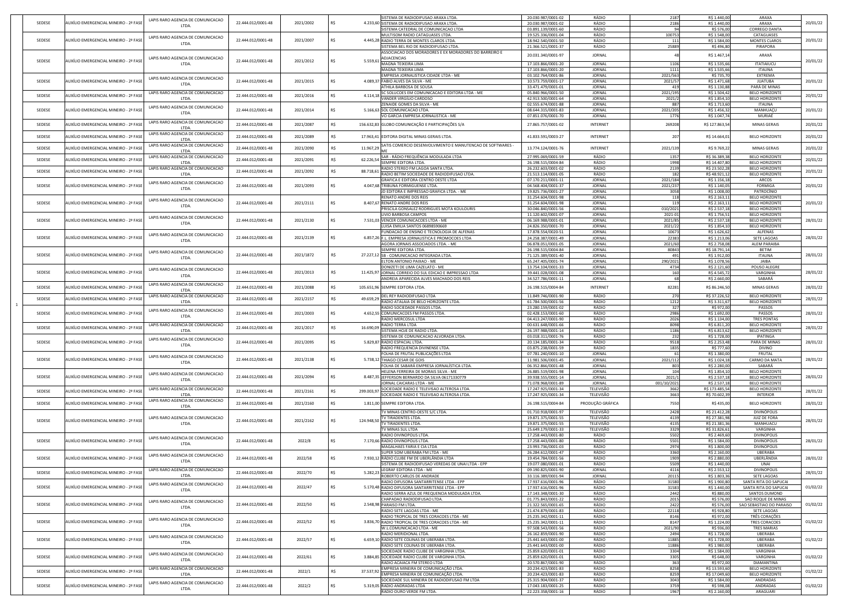| SEDESE |                                                                                     |                    |           |                         |                                                                                             |                                          |                         |                    |                                |                                                |                                                                                                                                                                                              |
|--------|-------------------------------------------------------------------------------------|--------------------|-----------|-------------------------|---------------------------------------------------------------------------------------------|------------------------------------------|-------------------------|--------------------|--------------------------------|------------------------------------------------|----------------------------------------------------------------------------------------------------------------------------------------------------------------------------------------------|
|        | LAPIS RARO AGENCIA DE COMUNICACAO<br>AUXÍLIO EMERGENCIAL MINEIRO - 2ª FASE          |                    | 2021/2002 |                         | SISTEMA DE RADIODIFUSAO ARAXA LTDA.<br>4.233,60 SISTEMA DE RADIODIFUSAO ARAXA LTDA          | 20.030.987/0001-02                       | RÁDIO                   | 2187               | R\$ 1.440,00                   | ARAXA                                          |                                                                                                                                                                                              |
|        | LTDA.                                                                               | 22.444.012/0001-48 |           |                         | <b>SISTEMA CATEDRAL DE COMUNICACAO LTDA</b>                                                 | 20.030.987/0001-02<br>03.891.139/0001-60 | RÁDIO<br>RÁDIO          | 2186               | R\$ 1.440,00<br>R\$ 576,00     | ARAXA<br><b>CORREGO DANTA</b>                  | 20/01/22                                                                                                                                                                                     |
|        |                                                                                     |                    |           |                         | MULTISOM RADIO CATAGUASES LTDA                                                              | 19.525.336/0001-04                       | RÁDIO                   | 100753             | R\$ 1.548,00                   | CATAGUASES                                     |                                                                                                                                                                                              |
| SEDESE | LAPIS RARO AGENCIA DE COMUNICACAO<br>AUXÍLIO EMERGENCIAL MINEIRO - 2ª FASI          | 22.444.012/0001-48 | 2021/2007 |                         | 4.445,28 RADIO TERRA DE MONTES CLAROS LTDA                                                  | 18.942.540/0001-50                       | RÁDIO                   |                    | R\$ 1.584,00                   | <b>MONTES CLAROS</b>                           | 20/01/22                                                                                                                                                                                     |
|        | LTDA.                                                                               |                    |           |                         | SISTEMA BEL RIO DE RADIODIFUSAO LTDA.                                                       | 21.366.521/0001-37                       | RÁDIO                   | 25889              | R\$496,80                      | PIRAPORA                                       |                                                                                                                                                                                              |
|        |                                                                                     |                    |           |                         | ASSOCIACAO DOS MORADORES E EX MORADORES DO BARREIRO E                                       | 20.031.340/0001-97                       | JORNAL                  |                    | R\$ 1.467,14                   | ARAXÁ                                          |                                                                                                                                                                                              |
| SEDESE | LAPIS RARO AGENCIA DE COMUNICACAO<br>AUXÍLIO EMERGENCIAL MINEIRO - 2ª FASI          | 22.444.012/0001-48 | 2021/2012 | -R\$<br>$5.559,61 \div$ | <b>ADJACENCIAS</b>                                                                          |                                          |                         |                    |                                |                                                | 20/01/22                                                                                                                                                                                     |
|        | LTDA.                                                                               |                    |           |                         | MAGNA TEIXEIRA LIMA                                                                         | 17.103.866/0001-20                       | <b>JORNAL</b>           | 1106               | R\$ 1.535,66                   | <b>ITATIAIUCU</b>                              |                                                                                                                                                                                              |
|        |                                                                                     |                    |           |                         | <b>MAGNA TEIXEIRA LIMA</b><br>EMPRESA JORNALISTICA CIDADE LTDA - ME                         | 17.103.866/0001-20<br>03.102.764/0001-86 | JORNAL<br><b>JORNAL</b> | 1111<br>2021/563   | R\$ 1.535,66<br>R\$ 735,70     | <b>ITAUNA</b><br><b>EXTREMA</b>                |                                                                                                                                                                                              |
| SEDESE | LAPIS RARO AGENCIA DE COMUNICACAO<br>AUXÍLIO EMERGENCIAL MINEIRO - 2ª FASE          | 22.444.012/0001-48 | 2021/2015 |                         | 4.089,37 FABIO ALVES DA SILVA - ME                                                          | 10.573.759/0001-17                       | JORNAL                  | 2021/5             | R\$ 1.471,68                   | <b>JUATUBA</b>                                 | 20/01/22                                                                                                                                                                                     |
|        | LTDA.                                                                               |                    |           |                         | <b>ATHILA BARBOSA DE SOUSA</b>                                                              | 33.471.479/0001-01                       | JORNAL                  | 41 <sup>°</sup>    | R\$ 1.130,88                   | PARÁ DE MINAS                                  |                                                                                                                                                                                              |
|        | LAPIS RARO AGENCIA DE COMUNICACAO                                                   |                    |           |                         | SC SOLUCOES EM COMUNICACAO E EDITORA LTDA - ME                                              | 05.840.966/0001-50                       | JORNAL                  | 2021/195           | R\$ 1.504,42                   | <b>BELO HORIZONTE</b>                          |                                                                                                                                                                                              |
| SEDESE | AUXÍLIO EMERGENCIAL MINEIRO - 2ª FASI<br>LTDA.                                      | 22.444.012/0001-48 | 2021/2016 | 4.114,18                | VANDER VIRGÍLIO CARDOSO                                                                     | 42.913.500/0001-64                       | JORNAL                  | 2021/2             | R\$ 1.854,10                   | <b>BELO HORIZONTE</b>                          | 20/01/22                                                                                                                                                                                     |
|        | LAPIS RARO AGENCIA DE COMUNICACAO                                                   |                    |           |                         | <b>ZENAIDE GOMES DA SILVA - ME</b>                                                          | 02.555.674/0001-88                       | JORNAL                  | 887                | R\$ 1.713,60                   | <b>ITAUNA</b>                                  |                                                                                                                                                                                              |
| SEDESE | AUXÍLIO EMERGENCIAL MINEIRO - 2ª FASI<br>LTDA.                                      | 22.444.012/0001-48 | 2021/2014 |                         | 5.166,63 SOL COMUNICACAO LTDA.                                                              | 08.644.315/0001-83                       | JORNAL                  | 2021/205           | R\$ 1.456,32                   | MANHUAÇU                                       | 20/01/22                                                                                                                                                                                     |
|        |                                                                                     |                    |           |                         | VO GARCIA EMPRESA JORNALISTICA - ME                                                         | 07.851.076/0001-70                       | <b>JORNAL</b>           | 1776               | R\$ 1.047,74                   | MURIAÉ                                         |                                                                                                                                                                                              |
| SEDESE | LAPIS RARO AGENCIA DE COMUNICACAO<br>AUXÍLIO EMERGENCIAL MINEIRO - 2ª FASI<br>LTDA. | 22.444.012/0001-48 | 2021/2087 | R\$                     | 156.632,83 GLOBO COMUNICAÇÃO E PARTICIPAÇÕES S/A                                            | 27.865.757/0001-02                       | <b>INTERNET</b>         | 269208             | R\$ 127.863,54                 | <b>MINAS GERAIS</b>                            | 20/01/22                                                                                                                                                                                     |
|        | LAPIS RARO AGENCIA DE COMUNICACAO                                                   |                    |           |                         |                                                                                             |                                          |                         |                    |                                |                                                |                                                                                                                                                                                              |
| SEDESE | AUXÍLIO EMERGENCIAL MINEIRO - 2ª FASE<br>LTDA.                                      | 22.444.012/0001-48 | 2021/2089 |                         | 17.963,41 EDITORA DIGITAL MINAS GERAIS LTDA.                                                | 41.833.591/0003-27                       | <b>INTERNET</b>         |                    | R\$ 14.664,01                  | <b>BELO HORIZONTE</b>                          | 20/01/22                                                                                                                                                                                     |
| SEDESE | LAPIS RARO AGENCIA DE COMUNICACAO<br>AUXÍLIO EMERGENCIAL MINEIRO - 2ª FASI          | 22.444.012/0001-48 | 2021/2090 | 11.967,29               | SATIS COMERCIO DESENVOLVIMENTO E MANUTENCAO DE SOFTWARES -                                  | 13.774.124/0001-76                       | <b>INTERNET</b>         | 2021/139           | R\$ 9.769,22                   | <b>MINAS GERAIS</b>                            | 20/01/22                                                                                                                                                                                     |
|        | LTDA.                                                                               |                    |           |                         |                                                                                             |                                          |                         |                    |                                |                                                |                                                                                                                                                                                              |
| SEDESE | LAPIS RARO AGENCIA DE COMUNICACAO<br>AUXÍLIO EMERGENCIAL MINEIRO - 2ª FASI          | 22.444.012/0001-48 | 2021/2091 | 62.226,54               | SAR - RÁDIO FREQUÊNCIA MODULADA LTDA                                                        | 27.995.069/0001-59                       | RÁDIO                   | 1357               | R\$ 36.389,38                  | <b>BELO HORIZONTE</b>                          | 20/01/22                                                                                                                                                                                     |
|        | LTDA.<br>LAPIS RARO AGENCIA DE COMUNICACAO                                          |                    |           |                         | <b>SEMPRE EDITORA LTDA.</b><br>RADIO STEREO FM LAGOA SANTA LTDA.                            | 26.198.515/0004-84<br>26.232.603/0001-02 | RÁDIO<br>RÁDIO          | 1998<br>2139       | R\$ 14.407,80<br>R\$ 23.502,28 | <b>BELO HORIZONTE</b><br><b>BELO HORIZONTE</b> |                                                                                                                                                                                              |
| SEDESE | AUXÍLIO EMERGENCIAL MINEIRO - 2ª FAS<br>LTDA.                                       | 22.444.012/0001-48 | 2021/2092 | 88.718,61               | RADIO BETIM SOCIEDADE DE RADIODIFUSAO LTDA.                                                 | 21.513.114/0001-05                       | RÁDIO                   | 182                | R\$ 48.921,12                  | <b>BELO HORIZONTE</b>                          | 20/01/22                                                                                                                                                                                     |
|        |                                                                                     |                    |           |                         | <b>GRAFICA E EDITORA CENTRO OESTE LTDA</b>                                                  | 07.170.211/0001-11                       | JORNAL                  | 2021/184           | R\$ 1.156,18                   | ARCOS                                          |                                                                                                                                                                                              |
| SEDESE | LAPIS RARO AGENCIA DE COMUNICACAO<br>AUXÍLIO EMERGENCIAL MINEIRO - 2ª FASI<br>LTDA. | 22.444.012/0001-48 | 2021/2093 |                         | 4.047,68 TRIBUNA FORMIGUENSE LTDA.                                                          | 04.568.404/0001-37                       | <b>JORNAL</b>           | 2021/237           | R\$ 1.140,05                   | <b>FORMIGA</b>                                 | 20/01/22                                                                                                                                                                                     |
|        |                                                                                     |                    |           |                         | JD EDITORA E IMPRESSAO GRAFICA LTDA. - ME                                                   | 19.825.736/0001-27                       | JORNAL                  | 3058               | R\$ 1.008,00                   | PATROCÍNIO                                     |                                                                                                                                                                                              |
|        | LAPIS RARO AGENCIA DE COMUNICACAO                                                   |                    |           |                         | <b>RENATO ANDRE DOS REIS</b>                                                                | 31.254.604/0001-98                       | JORNAL                  |                    | R\$ 2.163,11                   | <b>BELO HORIZONTE</b>                          |                                                                                                                                                                                              |
| SEDESE | AUXÍLIO EMERGENCIAL MINEIRO - 2ª FASI<br>LTDA.                                      | 22.444.012/0001-48 | 2021/2111 | -RS                     | 8.407,67 RENATO ANDRE DOS REIS                                                              | 31.254.604/0001-98                       | JORNAL                  |                    | R\$ 2.163,11                   | <b>BELO HORIZONTE</b>                          | 20/01/22                                                                                                                                                                                     |
|        |                                                                                     |                    |           |                         | <b>PRISCILA GONSALEZ RODRIGUES MOTA KOULOURIS</b><br>LIVIO BARBOSA CAMPOS                   | 30.046.840/0001-56<br>11.120.602/0001-07 | JORNAL<br>JORNAL        | 010/2021           | R\$ 2.537,18                   | <b>BELO HORIZONTE</b><br><b>BELO HORIZONTE</b> |                                                                                                                                                                                              |
| SEDESE | LAPIS RARO AGENCIA DE COMUNICACAO<br>AUXÍLIO EMERGENCIAL MINEIRO - 2ª FASE          | 22.444.012/0001-48 | 2021/2130 |                         | 7.531,03 VENCER COMUNICACOES LTDA - ME                                                      | 06.169.988/0001-01                       | JORNAL                  | 2021-01<br>2021/85 | R\$ 1.756,51<br>R\$ 2.537,18   | <b>BELO HORIZONTE</b>                          | 28/01/22                                                                                                                                                                                     |
|        | LTDA.                                                                               |                    |           |                         | LUISA EMILIA SANTOS 06898590669                                                             | 24.826.350/0001-70                       | JORNAL                  | 2021/22            | R\$ 1.854,10                   | <b>BELO HORIZONTE</b>                          |                                                                                                                                                                                              |
|        |                                                                                     |                    |           |                         | FUNDACAO DE ENSINO E TECNOLOGIA DE ALFENAS                                                  | 17.878.554/0020-51                       | JORNAL                  | 10673              | R\$ 1.626,62                   | ALFENAS                                        |                                                                                                                                                                                              |
| SEDESE | LAPIS RARO AGENCIA DE COMUNICACAO<br>AUXÍLIO EMERGENCIAL MINEIRO - 2ª FASI<br>LTDA. | 22.444.012/0001-48 | 2021/2139 |                         | 6.857,26 F.L. EMPRESA JORNALISTICA E PROMOCOES LTDA                                         | 24.258.387/0001-49                       | JORNAL                  | 22383              | R\$ 1.213,00                   | <b>SETE LAGOAS</b>                             | 28/01/22                                                                                                                                                                                     |
|        |                                                                                     |                    |           |                         | AGORA JORNAIS ASSOCIADOS LTDA. - ME                                                         | 06.878.051/0001-05                       | <b>JORNAL</b>           | 2021/60            | R\$ 2.758,08                   | <b>ALEM PARAIBA</b>                            |                                                                                                                                                                                              |
|        | LAPIS RARO AGENCIA DE COMUNICACAO                                                   |                    |           |                         | <b>SEMPRE EDITORA LTDA.</b>                                                                 | 26.198.515/0004-84                       | JORNAL                  | 80843              | R\$ 18.791,14                  | <b>BETIM</b>                                   |                                                                                                                                                                                              |
| SEDESE | AUXÍLIO EMERGENCIAL MINEIRO - 2ª FASI<br>LTDA.                                      | 22.444.012/0001-48 | 2021/1872 | -R\$                    | 27.227,12 SB - COMUNICACAO INTEGRADA LTDA.                                                  | 71.125.389/0001-40                       | JORNAL                  | 49'                | R\$ 1.912,00                   | <b>ITAUNA</b>                                  | 28/01/22                                                                                                                                                                                     |
|        |                                                                                     |                    |           |                         | ELTON ANTONIO PAIXAO - ME<br>DONIZETI DE LIMA CAZELATO - ME                                 | 65.247.405/0001-74<br>13.754.104/0001-33 | JORNAL<br>JORNAL        | 290/2021<br>4734   | R\$ 1.078,56<br>R\$ 2.121,60   | JAIBA<br>POUSO ALEGRE                          |                                                                                                                                                                                              |
| SEDESE | LAPIS RARO AGENCIA DE COMUNICACAO<br>AUXÍLIO EMERGENCIAL MINEIRO - 2ª FASI          | 22.444.012/0001-48 | 2021/2013 | R\$                     | 11.425,97 JORNAL CORREIO DO SUL EDICAO E IMPRESSAO LTDA                                     | 39.441.028/0001-08                       | JORNAL                  |                    | R\$4.545,72                    | <b>VARGINHA</b>                                | 28/01/22                                                                                                                                                                                     |
|        | LTDA.                                                                               |                    |           |                         | ANDREIA APARECIDA ALVES MACHADO DOS REIS                                                    | 34.527.786/0001-11                       | JORNAL                  |                    | R\$ 2.660,00                   | SABARÁ                                         |                                                                                                                                                                                              |
| SEDESE | LAPIS RARO AGENCIA DE COMUNICACAO<br>AUXÍLIO EMERGENCIAL MINEIRO - 2ª FASE          | 22.444.012/0001-48 | 2021/2088 |                         | 105.651,96 SEMPRE EDITORA LTDA.                                                             | 26.198.515/0004-84                       | INTERNET                | 8228               | R\$ 86.246,50                  | <b>MINAS GERAIS</b>                            | 28/01/22                                                                                                                                                                                     |
|        | LTDA.                                                                               |                    |           | RS.                     |                                                                                             |                                          |                         |                    |                                |                                                |                                                                                                                                                                                              |
| SEDESE | LAPIS RARO AGENCIA DE COMUNICACAO<br>AUXÍLIO EMERGENCIAL MINEIRO - 2ª FAS           | 22.444.012/0001-48 | 2021/2157 | 49.659,29               | DEL REY RADIODIFUSAO LTDA                                                                   | 11.849.746/0001-90                       | RÁDIO                   | 270                | R\$ 37.226,52                  | <b>BELO HORIZONTE</b>                          | 28/01/22                                                                                                                                                                                     |
|        | LTDA.                                                                               |                    |           |                         | RADIO ATALAIA DE BELO HORIZONTE LTDA.<br>RADIO SOCIEDADE PASSOS LTDA                        | 61.784.500/0001-56<br>23.280.159/0001-02 | RÁDIO<br>RÁDIO          | 1212<br>-327       | R\$ 3.311,67<br>R\$ 972,00     | <b>BELO HORIZONTE</b><br>PASSOS                |                                                                                                                                                                                              |
| SEDESE | LAPIS RARO AGENCIA DE COMUNICACAO<br>AUXÍLIO EMERGENCIAL MINEIRO - 2ª FASI          | 22.444.012/0001-48 | 2021/2003 |                         | 4.652,55 COMUNICACOES FM PASSOS LTDA.                                                       | 02.428.153/0001-60                       | RÁDIO                   | 2986               | R\$ 1.692,00                   | <b>PASSOS</b>                                  | 28/01/22                                                                                                                                                                                     |
|        | LTDA.                                                                               |                    |           |                         | <b>RADIO MERCOSUL LTDA</b>                                                                  | 04.413.247/0001-90                       | RÁDIO                   | 2026               | R\$ 1.134,00                   | <b>TRES PONTAS</b>                             |                                                                                                                                                                                              |
|        |                                                                                     |                    |           |                         | <b>RADIO TERRA LTDA</b>                                                                     | 00.631.648/0001-66                       | RÁDIO                   | 8098               | R\$ 6.811,20                   | <b>BELO HORIZONTE</b>                          | 28/01/22                                                                                                                                                                                     |
|        | LAPIS RARO AGENCIA DE COMUNICACAO                                                   |                    |           |                         |                                                                                             |                                          |                         |                    |                                |                                                |                                                                                                                                                                                              |
| SEDESE | AUXÍLIO EMERGENCIAL MINEIRO - 2ª FAS<br>LTDA.                                       | 22.444.012/0001-48 | 2021/2017 | 16.690,09               | SISTEMA HOJE DE RADIO LTDA.                                                                 | 26.197.988/0001-14                       | RÁDIO                   | 1186               | R\$ 6.813,62                   | <b>BELO HORIZONTE</b>                          |                                                                                                                                                                                              |
|        |                                                                                     |                    |           |                         | SISTEMA DE COMUNICACAO ALVORADA LTDA.                                                       | 03.018.311/0001-76                       | RÁDIO                   | 232                | R\$ 1.728,00                   | IPATINGA                                       |                                                                                                                                                                                              |
| SEDESE | LAPIS RARO AGENCIA DE COMUNICACAO<br>AUXÍLIO EMERGENCIAL MINEIRO - 2ª FASI<br>LTDA. | 22.444.012/0001-48 | 2021/2095 |                         | 5.829,87 RADIO ESPACIAL LTDA                                                                | 20.134.185/0001-34                       | RÁDIO                   | 9518               | R\$ 2.253,48                   | PARA DE MINAS                                  |                                                                                                                                                                                              |
|        |                                                                                     |                    |           |                         | RADIO FREQUENCIA DIVINENSE LTDA                                                             | 03.875.238/0001-59                       | RÁDIO                   | 1835               | R\$ 777,60                     | <b>DIVINO</b>                                  |                                                                                                                                                                                              |
|        | LAPIS RARO AGENCIA DE COMUNICACAO<br>AUXÍLIO EMERGENCIAL MINEIRO - 2ª FASE          |                    |           | -RS                     | FOLHA DE FRUTAL PUBLICAÇÕES LTDA                                                            | 07.781.240/0001-10                       | JORNAL<br>JORNAL        |                    | R\$ 1.380,00                   | <b>FRUTAL</b><br><b>CARMO DA MATA</b>          |                                                                                                                                                                                              |
| SEDESE | LTDA.                                                                               | 22.444.012/0001-48 | 2021/2138 |                         | 5.738,12 THIAGO CESAR DE GOIS<br>FOLHA DE SABARÁ EMPRESA JORNALÍSTICA LTDA.                 | 11.981.506/0001-45<br>06.352.866/0001-48 | JORNAL                  | 2021/112           | R\$ 1.024,18<br>R\$ 2.280,00   | SABARÁ                                         |                                                                                                                                                                                              |
|        |                                                                                     |                    |           |                         | HELENA FERREIRA DE MORAIS SILVA - ME                                                        | 26.885.519/0001-98                       | <b>JORNAL</b>           |                    | R\$ 1.854,10                   | <b>BELO HORIZONTE</b>                          |                                                                                                                                                                                              |
| SEDESE | LAPIS RARO AGENCIA DE COMUNICACAO<br>AUXÍLIO EMERGENCIAL MINEIRO - 2ª FASE<br>LTDA. | 22.444.012/0001-48 | 2021/2094 |                         | 8.487,35 JEFFERSON BERNARDO DA SILVA 06171330779                                            | 39.938.555/0001-14                       | <b>JORNAL</b>           | 2021/              | R\$ 2.537,18                   | <b>BELO HORIZONTE</b>                          |                                                                                                                                                                                              |
|        |                                                                                     |                    |           |                         | JORNAL CAICARAS LTDA - ME                                                                   | 71.078.968/0001-89                       | JORNAL                  | 001/10/2021        | R\$ 2.537,18                   | <b>BELO HORIZONTE</b>                          |                                                                                                                                                                                              |
| SEDESE | LAPIS RARO AGENCIA DE COMUNICACAO<br>AUXÍLIO EMERGENCIAL MINEIRO - 2ª FASI          | 22.444.012/0001-48 | 2021/2161 | 299.003,97              | SOCIEDADE RADIO E TELEVISAO ALTEROSA LTDA.                                                  | 17.247.925/0001-34                       | TELEVISÃO               | 3662               | R\$ 173.485,54                 | <b>BELO HORIZONTE</b>                          |                                                                                                                                                                                              |
|        | LTDA.                                                                               |                    |           |                         | SOCIEDADE RADIO E TELEVISAO ALTEROSA LTDA.                                                  | 17.247.925/0001-34                       | TELEVISÃO               | 3663               | R\$ 70.602,39                  | <b>INTERIOR</b>                                |                                                                                                                                                                                              |
| SEDESE | LAPIS RARO AGENCIA DE COMUNICACAO<br>AUXÍLIO EMERGENCIAL MINEIRO - 2ª FASI<br>LTDA. | 22.444.012/0001-48 | 2021/2160 |                         | 1.811,00 SEMPRE EDITORA LTDA.                                                               | 26.198.515/0004-84                       | PRODUÇÃO GRÁFICA        | 7550               | R\$ 435,00                     | <b>BELO HORIZONTE</b>                          |                                                                                                                                                                                              |
|        |                                                                                     |                    |           |                         | TV MINAS CENTRO-OESTE S/C LTDA                                                              | 01.710.918/0001-97                       | TELEVISÃO               | 2428               | R\$ 21.412,28                  | <b>DIVINÓPOLIS</b>                             |                                                                                                                                                                                              |
|        | LAPIS RARO AGENCIA DE COMUNICACAO<br>AUXÍLIO EMERGENCIAL MINEIRO - 2ª FASE          |                    |           | R\$                     | <b>TV TIRADENTES LTDA.</b>                                                                  | 19.871.375/0001-55                       | TELEVISÃO               | 4139               | R\$ 27.381,98                  | <b>JUIZ DE FORA</b>                            |                                                                                                                                                                                              |
| SEDESE | LTDA.                                                                               | 22.444.012/0001-48 | 2021/2162 | 124.948,50              | <b>TV TIRADENTES LTDA.</b>                                                                  | 19.871.375/0001-55                       | TELEVISÃO               | 4135               | R\$ 21.381,36                  | MANHUACU                                       |                                                                                                                                                                                              |
|        |                                                                                     |                    |           |                         | TV MINAS SUL LTDA                                                                           | 25.649.179/0001-33                       | TELEVISÃO               | 3329               | R\$ 31.826,61                  | VARGINHA                                       |                                                                                                                                                                                              |
|        | LAPIS RARO AGENCIA DE COMUNICACAO                                                   |                    |           | -RS                     | <b>RADIO DIVINOPOLIS LTDA.</b>                                                              | 17.258.443/0001-80                       | RÁDIO                   | 5502               | R\$ 2.469,60                   | <b>DIVINOPOLIS</b>                             |                                                                                                                                                                                              |
| SEDESE | AUXÍLIO EMERGENCIAL MINEIRO - 2ª FASI<br>LTDA.                                      | 22.444.012/0001-48 | 2022/8    |                         | 7.170,66 RADIO DIVINOPOLIS LTDA.<br>MAGALHAES FARIA E CIA LTDA                              | 17.258.443/0001-80<br>23.993.736/0001-03 | RÁDIO<br>RÁDIO          | 5501<br>2974       | R\$ 1.584,00<br>R\$ 1.800,00   | <b>DIVINOPOLIS</b><br><b>DIVINOPOLIS</b>       |                                                                                                                                                                                              |
|        |                                                                                     |                    |           |                         | <b>SUPER SOM UBERABA FM LTDA - ME</b>                                                       | 26.284.612/0001-47                       | RÁDIO                   | 3360               | R\$ 2.160,00                   | <b>UBERABA</b>                                 |                                                                                                                                                                                              |
| SEDESE | LAPIS RARO AGENCIA DE COMUNICACAO<br>AUXÍLIO EMERGENCIAL MINEIRO - 2ª FASE          | 22.444.012/0001-48 | 2022/58   | -RS                     | 7.930,12 RÁDIO CLUBE FM DE UBERLÂNDIA LTDA                                                  | 19.454.784/0001-56                       | RÁDIO                   | 1909               | R\$ 2.880,00                   | UBERLÂNDIA                                     |                                                                                                                                                                                              |
|        | LTDA.                                                                               |                    |           |                         | ISISTEMA DE RADIODIFUSAO VEREDAS DE UNAI LTDA - EPP                                         | 19.077.080/0001-01                       | RÁDIO                   | 5509               | R\$ 1.440,00                   | UNAI                                           |                                                                                                                                                                                              |
| SEDESE | LAPIS RARO AGENCIA DE COMUNICACAO<br>AUXÍLIO EMERGENCIAL MINEIRO - 2ª FASE          | 22.444.012/0001-48 | 2022/70   | 5.282,23                | LEGRAF EDITORA LTDA - ME                                                                    | 09.190.825/0001-90                       | JORNAL                  | 4116               | R\$ 2.553,12                   | <b>DIVINOPOLIS</b>                             |                                                                                                                                                                                              |
|        | LTDA.                                                                               |                    |           |                         | <b>ROBERTO CARLOS DE ANDRADE</b>                                                            | 33.116.389/0001-94                       | JORNAL                  | 20115              | R\$ 1.803,36                   | <b>SETE LAGOAS</b>                             |                                                                                                                                                                                              |
| SEDESE | LAPIS RARO AGENCIA DE COMUNICACAO<br>AUXÍLIO EMERGENCIAL MINEIRO - 2ª FASE          | 22.444.012/0001-48 | 2022/47   |                         | RADIO DIFUSORA SANTARRITENSE LTDA - EPP<br>5.170,48 RADIO DIFUSORA SANTARRITENSE LTDA - EPP | 17.937.616/0001-96<br>17.937.616/0001-96 | RÁDIO<br>RÁDIO          | 31580<br>31583     | R\$ 1.900,80<br>R\$ 1.440,00   | SANTA RITA DO SAPUCAI<br>SANTA RITA DO SAPUCAI |                                                                                                                                                                                              |
|        | LTDA.                                                                               |                    |           |                         | RADIO SERRA AZUL DE FREQUENCIA MODULADA LTDA.                                               | 17.143.348/0001-30                       | RÁDIO                   | 2442               | R\$ 880,00                     | <b>SANTOS DUMOND</b>                           |                                                                                                                                                                                              |
|        |                                                                                     |                    |           |                         | CHAPADAO RADIODIFUSAO LTDA.                                                                 | 01.775.843/0001-22                       | RÁDIO                   | 2015               | R\$ 576,00                     | SAO ROQUE DE MINAS                             |                                                                                                                                                                                              |
| SEDESE | LAPIS RARO AGENCIA DE COMUNICACAO<br>AUXÍLIO EMERGENCIAL MINEIRO - 2ª FASE<br>LTDA. | 22.444.012/0001-48 | 2022/50   |                         | 2.548,98 PARAISO FM LTDA.                                                                   | 21.322.565/0001-65                       | RÁDIO                   | 2422               | R\$ 576,00                     | SAO SEBASTIAO DO PARAISO                       |                                                                                                                                                                                              |
|        |                                                                                     |                    |           |                         | RADIO SETE LAGOAS LTDA - ME                                                                 | 21.474.879/0001-83                       | RÁDIO                   | 22118              | R\$ 928,80                     | <b>SETE LAGOAS</b>                             |                                                                                                                                                                                              |
|        | LAPIS RARO AGENCIA DE COMUNICACAO                                                   |                    |           |                         | RADIO TROPICAL DE TRES CORACOES LTDA - ME                                                   | 25.235.342/0001-11                       | RÁDIO                   | 8146               | R\$ 972,00                     | TRÊS CORAÇÕES                                  |                                                                                                                                                                                              |
| SEDESE | AUXÍLIO EMERGENCIAL MINEIRO - 2ª FASE<br>LTDA.                                      | 22.444.012/0001-48 | 2022/52   | -RS                     | 3.836,70 RADIO TROPICAL DE TRES CORACOES LTDA - ME                                          | 25.235.342/0001-11                       | RÁDIO                   | 8147               | R\$ 1.224,00                   | <b>TRES CORACOES</b>                           |                                                                                                                                                                                              |
|        |                                                                                     |                    |           |                         | W.L.COMUNICACAO LTDA - ME<br>RADIO MERIDIONAL LTDA.                                         | 97.508.543/0001-56<br>26.162.859/0001-90 | RÁDIO<br>RÁDIO          | 2021/90<br>2494    | R\$ 936,00<br>R\$ 1.728,00     | <b>TRES MARIAS</b><br><b>UBERABA</b>           |                                                                                                                                                                                              |
| SEDESE | LAPIS RARO AGENCIA DE COMUNICACAO<br>AUXÍLIO EMERGENCIAL MINEIRO - 2ª FASI          | 22.444.012/0001-48 | 2022/57   | -RS                     | 6.659,10 RADIO SETE COLINAS DE UBERABA LTDA.                                                | 25.441.643/0001-00                       | RÁDIO                   | 11885              | R\$ 1.728,00                   | <b>UBERABA</b>                                 |                                                                                                                                                                                              |
|        | LTDA.                                                                               |                    |           |                         | RADIO SETE COLINAS DE UBERABA LTDA.                                                         | 25.441.643/0001-00                       | RÁDIO                   | 11886              | R\$ 1.980,00                   | UBERABA                                        |                                                                                                                                                                                              |
|        | LAPIS RARO AGENCIA DE COMUNICACAO                                                   |                    |           |                         | SOCIEDADE RADIO CLUBE DE VARGINHA LTDA.                                                     | 25.859.620/0001-01                       | RÁDIO                   | 3304               | R\$ 1.584,00                   | VARGINHA                                       |                                                                                                                                                                                              |
| SEDESE | AUXÍLIO EMERGENCIAL MINEIRO - 2ª FASE<br>LTDA.                                      | 22.444.012/0001-48 | 2022/61   | R\$                     | 3.884,85 SOCIEDADE RADIO CLUBE DE VARGINHA LTDA.                                            | 25.859.620/0001-01                       | RÁDIO                   | 3305               | R\$ 648,00                     | VARGINHA                                       |                                                                                                                                                                                              |
|        |                                                                                     |                    |           |                         | IRADIO ACAIACA FM STEREO LTDA                                                               | 20.570.867/0001-90                       | RÁDIO                   | 363                | R\$ 972,00                     | DIAMANTINA                                     |                                                                                                                                                                                              |
| SEDESE | LAPIS RARO AGENCIA DE COMUNICACAO<br>AUXÍLIO EMERGENCIAL MINEIRO - 2ª FASE<br>LTDA. | 22.444.012/0001-48 | 2022/1    | 37.537,92<br>R\$        | EMPRESA MINEIRA DE COMUNICAÇÃO LTDA<br>EMPRESA MINEIRA DE COMUNICAÇÃO LTDA                  | 20.234.423/0001-83                       | RÁDIO<br>RÁDIO          | 8258               | R\$ 13.593,60<br>R\$ 17.049,60 | <b>BELO HORIZONTE</b><br><b>BELO HORIZONTE</b> |                                                                                                                                                                                              |
|        |                                                                                     |                    |           |                         | SOCIEDADE SUL MINEIRA DE RADIODIFUSAO FM LTDA                                               | 20.234.423/0001-83<br>25.315.904/0001-37 | RÁDIO                   | 8259<br>3043       | R\$ 1.584,00                   | ANDRADAS                                       |                                                                                                                                                                                              |
| SEDESE | LAPIS RARO AGENCIA DE COMUNICACAO<br>AUXÍLIO EMERGENCIAL MINEIRO - 2ª FASE<br>LTDA. | 22.444.012/0001-48 | 2022/2    |                         | 5.319,05 RADIO ANDRADAS LTDA                                                                | 17.043.183/0001-25                       | RÁDIO                   | 3759               | R\$ 598,08                     | ANDRADAS                                       | 28/01/22<br>28/01/22<br>28/01/22<br>28/01/22<br>28/01/22<br>28/01/22<br>28/01/22<br>28/01/22<br>28/01/22<br>01/02/22<br>01/02/22<br>01/02/22<br>01/02/22<br>01/02/22<br>01/02/22<br>01/02/22 |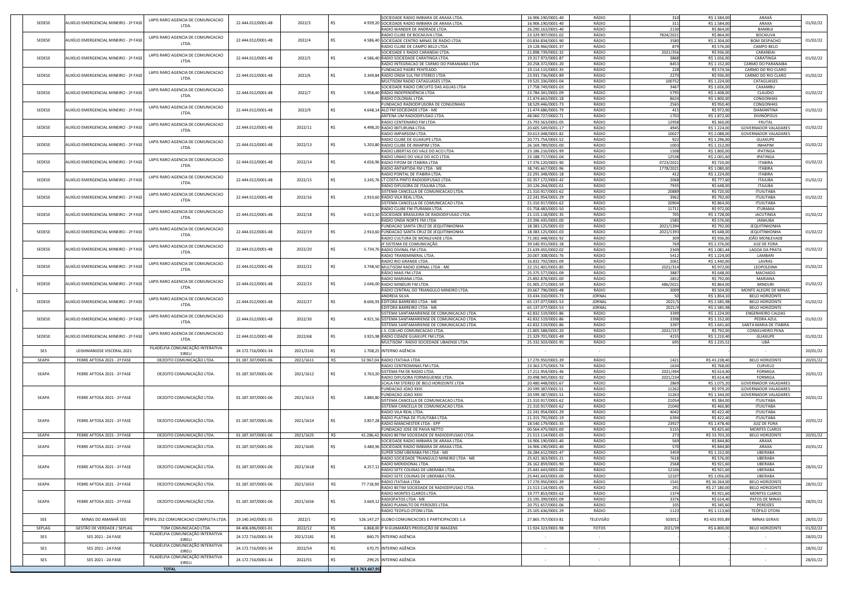|            | LAPIS RARO AGENCIA DE COMUNICACAO                                          |                    |           |                 |                        | SOCIEDADE RADIO IMBIARA DE ARAXA LTDA                 | 16.906.190/0001-40 | RÁDIO         | 310         | R\$ 1.584,00  | ARAXÁ                       |                      |
|------------|----------------------------------------------------------------------------|--------------------|-----------|-----------------|------------------------|-------------------------------------------------------|--------------------|---------------|-------------|---------------|-----------------------------|----------------------|
| SEDESE     | AUXÍLIO EMERGENCIAL MINEIRO - 2ª FASE<br>LTDA.                             | 22.444.012/0001-48 | 2022/3    |                 |                        | 4.939,20 SOCIEDADE RADIO IMBIARA DE ARAXA LTDA        | 16.906.190/0001-40 | RÁDIO         |             | R\$ 1.584,00  | ARAXA                       | 01/02/22             |
|            |                                                                            |                    |           |                 |                        | RADIO WANDER DE ANDRADE LTDA.                         | 26.290.163/0001-40 | RÁDIO         | 2130        | R\$ 864,00    | <b>BAMBUI</b>               |                      |
|            | LAPIS RARO AGENCIA DE COMUNICACAO                                          |                    |           |                 |                        | RADIO CLUBE DE BOCAIUVA LTDA.                         | 23.329.907/0001-02 | RÁDIO         | 7824/2021   | R\$ 864,00    | <b>BOCAIUVA</b>             |                      |
| SEDESE     | AUXÍLIO EMERGENCIAL MINEIRO - 2ª FASE<br>LTDA.                             | 22.444.012/0001-48 | 2022/4    |                 |                        | 4.586,40 SOCIEDADE CENTRO MINAS DE RADIO LTDA         | 03.834.834/0001-90 | RÁDIO         | 3580        | R\$ 2.304,00  | <b>BOM DESPACHO</b>         | 01/02/22             |
|            |                                                                            |                    |           |                 |                        | RADIO CLUBE DE CAMPO BELO LTDA                        | 19.128.966/0001-37 | RÁDIO         |             | R\$ 576,00    | <b>CAMPO BELO</b>           |                      |
|            | LAPIS RARO AGENCIA DE COMUNICACAO                                          |                    |           |                 |                        | SOCIEDADE E RADIO CARANDAI LTDA.                      | 21.898.739/0001-32 | RÁDIO         | 2021/356    | R\$ 936,00    | CARANDAI                    |                      |
| SEDESE     | AUXÍLIO EMERGENCIAL MINEIRO - 2ª FASE                                      | 22.444.012/0001-48 | 2022/5    |                 |                        | 4.586,40 RADIO SOCIEDADE CARATINGA LTDA.              | 19.317.973/0001-87 | RÁDIO         | 3868        | R\$ 1.656,00  | CARATINGA                   | 01/02/22             |
|            | LTDA.                                                                      |                    |           |                 |                        | RADIO INTEGRACAO DE CARMO DO PARANAIBA LTDA           | 20.258.372/0001-20 | RÁDIO         | 8453        | R\$ 1.152,00  | <b>CARMO DO PARANAIBA</b>   |                      |
|            |                                                                            |                    |           |                 |                        | <b>FUNDACAO PADRE PENTEADO</b>                        | 19.114.115/0001-35 | RÁDIO         | 228         | R\$ 574,56    | CARMO DO RIO CLARO          |                      |
| SEDESE     | LAPIS RARO AGENCIA DE COMUNICACAO<br>AUXÍLIO EMERGENCIAL MINEIRO - 2ª FASE | 22.444.012/0001-48 | 2022/6    |                 |                        | 3.349,84 RADIO ONDA SUL FM STEREO LTDA                | 23.931.736/0001-89 | RÁDIO         | 2270        | R\$ 936,00    | CARMO DO RIO CLARO          | 01/02/22             |
|            | LTDA.                                                                      |                    |           |                 |                        | MULTISOM RADIO CATAGUASES LTDA.                       | 19.525.336/0001-04 | RÁDIO         | 100752      | R\$ 1.224,00  | CATAGUASES                  |                      |
|            |                                                                            |                    |           |                 |                        | SOCIEDADE RADIO CIRCUITO DAS AGUAS LTDA               | 17.758.749/0001-03 | RÁDIO         | 3467        | R\$ 1.656,00  | CAXAMBU                     |                      |
| SEDESE     | LAPIS RARO AGENCIA DE COMUNICACAO<br>AUXÍLIO EMERGENCIAL MINEIRO - 2ª FASE | 22.444.012/0001-48 | 2022/7    |                 |                        | 5.958,40 RÁDIO INDEPENDÊNCIA LTDA                     | 23.784.341/0001-09 | RÁDIO         | 5795        | R\$ 1.408,00  | CLAUDIO                     | 01/02/22             |
|            | LTDA.                                                                      |                    |           |                 |                        | RADIO COLONIAL LTDA.                                  | 21.474.663/0001-18 | RÁDIO         | 8624        | R\$ 1.800,00  | CONGONHAS                   |                      |
|            |                                                                            |                    |           |                 |                        | <b>FUNDACAO RADIODIFUSORA DE CONGONHAS</b>            | 18.529.446/0001-73 | RÁDIO         | 2565        | R\$ 950,40    | <b>CONGONHAS</b>            |                      |
| SEDESE     | LAPIS RARO AGENCIA DE COMUNICACAO<br>AUXÍLIO EMERGENCIAL MINEIRO - 2ª FASE | 22.444.012/0001-48 | 2022/9    |                 |                        | 4.648,14 ALO FM SOCIEDADE LTDA - ME                   |                    |               |             |               |                             |                      |
|            | LTDA.                                                                      |                    |           |                 |                        |                                                       | 11.474.686/0001-79 | RÁDIO         |             | R\$ 972,00    | <b>DIAMANTINA</b>           | 01/02/22             |
|            |                                                                            |                    |           |                 |                        | ANTENA UM RADIODIFUSAO LTDA.                          | 48.060.727/0002-71 | RÁDIO         | 1703        | R\$ 1.872,00  | DIVINÓPOLIS                 |                      |
|            | LAPIS RARO AGENCIA DE COMUNICACAO                                          |                    |           |                 |                        | RADIO CENTENARIO FM LTDA                              | 25.793.563/0001-05 | RÁDIO         | 12958       | R\$ 360,00    | <b>FRUTAL</b>               |                      |
| SEDESE     | AUXÍLIO EMERGENCIAL MINEIRO - 2ª FASE<br>LTDA.                             | 22.444.012/0001-48 | 2022/11   |                 |                        | 4.498,20 RADIO IBITURUNA LTDA.                        | 20.605.549/0001-17 | RÁDIO         | 4945        | R\$ 1.224,00  | <b>GOVERNADOR VALADARES</b> | 01/02/22             |
|            |                                                                            |                    |           |                 |                        | RADIO IMPARSOM LTDA.                                  | 20.613.048/0001-82 | RÁDIO         | 10027       | R\$ 2.088,00  | <b>GOVERNADOR VALADARES</b> |                      |
|            | LAPIS RARO AGENCIA DE COMUNICACAO                                          |                    |           |                 |                        | RADIO CLUBE DE GUAXUPE LTDA.                          | 20.771.754/0001-52 | RÁDIO         | 922         | R\$ 1.296,00  | GUAXUPE                     |                      |
| SEDESE     | AUXÍLIO EMERGENCIAL MINEIRO - 2ª FASI<br>LTDA.                             | 22.444.012/0001-48 | 2022/13   |                 |                        | 5.203,80 RADIO CLUBE DE INHAPIM LTDA.                 | 26.169.789/0001-00 | RÁDIO         | 1003        | R\$ 1.152,00  | <b>INHAPIM</b>              | 01/02/22             |
|            |                                                                            |                    |           |                 |                        | RADIO LIBERTAS DO VALE DO ACO LTDA                    | 23.186.216/0001-99 | RÁDIO         | 1508        | R\$ 1.800,00  | <b>IPATINGA</b>             |                      |
|            | LAPIS RARO AGENCIA DE COMUNICACAO                                          |                    |           |                 |                        | RADIO UNIAO DO VALE DO ACO LTDA                       | 23.188.717/0001-04 | RÁDIO         | 12538       | R\$ 2.001,60  | IPATINGA                    |                      |
| SEDESE     | AUXÍLIO EMERGENCIAL MINEIRO - 2ª FASE<br>LTDA.                             | 22.444.012/0001-48 | 2022/14   |                 |                        | 4.656,96 RADIO FIFOM DE ITABIRA LTDA                  | 17.376.120/0001-90 | RÁDIO         | 0723/2021   | R\$ 720,00    | <b>ITABIRA</b>              | 01/02/22             |
|            |                                                                            |                    |           |                 |                        | RADIO ANTARTIDA FM LTDA - ME                          | 38.745.667/0001-96 | RÁDIO         | 1778/2021   | R\$ 1.080,00  | <b>ITABIRA</b>              |                      |
|            |                                                                            |                    |           |                 |                        | RADIO PONTAL DE ITABIRA LTDA.                         | 22.291.348/0001-18 | RÁDIO         |             | R\$ 1.224,00  | <b>ITABIRA</b>              |                      |
| SEDESE     | LAPIS RARO AGENCIA DE COMUNICACAO<br>AUXÍLIO EMERGENCIAL MINEIRO - 2ª FASE | 22.444.012/0001-48 | 2022/15   |                 |                        | 3.245,76 LT COSTA PINTO RADIODIFUSAO LTDA.            | 02.357.172/0001-42 | RÁDIO         | 2068        | R\$ 777,60    | <b>ITAJUBA</b>              | 01/02/22             |
|            | LTDA.                                                                      |                    |           |                 |                        | RADIO DIFUSORA DE ITAJUBA LTDA.                       | 20.126.264/0001-01 | RÁDIO         | 7935        | R\$ 648,00    | <b>ITAJUBA</b>              |                      |
|            |                                                                            |                    |           |                 |                        | SISTEMA CANCELLA DE COMUNICACAO LTDA.                 | 21.310.917/0001-62 | RÁDIO         | 20889       | R\$ 720.00    | <b>ITUIUTABA</b>            |                      |
| SEDESE     | LAPIS RARO AGENCIA DE COMUNICACAO<br>AUXÍLIO EMERGENCIAL MINEIRO - 2ª FASE | 22.444.012/0001-48 | 2022/16   |                 |                        | 2.910,60 RADIO VILA REAL LTDA.                        | 22.241.954/0001-29 | RÁDIO         | 3962        | R\$ 792,00    | <b>ITUIUTABA</b>            | 01/02/22             |
|            | LTDA.                                                                      |                    |           |                 |                        | SISTEMA CANCELLA DE COMUNICACAO LTDA                  | 21.310.917/0001-62 | RÁDIO         | 20904       | R\$ 864,00    | <b>ITUIUTABA</b>            |                      |
|            |                                                                            |                    |           |                 |                        | RADIO CLUBE FM ITURAMA LTDA.                          | 01.758.483/0001-50 | RÁDIO         | 11711       | R\$ 972,00    | ITURAMA                     |                      |
| SEDESE     | LAPIS RARO AGENCIA DE COMUNICACAO<br>AUXÍLIO EMERGENCIAL MINEIRO - 2ª FASI | 22.444.012/0001-48 | 2022/18   |                 |                        | 4.013,10 SOCIEDADE BRASILEIRA DE RADIODIFUSAO LTDA.   | 21.115.118/0001-35 | RÁDIO         |             | R\$ 1.728,00  | <b>JACUTINGA</b>            | 01/02/22             |
|            | LTDA.                                                                      |                    |           |                 |                        |                                                       |                    |               |             |               |                             |                      |
|            |                                                                            |                    |           |                 |                        | RADIO ONDA NORTE FM LTDA                              | 23.396.435/0001-00 | RÁDIO         | 1585        | R\$ 576,00    | JANAUBA                     |                      |
|            | LAPIS RARO AGENCIA DE COMUNICACAO                                          |                    |           |                 |                        | FUNDACAO SANTA CRUZ DE JEQUITINHONHA                  | 18.383.125/0001-03 | RÁDIO         | 2021/1394   | R\$ 792,00    | <b>JEQUITINHONHA</b>        |                      |
| SEDESE     | AUXÍLIO EMERGENCIAL MINEIRO - 2ª FASE<br>LTDA.                             | 22.444.012/0001-48 | 2022/19   |                 |                        | 2.910,60 FUNDACAO SANTA CRUZ DE JEQUITINHONHA         | 18.383.125/0001-03 | RÁDIO         | 2021/139    | R\$ 648,00    | <b>JEQUITINHONHA</b>        | 01/02/22             |
|            |                                                                            |                    |           |                 |                        | RADIO CULTURA DE MONLEVADE LTDA.                      | 71.002.448/0001-92 | RÁDIO         |             | R\$ 936,00    | JOÃO MONLEVADE              |                      |
|            | LAPIS RARO AGENCIA DE COMUNICACAO                                          |                    |           |                 |                        | JF SISTEMA DE COMUNICAÇÃO                             | 39.540.931/0001-18 | RÁDIO         |             | R\$ 2.376,00  | <b>JUIZ DE FORA</b>         |                      |
| SEDESE     | AUXÍLIO EMERGENCIAL MINEIRO - 2ª FASE<br>LTDA.                             | 22.444.012/0001-48 | 2022/20   |                 |                        | 5.734,76 RADIO DIVINAL FM LTDA.                       | 21.639.455/0002-02 | RÁDIO         | 2349        | R\$ 1.081,44  | LAGOA DA PRATA              | 01/02/22             |
|            |                                                                            |                    |           |                 |                        | RADIO TRANSMINERAL LTDA.                              | 20.007.308/0001-76 | RÁDIO         | 5412        | R\$ 1.224,00  | LAMBARI                     |                      |
|            | LAPIS RARO AGENCIA DE COMUNICACAO                                          |                    |           |                 |                        | RADIO RIO GRANDE LTDA.                                | 16.832.792/0001-09 | RÁDIO         | 2061        | R\$ 1.440,00  | LAVRAS                      |                      |
| SEDESE     | AUXÍLIO EMERGENCIAL MINEIRO - 2ª FASE                                      | 22.444.012/0001-48 | 2022/22   |                 |                        | 3.748,50 MULTISOM RADIO JORNAL LTDA - ME              | 22.151.401/0001-85 | RÁDIO         | 2021/314    | R\$ 972,00    | LEOPOLDINA                  | 01/02/22             |
|            | <b>LTDA</b>                                                                |                    |           |                 |                        | RÁDIO MAIS FM LTDA                                    | 25.375.577/0001-09 | RÁDIO         | 3887        | R\$ 648,00    | <b>MACHADO</b>              |                      |
|            |                                                                            |                    |           |                 |                        | RADIO MARIANA LTDA.                                   | 25.892.878/0001-00 | RÁDIO         | 2852        | R\$ 792,00    | MARIANA                     |                      |
| SEDESE     | LAPIS RARO AGENCIA DE COMUNICACAO<br>AUXÍLIO EMERGENCIAL MINEIRO - 2ª FASE | 22.444.012/0001-48 | 2022/23   |                 |                        | 2.646,00 RADIO MINDURI FM LTDA.                       | 01.905.271/0001-59 | RÁDIO         | 486/2021    | R\$ 864,00    | <b>MINDURI</b>              | 01/02/22             |
|            | LTDA.                                                                      |                    |           |                 |                        | RADIO CENTRAL DO TRIANGULO MINEIRO LTDA               | 20.667.796/0001-48 | RÁDIO         | 3009        | R\$ 504,00    | MONTE ALEGRE DE MINAS       |                      |
|            |                                                                            |                    |           |                 |                        | <b>ANDREIA SILVA</b>                                  | 33.434.310/0001-73 | <b>JORNAL</b> |             | R\$ 1.854,10  | <b>BELO HORIZONTE</b>       |                      |
| SEDESE     | LAPIS RARO AGENCIA DE COMUNICACAO<br>AUXÍLIO EMERGENCIAL MINEIRO - 2ª FASI | 22.444.012/0001-48 | 2022/27   |                 |                        | 8.606,93 EDITORA BARREIRO LTDA - ME                   | 65.137.077/0001-53 | <b>JORNAL</b> | 2021/       | R\$ 2.585,98  | <b>BELO HORIZONTE</b>       | 01/02/22             |
|            | LTDA.                                                                      |                    |           |                 |                        | EDITORA BARREIRO LTDA - ME                            | 65.137.077/0001-53 | <b>JORNAL</b> | 2021/4      | R\$ 2.585,98  | <b>BELO HORIZONTE</b>       |                      |
|            |                                                                            |                    |           |                 |                        | SISTEMA SANTAMARIENSE DE COMUNICACAO LTDA.            | 42.832.519/0001-86 | RÁDIO         | 3399        | R\$ 1.224,00  | <b>ENGENHEIRO CALDAS</b>    |                      |
| SEDESE     | LAPIS RARO AGENCIA DE COMUNICACAO<br>AUXÍLIO EMERGENCIAL MINEIRO - 2ª FASE | 22.444.012/0001-48 | 2022/30   |                 |                        | 4.921,56 SISTEMA SANTAMARIENSE DE COMUNICACAO LTDA    | 42.832.519/0001-86 | RÁDIO         | 3398        | R\$ 1.152,00  | PEDRA AZUL                  | 01/02/22             |
|            | LTDA.                                                                      |                    |           |                 |                        |                                                       |                    |               |             |               |                             |                      |
|            |                                                                            |                    |           |                 |                        | SISTEMA SANTAMARIENSE DE COMUNICACAO LTDA.            | 42.832.519/0001-86 | RÁDIO         | 3397        | R\$ 1.641,60  | SANTA MARIA DE ITABIRA      |                      |
|            | LAPIS RARO AGENCIA DE COMUNICACAO                                          |                    |           |                 |                        | J.S. COELHO COMUNICACAO LTDA                          | 21.805.588/0001-20 | RÁDIO         | 2021/157    | R\$ 792,00    | <b>CONSELHEIRO PENA</b>     |                      |
| SEDESE     | AUXÍLIO EMERGENCIAL MINEIRO - 2ª FASE<br>LTDA.                             | 22.444.012/0001-48 | 2022/68   |                 |                        | 3.925,98 RADIO CIDADE GUAXUPE FM LTDA.                | 21.329.701/0001-49 | RÁDIO         | 4155        | R\$ 1.210,40  | <b>GUAXUPE</b>              | 01/02/22             |
|            |                                                                            |                    |           |                 |                        | MULTISOM - RADIO SOCIEDADE UBAENSE LTDA               | 25.332.503/0001-95 | RÁDIO         |             | R\$ 1.235,52  | UBÁ                         |                      |
| <b>SES</b> | FILADÉLFIA COMUNICAÇÃO INTERATIVA<br>LEISHMANIOSE VISCERAL 2021            | 24.172.716/0001-34 | 2021/2141 |                 |                        | 1.708,25 INTERNO AGÊNCIA                              |                    | $\sim$        |             |               |                             | 20/01/22             |
|            | EIRELI                                                                     |                    |           |                 |                        |                                                       |                    |               |             |               |                             |                      |
| SEAPA      | DEZOITO COMUNICAÇÃO LTDA.<br>FEBRE AFTOSA 2021 - 2ª FASE                   | 01.187.307/0001-06 | 2021/1611 | R\$             |                        | 52.967,04 RADIO ITATIAIA LTDA                         | 17.270.950/0001-39 | RÁDIO         | 1421        | R\$43.238,40  | <b>BELO HORIZONTE</b>       | 20/01/22             |
|            |                                                                            |                    |           |                 |                        | RADIO CENTROMINAS FM LTDA.                            | 23.363.575/0001-74 | RÁDIO         | 1634        | R\$ 768,00    | CURVELO                     |                      |
| SEAPA      | DEZOITO COMUNICAÇÃO LTDA.<br>FEBRE AFTOSA 2021 - 2ª FASE                   | 01.187.307/0001-06 | 2021/1612 |                 |                        | $3.763,20$ SISTEMA FM DE RADIO LTDA.                  | 17.211.954/0001-46 | RÁDIO         | 2021/494    | R\$ 614,40    | <b>FORMIGA</b>              | 20/01/22             |
|            |                                                                            |                    |           | כא ו            |                        | RADIO DIFUSORA FORMIGUENSE LTDA                       | 20.498.945/0001-92 | RÁDIO         | 2021/234    | R\$ 614,40    | <b>FORMIGA</b>              |                      |
|            |                                                                            |                    |           |                 |                        | SCALA FM STEREO DE BELO HORIZONTE LTDA                | 20.480.448/0001-67 | RÁDIO         | 2869        | R\$ 1.075,20  | <b>GOVERNADOR VALADARES</b> |                      |
|            |                                                                            |                    |           |                 |                        | FUNDACAO JOAO XXIII                                   | 20.599.387/0001-51 | RÁDIO         | 11262       | R\$ 979,20    | <b>GOVERNADOR VALADARES</b> |                      |
|            |                                                                            |                    |           |                 |                        | <b>FUNDACAO JOAO XXIII</b>                            | 20.599.387/0001-51 | RÁDIO         | 11263       | R\$ 1.344,00  | <b>GOVERNADOR VALADARES</b> |                      |
| SEAPA      | DEZOITO COMUNICAÇÃO LTDA.<br>FEBRE AFTOSA 2021 - 2ª FASE                   | 01.187.307/0001-06 | 2021/1613 |                 | 3.880.80               | <b>ISTEMA CANCELLA DE COMUNICACAO LTDA.</b>           | 21.310.917/0001-62 | RÁDIO         | 21054       | R\$ 384,00    | <b>ITUIUTABA</b>            | 20/01/22             |
|            |                                                                            |                    |           |                 |                        | SISTEMA CANCELLA DE COMUNICACAO LTDA.                 | 21.310.917/0001-62 | RÁDIO         | 21040       | R\$460,80     | <b>ITUIUTABA</b>            |                      |
|            |                                                                            |                    |           |                 |                        | RADIO VILA REAL LTDA.                                 | 22.241.954/0001-29 | RÁDIO         | 4042        | R\$422,40     | <b>ITUIUTABA</b>            |                      |
|            |                                                                            |                    |           |                 |                        | RADIO PLATINA DE ITUIUTABA LTDA.                      | 21.315.791/0001-19 | RÁDIO         | 6394        | R\$422,40     | <b>ITUIUTABA</b>            |                      |
| SEAPA      | DEZOITO COMUNICAÇÃO LTDA.<br>FEBRE AFTOSA 2021 - 2ª FASE                   | 01.187.307/0001-06 | 2021/1614 |                 | 3.857,28               | RADIO MANCHESTER LTDA - EPP                           | 18.540.179/0001-35 | RÁDIO         | 23927       | R\$ 1.478,40  | <b>JUIZ DE FORA</b>         | 20/01/22             |
|            |                                                                            |                    |           |                 |                        | <b>FUNDACAO JOSE DE PAIVA NETTO</b>                   | 00.564.475/0001-00 | RÁDIO         | 5155        | R\$ 825,60    | <b>MONTES CLAROS</b>        |                      |
| SEAPA      | DEZOITO COMUNICAÇÃO LTDA.<br>FEBRE AFTOSA 2021 - 2ª FASE                   | 01.187.307/0001-06 | 2021/1625 | R\$             |                        | 41.286,42 RADIO BETIM SOCIEDADE DE RADIODIFUSAO LTDA. | 21.513.114/0001-05 | RÁDIO         | <b>2731</b> | R\$ 33.703,20 | <b>BELO HORIZONTE</b>       | 20/01/22             |
|            |                                                                            |                    |           |                 |                        | SOCIEDADE RADIO IMBIARA DE ARAXA LTDA                 | 16.906.190/0001-40 | RÁDIO         | 569         | R\$ 844,80    | ARAXÁ                       |                      |
| SEAPA      | DEZOITO COMUNICAÇÃO LTDA.<br>FEBRE AFTOSA 2021 - 2ª FASE                   | 01.187.307/0001-06 | 2021/1645 |                 |                        | 3.480,96 SOCIEDADE RADIO IMBIARA DE ARAXA LTDA        |                    | RÁDIO         | 570l        |               | ARAXA                       | 20/01/22             |
|            |                                                                            |                    |           |                 |                        |                                                       | 16.906.190/0001-40 |               |             | R\$ 844,80    |                             |                      |
|            |                                                                            |                    |           |                 |                        | SUPER SOM UBERABA FM LTDA - ME                        | 26.284.612/0001-47 | RÁDIO         | 3459        | R\$ 1.152,00  | <b>UBERABA</b>              |                      |
|            |                                                                            |                    |           |                 |                        | RADIO SOCIEDADE TRIANGULO MINEIRO LTDA - ME           | 25.421.363/0001-21 | RÁDIO         | 7618        | R\$ 576,00    | UBERABA                     |                      |
| SEAPA      | DEZOITO COMUNICAÇÃO LTDA.<br>FEBRE AFTOSA 2021 - 2ª FASE                   | 01.187.307/0001-06 | 2021/1618 |                 | $4.257,12 \,$ $\vdash$ | RADIO MERIDIONAL LTDA.                                | 26.162.859/0001-90 | RÁDIO         | 2568        | R\$ 921,60    | <b>UBERABA</b>              | 28/01/22             |
|            |                                                                            |                    |           |                 |                        | RADIO SETE COLINAS DE UBERABA LTDA.                   | 25.441.643/0001-00 | RÁDIO         | 12106       | R\$ 921,60    | <b>UBERABA</b>              |                      |
|            |                                                                            |                    |           |                 |                        | RADIO SETE COLINAS DE UBERABA LTDA.                   | 25.441.643/0001-00 | RÁDIO         | 12107       | R\$ 1.056,00  | <b>UBERABA</b>              |                      |
| SEAPA      | DEZOITO COMUNICAÇÃO LTDA.<br>FEBRE AFTOSA 2021 - 2ª FASE                   | 01.187.307/0001-06 | 2021/1653 |                 | 77.718,90              | RADIO ITATIAIA LTDA                                   | 17.270.950/0001-39 | RÁDIO         | 1541        | R\$ 36.264,00 | <b>BELO HORIZONTE</b>       | 28/01/22             |
|            |                                                                            |                    |           |                 |                        | RADIO BETIM SOCIEDADE DE RADIODIFUSAO LTDA            | 21.513.114/0001-05 | RÁDIO         |             | R\$ 27.180,00 | <b>BELO HORIZONTE</b>       |                      |
|            |                                                                            |                    |           |                 |                        | RADIO MONTES CLAROS LTDA.                             | 19.777.853/0001-62 | RÁDIO         | 1374        | R\$ 921,60    | <b>MONTES CLAROS</b>        |                      |
|            |                                                                            |                    |           |                 |                        | <b>RADIOPATOS LTDA - ME</b>                           | 23.195.399/0001-09 | RÁDIO         | 3376        | R\$ 614,40    | PATOS DE MINAS              |                      |
| SEAPA      | DEZOITO COMUNICAÇÃO LTDA.<br>FEBRE AFTOSA 2021 - 2ª FASE                   | 01.187.307/0001-06 | 2021/1656 |                 | 3.669,12               | RADIO PLANALTO DE PERDIZES LTDA.                      | 20.751.657/0001-06 | RÁDIO         |             | R\$ 345,60    | PERDIZES                    | 28/01/22             |
|            |                                                                            |                    |           |                 |                        | RADIO TEOFILO OTONI LTDA.                             | 25.105.636/0001-29 | RÁDIO         | 1123        | R\$ 1.113,60  | <b>TEÓFILO OTONI</b>        |                      |
|            |                                                                            |                    |           |                 |                        |                                                       |                    |               |             |               |                             |                      |
| <b>SEE</b> | MINAS DO AMANHÃ SEE<br>PERFIL 252 COMUNICACAO COMPLETA LTDA                | 19.140.342/0001-35 | 2022/1    |                 |                        | 526.147,27 GLOBO COMUNICACOES E PARTICIPACOES S.A     | 27.865.757/0033-81 | TELEVISÃO     | 503012      | R\$433.935,89 | MINAS GERAIS                | 28/01/22             |
|            |                                                                            |                    |           | R\$             |                        | 6.868,00 P N GUIMARÃES PRODUÇÃO DE IMAGENS            | 11.924.323/0001-98 | <b>FOTOS</b>  | 2021/39     | R\$ 6.800,00  | <b>BELO HORIZONTE</b>       | 01/02/22             |
|            |                                                                            |                    |           |                 |                        |                                                       |                    |               |             |               |                             |                      |
| SEPLAG     | GESTÃO DE VERDADE / SEPLAG<br>TOM COMUNICACAO LTDA.                        | 04.406.696/0001-01 | 2022/12   |                 |                        |                                                       |                    |               |             |               |                             |                      |
| SES        | FILADÉLFIA COMUNICAÇÃO INTERATIVA<br>SES 2021 - 2A FASE                    | 24.172.716/0001-34 | 2021/2181 |                 |                        | 840,75 INTERNO AGÊNCIA                                |                    | $\sim$        |             |               |                             |                      |
|            | <b>EIRELI</b>                                                              |                    |           |                 |                        |                                                       |                    |               |             |               |                             |                      |
| SES        | FILADÉLFIA COMUNICAÇÃO INTERATIVA<br>SES 2021 - 2A FASE                    | 24.172.716/0001-34 | 2022/54   |                 |                        | 670,75 INTERNO AGÊNCIA                                |                    |               |             |               |                             |                      |
|            | EIRELI                                                                     |                    |           |                 |                        |                                                       |                    |               |             |               |                             |                      |
| SES        | FILADÉLFIA COMUNICAÇÃO INTERATIVA<br>SES 2021 - 2A FASE                    | 24.172.716/0001-34 |           | R\$             |                        | 299,25 INTERNO AGÊNCIA                                |                    |               |             |               |                             | 28/01/22<br>28/01/22 |
|            | EIRELI<br><b>TOTAL</b>                                                     |                    | 2022/55   | R\$3.763.667,95 |                        |                                                       |                    |               |             |               |                             | 28/01/22             |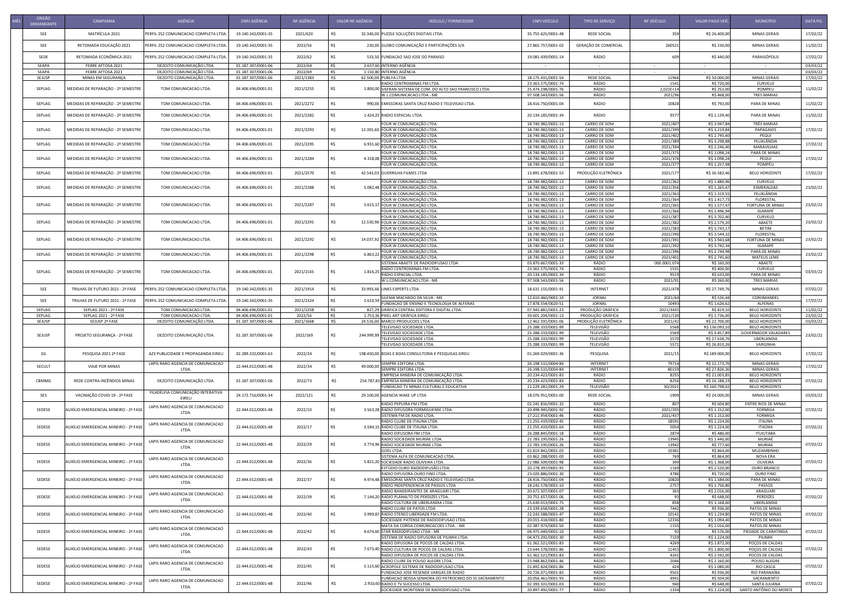| ORGÃO<br><b>DEMANDANTE</b> | <b>CAMPANHA</b>                                | AGÊNCIA                                                | CNPJ AGÊNCIA                             | NF AGÊNCIA           | VALOR NF AGÊNCIA                                                | VEÍCULO / FORNECEDOR                                                                           | CNPJ VEÍCULO                             | TIPO DE SERVIÇO                            | NF VEÍCULO            | <b>VALOR PAGO VEÍC</b>          | MUNICÍPIO                                      | DATA PG.             |
|----------------------------|------------------------------------------------|--------------------------------------------------------|------------------------------------------|----------------------|-----------------------------------------------------------------|------------------------------------------------------------------------------------------------|------------------------------------------|--------------------------------------------|-----------------------|---------------------------------|------------------------------------------------|----------------------|
| <b>SEE</b>                 | MATRÍCULA 2021                                 | PERFIL 252 COMUNICACAO COMPLETA LTDA.                  | 19.140.342/0001-35                       | 2021/620             |                                                                 | 32.340,00 PUZZLE SOLUÇÕES DIGITAIS LTDA.                                                       | 35.755.625/0001-48                       | <b>REDE SOCIAL</b>                         |                       | R\$ 26.400,00                   | <b>MINAS GERAIS</b>                            | 17/02/22             |
| <b>SEE</b>                 | RETOMADA EDUCAÇÃO 2021                         | PERFIL 252 COMUNICACAO COMPLETA LTDA                   | 19.140.342/0001-35                       | 2022/56              |                                                                 | 230,00 GLOBO COMUNICAÇÃO E PARTICIPAÇÕES S/A                                                   | 27.865.757/0001-02                       | GERAÇÃO DE COMERCIAL                       | 260521                | R\$ 230,00                      | <b>MINAS GERAIS</b>                            | 11/02/22             |
| SEDE                       | RETOMADA ECONÔMICA 2021                        | PERFIL 252 COMUNICACAO COMPLETA LTDA                   | 19.140.342/0001-35                       | 2022/62              |                                                                 | 533,50 FUNDACAO SAO JOSE DO PARAISO                                                            | 19.081.439/0001-14                       | RÁDIO                                      |                       | R\$440,00                       | PARAISÓPOLIS                                   | 17/02/22             |
| SEAPA                      | FEBRE AFTOSA 2021                              | DEZOITO COMUNICAÇÃO LTDA.                              | 01.187.307/0001-06                       | 2022/64              | 2.637,60 INTERNO AGÊNCIA<br>R\$                                 |                                                                                                | $\sim$ 100 $\sim$                        | $\sim$ $-$                                 | $\sim$                |                                 | $\sim$ $-$                                     | 03/03/22             |
| SEAPA<br>SEJUSP            | FEBRE AFTOSA 2021<br>MINAS EM SEGURANÇA        | DEZOITO COMUNICAÇÃO LTDA.<br>DEZOITO COMUNICAÇÃO LTDA. | 01.187.307/0001-06<br>01.187.307/0001-06 | 2022/69<br>2021/1383 | R\$<br>1.150,80 INTERNO AGÊNCIA<br>R\$<br>62.500,00 PUBLYA LTDA |                                                                                                | 18.175.431/0001-54                       | $\sim 100$ m $^{-1}$<br><b>REDE SOCIAL</b> | 11966                 | R\$ 50.000,00                   | $\sim$<br><b>MINAS GERAIS</b>                  | 03/03/22<br>17/02/22 |
| SEPLAG                     | MEDIDAS DE REPARAÇÃO - 2º SEMESTRE             | TOM COMUNICACAO LTDA.                                  | 04.406.696/0001-01                       | 2021/2255            |                                                                 | RADIO CENTROMINAS FM LTDA.<br>1.800,00 SISFRAN-SISTEMA DE COM. DO ALTO SAO FRANCISCO LTDA.     | 23.363.575/0001-74<br>25.474.198/0001-76 | RÁDIO<br>RÁDIO                             | 1541<br>2,021E+14     | R\$ 720,00<br>R\$ 252,00        | CURVELO<br>POMPEU                              | 11/02/22             |
|                            |                                                |                                                        |                                          |                      |                                                                 | W.L.COMUNICACAO LTDA - ME                                                                      | 97.508.543/0001-56                       | RÁDIO                                      | 2021/96               | R\$468,00                       | <b>TRES MARIAS</b>                             |                      |
| SEPLAG                     | MEDIDAS DE REPARAÇÃO - 2º SEMESTRE             | TOM COMUNICACAO LTDA.                                  | 04.406.696/0001-01                       | 2021/2272            |                                                                 | 990,00 EMISSORAS SANTA CRUZ RADIO E TELEVISAO LTDA.                                            | 18.416.750/0001-04                       | RÁDIO                                      | 10828                 | R\$ 792,00                      | PARA DE MINAS                                  | 11/02/22             |
| SEPLAG                     | MEDIDAS DE REPARAÇÃO - 2º SEMESTRE             | TOM COMUNICACAO LTDA.                                  | 04.406.696/0001-01                       | 2021/2282            |                                                                 | 1.424,25 RADIO ESPACIAL LTDA.                                                                  | 20.134.185/0001-34                       | RÁDIO                                      | 9577                  | R\$ 1.139,40                    | PARA DE MINAS                                  | 11/02/22             |
| SEPLAG                     | MEDIDAS DE REPARAÇÃO - 2º SEMESTRE             | TOM COMUNICACAO LTDA.                                  | 04.406.696/0001-01                       | 2021/2293            |                                                                 | FOUR W COMUNICAÇÃO LTDA<br>12.391,60 FOUR W COMUNICAÇÃO LTDA                                   | 18.740.982/0001-13                       | CARRO DE SOM                               | 2021/407              | R\$ 3.947,84                    | <b>TRÊS MARIAS</b><br>PAPAGAIOS                |                      |
|                            |                                                |                                                        |                                          |                      |                                                                 | FOUR W COMUNICAÇÃO LTDA                                                                        | 18.740.982/0001-13<br>18.740.982/0001-13 | CARRO DE SOM<br><b>CARRO DE SOM</b>        | 2021/399<br>2021/402  | R\$ 3.219,84<br>R\$ 2.745,60    | PEQUI                                          | 17/02/22             |
| SEPLAG                     | MEDIDAS DE REPARAÇÃO - 2º SEMESTRE             | TOM COMUNICACAO LTDA.                                  | 04.406.696/0001-01                       | 2021/2295            | 6.931,6                                                         | FOUR W COMUNICAÇÃO LTDA<br>FOUR W COMUNICAÇÃO LTDA.                                            | 18.740.982/0001-13<br>18.740.982/0001-13 | CARRO DE SOM<br><b>CARRO DE SOM</b>        | 2021/389<br>2021/394  | R\$ 3.298,88<br>R\$ 2.246,40    | FELIXLÂNDIA<br><b>MARAVILHAS</b>               | 17/02/22             |
| SEPLAG                     | MEDIDAS DE REPARAÇÃO - 2º SEMESTRE             | TOM COMUNICACAO LTDA.                                  | 04.406.696/0001-01                       | 2021/2284            |                                                                 | FOUR W COMUNICAÇÃO LTDA<br>4.318,08 FOUR W COMUNICAÇÃO LTDA                                    | 18.740.982/0001-13<br>18.740.982/0001-13 | CARRO DE SOM<br>CARRO DE SOM               | 2021/375<br>2021/376  | R\$ 1.098,24<br>R\$ 1.098,24    | PARÁ DE MINAS<br>PEQUI                         | 17/02/22             |
|                            |                                                |                                                        |                                          |                      |                                                                 | FOUR W COMUNICAÇÃO LTDA                                                                        | 18.740.982/0001-13                       | CARRO DE SOM                               | 2021/377              | R\$ 1.257,98                    | POMPÉU                                         |                      |
| SEPLAG                     | MEDIDAS DE REPARAÇÃO - 2º SEMESTRE             | TOM COMUNICACAO LTDA.                                  | 04.406.696/0001-01                       | 2021/2570            | R\$                                                             | 42.543,03 GUERRILHA FILMES LTDA                                                                | 13.891.678/0001-53                       | PRODUÇÃO ELETRÔNICA                        | 2021/177              | R\$ 36.582,46                   | <b>BELO HORIZONTE</b>                          | 17/02/22             |
| SEPLAG                     | MEDIDAS DE REPARAÇÃO - 2º SEMESTRE             | TOM COMUNICACAO LTDA.                                  | 04.406.696/0001-01                       | 2021/2288            |                                                                 | FOUR W COMUNICAÇÃO LTDA<br>5.082,48 FOUR W COMUNICAÇÃO LTDA                                    | 18.740.982/0001-13<br>18.740.982/0001-13 | CARRO DE SOM<br>CARRO DE SOM               | 2021/362<br>2021/356  | R\$ 1.480,96<br>R\$ 1.265,47    | CURVELO<br>ESMERALDAS                          | 23/02/22             |
|                            |                                                |                                                        |                                          |                      |                                                                 | FOUR W COMUNICAÇÃO LTDA<br>FOUR W COMUNICAÇÃO LTDA                                             | 18.740.982/0001-13<br>18.740.982/0001-13 | CARRO DE SOM<br><b>CARRO DE SOM</b>        | 2021/363<br>2021/364  | R\$ 1.319,55<br>R\$ 1.417,73    | FELIXLANDIA<br><b>FLORESTAL</b>                |                      |
| SEPLAG                     | MEDIDAS DE REPARAÇÃO - 2º SEMESTRE             | TOM COMUNICACAO LTDA.                                  | 04.406.696/0001-01                       | 2021/2287            |                                                                 | 5.615,17 FOUR W COMUNICAÇÃO LTDA                                                               | 18.740.982/0001-13                       | <b>CARRO DE SOM</b>                        | 2021/365              | R\$ 1.577,47                    | <b>FORTUNA DE MINAS</b>                        | 23/02/22             |
|                            |                                                |                                                        |                                          |                      |                                                                 | FOUR W COMUNICAÇÃO LTDA<br>FOUR W COMUNICAÇÃO LTDA                                             | 18.740.982/0001-13<br>18.740.982/0001-13 | CARRO DE SOM<br>CARRO DE SOM               | 2021/366<br>2021/387  | R\$ 1.496,94<br>R\$ 3.702,40    | IGARAPÉ<br>CURVELO                             |                      |
| SEPLAG                     | MEDIDAS DE REPARAÇÃO - 2º SEMESTRE             | TOM COMUNICACAO LTDA.                                  | 04.406.696/0001-01                       | 2021/2291            | R\$                                                             | 12.530,96 FOUR W COMUNICAÇÃO LTDA<br>FOUR W COMUNICAÇÃO LTDA                                   | 18.740.982/0001-13<br>18.740.982/0001-13 | CARRO DE SOM<br><b>CARRO DE SOM</b>        | 2021/382<br>2021/383  | R\$ 2.579,20<br>R\$ 3.743,17    | ABAETE<br><b>BETIM</b>                         | 23/02/22             |
|                            |                                                |                                                        |                                          |                      |                                                                 | FOUR W COMUNICAÇÃO LTDA                                                                        | 18.740.982/0001-13                       | <b>CARRO DE SOM</b>                        | 2021/390              | R\$ 3.544,32                    | <b>FLORESTAL</b>                               |                      |
| SEPLAG                     | MEDIDAS DE REPARAÇÃO - 2º SEMESTRE             | TOM COMUNICACAO LTDA.                                  | 04.406.696/0001-01                       | 2021/2292            | R\$                                                             | 14.037,92 FOUR W COMUNICAÇÃO LTDA<br>FOUR W COMUNICAÇÃO LTDA                                   | 18.740.982/0001-13<br>18.740.982/0001-13 | CARRO DE SOM<br>CARRO DE SOM               | 2021/391<br>2021/392  | R\$ 3.943,68<br>R\$ 3.742,34    | <b>FORTUNA DE MINAS</b><br>IGARAPÉ             | 23/02/22             |
| SEPLAG                     | MEDIDAS DE REPARAÇÃO - 2º SEMESTRE             | TOM COMUNICACAO LTDA.                                  | 04.406.696/0001-01                       | 2021/2298            | 6.863,22                                                        | FOUR W COMUNICAÇÃO LTDA<br>FOUR W COMUNICAÇÃO LTDA                                             | 18.740.982/0001-13<br>18.740.982/0001-13 | CARRO DE SOM<br>CARRO DE SOM               | 2021/396<br>2021/401  | R\$ 2.744,98<br>R\$ 2.745,60    | PARÁ DE MINAS<br><b>MATEUS LEME</b>            | 23/02/22             |
|                            |                                                |                                                        |                                          |                      |                                                                 | SISTEMA ABAETE DE RADIODIFUSAO LTDA<br>RADIO CENTROMINAS FM LTDA.                              | 03.870.667/0001-33<br>23.363.575/0001-74 | RÁDIO<br>RÁDIO                             | 000.0001.074          | R\$ 160,00<br>R\$400,00         | ABAETE<br>CURVELO                              |                      |
| SEPLAG                     | MEDIDAS DE REPARAÇÃO - 2º SEMESTRE             | TOM COMUNICACAO LTDA.                                  | 04.406.696/0001-01                       | 2021/2165            | 1.816,25                                                        | RADIO ESPACIAL LTDA.                                                                           | 20.134.185/0001-34                       | RÁDIO                                      | 1531<br>9519          | R\$ 633,00                      | PARA DE MINAS                                  | 03/03/22             |
|                            |                                                |                                                        |                                          |                      |                                                                 | W.L.COMUNICACAO LTDA - ME                                                                      | 97.508.543/0001-56                       | RÁDIO                                      | 2021/91               | R\$ 260,00                      | <b>TRES MARIAS</b>                             |                      |
| <b>SEE</b>                 | TRILHAS DE FUTURO 2021 - 2ª FASE               | PERFIL 252 COMUNICACAO COMPLETA LTDA                   | 19.140.342/0001-35                       | 2021/1914            | 33.993,46 LINKS EXPERTS LTDA.<br>R\$                            | SILENIA MACHADO DA SILVA - ME                                                                  | 18.631.155/0001-91<br>12.610.460/0001-10 | <b>INTERNET</b><br><b>JORNAL</b>           | 2021/478<br>2021/64   | R\$ 27.749,76<br>R\$ 526,44     | MINAS GERAIS<br>COROMANDEL                     | 07/02/22             |
| <b>SEE</b>                 | TRILHAS DE FUTURO 2021 - 2ª FASE               | PERFIL 252 COMUNICACAO COMPLETA LTDA.                  | 19.140.342/0001-35                       | 2021/2324            | 2.610,5                                                         | FUNDACAO DE ENSINO E TECNOLOGIA DE ALFENAS                                                     | 17.878.554/0020-51                       | JORNAL                                     | 10493                 | R\$ 1.626,62                    | ALFENAS                                        | 17/02/22             |
| SEPLAG<br>SEPLAG           | SEPLAG 2021 - 2ª FASE<br>SEPLAG 2021 - 2ª FASE | TOM COMUNICACAO LTDA.<br>TOM COMUNICACAO LTDA.         | 04.406.696/0001-01<br>04.406.696/0001-01 | 2021/2258<br>2022/56 | R\$<br>R\$                                                      | 827.29 GRÁFICA CENTRAL EDITORA E DIGITAL LTDA<br>1.753,36 PIXEL ART GRÁFICA EIRELI             | 07.943.881/0001-23<br>39.601.204/0001-13 | PRODUÇÃO GRÁFICA<br>PRODUÇÃO GRÁFICA       | 2021/3435<br>2021/130 | R\$ 819,10<br>R\$ 1.736,00      | <b>BELO HORIZONTE</b><br><b>BELO HORIZONTE</b> | 11/02/22<br>23/02/22 |
| SEJUSP                     | SEJUSP 2ª FASE                                 | DEZOITO COMUNICAÇÃO LTDA.                              | 01.187.307/0001-06                       | 2021/1668            | R\$                                                             | 24.516,00 MARCO PRODUCOES LTDA<br>TELEVISAO SOCIEDADE LTDA.                                    | 12.462.591/0001-06<br>25.288.333/0001-99 | PRODUÇÃO ELETRÔNICA<br>TELEVISÃO           | 2021/42<br>5568       | R\$ 22.700,00<br>R\$ 136.093,10 | <b>BELO HORIZONTE</b><br><b>BELO HORIZONTE</b> | 03/03/22             |
| SEJUSP                     | PROJETO SEGURANÇA - 2ª FASE                    | DEZOITO COMUNICAÇÃO LTDA.                              | 01.187.307/0001-06                       | 2022/169             | 244.999,99                                                      | TELEVISAO SOCIEDADE LTDA.                                                                      | 25.288.333/0001-99                       | TELEVISÃO                                  | 5569                  | R\$ 9.457,89                    | <b>GOVERNADOR VALADARES</b>                    | 23/02/22             |
|                            |                                                |                                                        |                                          |                      |                                                                 | TELEVISAO SOCIEDADE LTDA.<br>TELEVISAO SOCIEDADE LTDA.                                         | 25.288.333/0001-99<br>25.288.333/0001-99 | TELEVISÃO<br>TELEVISÃO                     | 5570<br>5571          | R\$ 27.638,76<br>R\$ 26.810,26  | UBERLANDIA<br>VARGINHA                         |                      |
| SG                         | PESQUISA 2021 2ª FASE                          | AZ3 PUBLICIDADE E PROPAGANDA EIRELI                    | 02.289.332/0001-63                       | 2022/24              |                                                                 | 198.450,00 BOAS E BOAS CONSULTORIA E PESQUISAS EIRELI                                          | 01.269.029/0001-36                       | PESQUISA                                   | 2021/15               | R\$ 189.000,00                  | <b>BELO HORIZONTE</b>                          | 17/02/22             |
| SECULT                     | VIAJE POR MINAS                                | LAPIS RARO AGENCIA DE COMUNICACAO                      | 22.444.012/0001-48                       | 2022/34              | 49.000,00                                                       | SEMPRE EDITORA LTDA.                                                                           | 26.198.515/0004-84                       | <b>INTERNET</b>                            | 79714                 | R\$ 12.173,70                   | <b>MINAS GERAIS</b>                            | 17/02/22             |
|                            |                                                | LTDA.                                                  |                                          |                      |                                                                 | <b>SEMPRE EDITORA LTDA.</b><br>EMPRESA MINEIRA DE COMUNICAÇÃO LTDA.                            | 26.198.515/0004-84<br>20.234.423/0001-83 | <b>INTERNET</b><br>RÁDIO                   | 80159<br>8255         | R\$ 27.826,30<br>R\$ 21.003,85  | <b>MINAS GERAIS</b><br><b>BELO HORIZONTE</b>   |                      |
| CBMMG                      | REDE CONTRA INCÊNDIOS MINAS                    | DEZOITO COMUNICAÇÃO LTDA.                              | 01.187.307/0001-06                       | 2022/73              | R\$                                                             | 254.787,83 EMPRESA MINEIRA DE COMUNICAÇÃO LTDA.<br>FUNDACAO TV MINAS CULTURAL E EDUCATIVA      | 20.234.423/0001-83<br>21.229.281/0001-29 | RÁDIO<br>TELEVISÃO                         | 8256<br>50/2021       | R\$ 26.188,19<br>R\$ 160.798,02 | <b>BELO HORIZONTE</b><br><b>BELO HORIZONTE</b> | 07/02/22             |
| <b>SES</b>                 | VACINAÇÃO COVID-19 - 2ª FASE                   | FILADÉLFIA COMUNICAÇÃO INTERATIVA<br><b>EIRELI</b>     | 24.172.716/0001-34                       | 2022/121             |                                                                 | 29.100,00 AGENCIA WAKE UP LTDA                                                                 | 18.076.951/0001-00                       | <b>REDE SOCIAL</b>                         | 1909                  | R\$ 24.000,00                   | <b>MINAS GERAIS</b>                            | 03/03/22             |
|                            |                                                | LAPIS RARO AGENCIA DE COMUNICACAO                      |                                          |                      |                                                                 | RADIO PEPUIRA FM LTDA                                                                          | 02.241.816/0001-32                       | RÁDIO                                      | 807                   | R\$ 604,80                      | <b>ENTRE RIOS DE MINAS</b>                     |                      |
| SEDESE                     | AUXÍLIO EMERGENCIAL MINEIRO - 2ª FASE          | LTDA.                                                  | 22.444.012/0001-48                       | 2022/10              |                                                                 | 3.563,28 RADIO DIFUSORA FORMIGUENSE LTDA.<br>SISTEMA FM DE RADIO LTDA.                         | 20.498.945/0001-92<br>17.211.954/0001-46 | RÁDIO<br>RÁDIO                             | 2021/205<br>2021/437  | R\$ 1.152,00<br>R\$ 1.152,00    | <b>FORMIGA</b><br><b>FORMIGA</b>               | 07/02/22             |
| SEDESE                     | AUXÍLIO EMERGENCIAL MINEIRO - 2ª FASE          | LAPIS RARO AGENCIA DE COMUNICACAO                      | 22.444.012/0001-48                       | 2022/17              |                                                                 | RADIO CLUBE DE ITAUNA LTDA<br>3.594,15 RADIO CLUBE DE ITAUNA LTDA.                             | 21.255.419/0002-45<br>21.255.419/0001-64 | RÁDIO<br>RÁDIO                             | 18591<br>5054         | R\$ 1.224,00<br>R\$ 1.224,00    | <b>ITAUNA</b><br>ITAÚNA                        | 07/02/22             |
|                            |                                                | LTDA.                                                  |                                          |                      |                                                                 | RADIO DIFUSORA FM LTDA.                                                                        | 26.288.845/0001-18                       | RÁDIO                                      | 2874                  | R\$486,00                       | <b>ITUIUTABA</b><br>MURIAÉ                     |                      |
| SEDESE                     | AUXÍLIO EMERGENCIAL MINEIRO - 2ª FASE          | LAPIS RARO AGENCIA DE COMUNICACAO<br>LTDA.             | 22.444.012/0001-48                       | 2022/29              |                                                                 | RADIO SOCIEDADE MURIAE LTDA.<br>3.774,96 RADIO SOCIEDADE MURIAE LTDA.                          | 22.783.195/0001-26<br>22.783.195/0001-26 | RÁDIO<br>RÁDIO                             | 13945<br>13942        | R\$ 1.440,00<br>R\$ 777,60      | <b>MURIAE</b>                                  | 07/02/22             |
|                            |                                                | LAPIS RARO AGENCIA DE COMUNICACAO                      |                                          |                      |                                                                 | <b>GOEL LTDA.</b><br>SISTEMA ALFA DE COMUNICACAO LTDA.                                         | 02.819.842/0001-03<br>03.862.288/0001-00 | RÁDIO<br>RÁDIO                             | 10381<br>769          | R\$ 864,00<br>R\$ 864,00        | <b>MUZAMBINHO</b><br><b>NOVA ERA</b>           |                      |
| SEDESE                     | AUXÍLIO EMERGENCIAL MINEIRO - 2ª FASE          | LTDA.                                                  | 22.444.012/0001-48                       | 2022/36              |                                                                 | 5.821,20 SOCIEDADE RADIO OLIVEIRA LTDA.<br>ESTÚDIO OURO RADIODIFUSÃO LTDA.                     | 22.986.509/0001-98<br>20.278.397/0001-95 | RÁDIO<br>RÁDIO                             | 399<br>1169           | R\$ 1.368,00<br>R\$ 2.520,00    | OLIVEIRA<br><b>OURO BRANCO</b>                 | 07/02/22             |
|                            |                                                | LAPIS RARO AGENCIA DE COMUNICACAO                      |                                          |                      |                                                                 | RADIO DIFUSORA OURO FINO LTDA.                                                                 | 23.020.886/0001-30                       | RÁDIO                                      | 4786                  | R\$ 720,00                      | <b>OURO FINO</b>                               |                      |
| SEDESE                     | AUXÍLIO EMERGENCIAL MINEIRO - 2ª FASE          | LTDA.                                                  | 22.444.012/0001-48                       | 2022/37              |                                                                 | 4.974,48 EMISSORAS SANTA CRUZ RADIO E TELEVISAO LTDA.<br>RADIO INDEPENDENCIA DE PASSOS LTDA    | 18.416.750/0001-04<br>18.242.578/0001-10 | RÁDIO<br>RÁDIO                             | 10820<br>2757         | R\$ 1.584,00<br>R\$ 1.756,80    | PARA DE MINAS<br>PASSOS                        | 07/02/22             |
| SEDESE                     | AUXÍLIO EMERGENCIAL MINEIRO - 2ª FASE          | LAPIS RARO AGENCIA DE COMUNICACAO                      | 22.444.012/0001-48                       | 2022/39              |                                                                 | RADIO BANDEIRANTES DE ARAGUARI LTDA.<br>7.144,20 RADIO PLANALTO DE PERDIZES LTDA.              | 20.672.507/0001-07<br>20.751.657/0001-06 | RÁDIO<br>RÁDIO                             |                       | R\$ 2.016,00<br>R\$ 648,00      | ARAGUARI<br>PERDIZES                           | 07/02/22             |
|                            |                                                | LTDA.                                                  |                                          |                      |                                                                 | RADIO CULTURA DE UBERLANDIA LTDA.<br>RADIO CLUBE DE PATOS LTDA                                 | 25.630.013/0001-75<br>23.339.658/0001-28 | RÁDIO<br>RÁDIO                             |                       | R\$ 3.168,00<br>R\$ 936,00      | UBERLANDIA<br>PATOS DE MINAS                   |                      |
| SEDESE                     | AUXÍLIO EMERGENCIAL MINEIRO - 2ª FASE          | LAPIS RARO AGENCIA DE COMUNICACAO<br>LTDA.             | 22.444.012/0001-48                       | 2022/40              |                                                                 | 3.999,87 RADIO STEREO LIBERDADE FM LTDA.                                                       | 22.243.588/0001-47                       | RÁDIO                                      | 7442<br>10141         | R\$ 1.234,80                    | PATOS DE MINAS                                 | 07/02/22             |
|                            |                                                |                                                        |                                          |                      |                                                                 | SOCIEDADE PATENSE DE RADIODIFUSAO LTDA.<br>MATA DA CORDA COMUNICACOES LTDA. - ME               | 20.015.418/0001-80<br>02.387.973/0001-50 | RÁDIO<br>RÁDIO                             | 12336<br>1155         | R\$ 1.094,40<br>R\$ 2.016,00    | PATOS DE MINAS<br>PATOS DE MINAS               |                      |
| SEDESE                     | AUXÍLIO EMERGENCIAL MINEIRO - 2ª FASE          | LAPIS RARO AGENCIA DE COMUNICACAO<br>LTDA.             | 22.444.012/0001-48                       | 2022/42              |                                                                 | 4.674,60 STAR RADIODIFUSAO LTDA - ME<br>SISTEMA DE RADIO DIFUSORA DE PIUMHI LTDA.              | 04.975.049/0001-10<br>04.473.292/0001-30 | RÁDIO<br>RÁDIO                             | 7159                  | R\$ 576,00<br>R\$ 1.224,00      | PIEDADE DE CARATINGA<br>PIUMHI                 | 07/02/22             |
|                            |                                                | LAPIS RARO AGENCIA DE COMUNICACAO                      |                                          |                      |                                                                 | RADIO DIFUSORA DE POCOS DE CALDAS LTDA                                                         | 61.362.521/0001-83                       | RÁDIO                                      | 4269                  | R\$ 1.872,00                    | POÇOS DE CALDAS                                |                      |
| SEDESE                     | AUXÍLIO EMERGENCIAL MINEIRO - 2ª FASE          | LTDA.                                                  | 22.444.012/0001-48                       | 2022/43              |                                                                 | 7.673,40 RADIO CULTURA DE POCOS DE CALDAS LTDA.<br>RADIO DIFUSORA DE POCOS DE CALDAS LTDA.     | 23.644.578/0001-86<br>61.362.521/0001-83 | RÁDIO<br>RÁDIO                             | 11453<br>4241         | R\$ 1.800,00<br>R\$ 2.592,00    | POÇOS DE CALDAS<br>POCOS DE CALDAS             | 07/02/22             |
| SEDESE                     | AUXÍLIO EMERGENCIAL MINEIRO - 2ª FASE          | LAPIS RARO AGENCIA DE COMUNICACAO                      | 22.444.012/0001-48                       | 2022/45              |                                                                 | RADIO CLUBE DE POUSO ALEGRE LTDA.<br>5.115,60 ACROPOLE SISTEMA DE RADIODIFUSAO LTDA            | 23.948.862/0001-46<br>01.892.824/0001-86 | RÁDIO<br>RÁDIO                             | 2046<br>424           | R\$ 2.160,00<br>R\$ 1.080,00    | POUSO ALEGRE<br>RIO CASCA                      | 07/02/22             |
|                            |                                                | LTDA.                                                  |                                          |                      |                                                                 | FUNDACAO JOSE RESENDE VARGAS DE RADIO<br>FUNDACAO NOSSA SENHORA DO PATROCINIO DO SS SACRAMENTO | 20.726.071/0001-83<br>20.056.461/0001-93 | RÁDIO<br>RÁDIO                             | 9501<br>4941          | R\$ 936,00<br>R\$ 504,00        | RIO PARANAÍBA<br>SACRAMENTO                    |                      |
| SEDESE                     | AUXÍLIO EMERGENCIAL MINEIRO - 2ª FASE          | LAPIS RARO AGENCIA DE COMUNICACAO<br>LTDA.             | 22.444.012/0001-48                       | 2022/46              | R\$                                                             | 2.910,60 RADIO E TV SUCESSO LTDA.                                                              | 02.393.101/0001-03                       | RÁDIO                                      | QAD                   | R\$ 648,00                      | SANTA JULIANA                                  | 07/02/22             |
|                            |                                                |                                                        |                                          |                      |                                                                 | SOCIEDADE MONTENSE DE RADIODIFUSAO LTDA.                                                       | 20.897.492/0001-77                       | RÁDIO                                      | 1334                  | R\$ 1.224,00                    | SANTO ANTÔNIO DO MONTE                         |                      |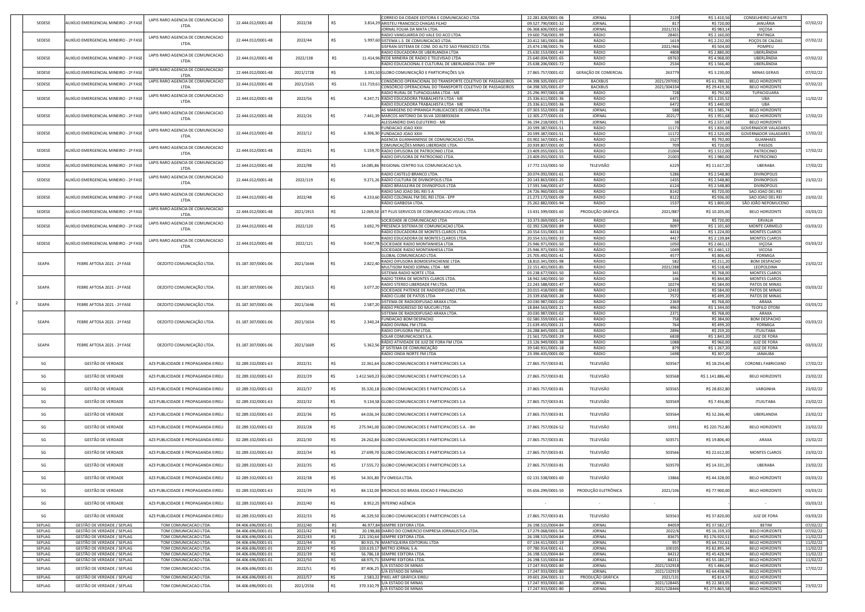| SEDESE           | AUXÍLIO EMERGENCIAL MINEIRO - 2ª FASI                           | LAPIS RARO AGENCIA DE COMUNICACAO              | 22.444.012/0001-48                       | 2022/38            |            |            | CORREIO DA CIDADE EDITORA E COMUNICACAO LTDA<br>3.814,29 ARISTEU FRANCISCO CHAGAS FILHO             | 22.281.828/0001-06<br>09.527.790/0001-32 | JORNAL<br><b>JORNAL</b>        | 2139<br>817                | R\$ 1.410,56<br>R\$ 720,00      | <b>CONSELHEIRO LAFAIETE</b><br>JANUÁRIA                    | 07/02/22             |
|------------------|-----------------------------------------------------------------|------------------------------------------------|------------------------------------------|--------------------|------------|------------|-----------------------------------------------------------------------------------------------------|------------------------------------------|--------------------------------|----------------------------|---------------------------------|------------------------------------------------------------|----------------------|
|                  |                                                                 | LTDA.                                          |                                          |                    |            |            | JORNAL FOLHA DA MATA LTDA.                                                                          | 06.368.606/0001-60                       | JORNAL                         | 2021/315                   | R\$ 983,14                      | VIÇOSA                                                     |                      |
| SEDESE           | AUXÍLIO EMERGENCIAL MINEIRO - 2ª FASE                           | LAPIS RARO AGENCIA DE COMUNICACAO              | 22.444.012/0001-48                       | 2022/44            |            |            | RADIO VANGUARDA DO VALE DO ACO LTDA<br>5.997,60 SISTEMA L.S. DE COMUNICACAO LTDA.                   | 19.600.758/0001-99<br>20.412.581/0001-86 | RÁDIO<br>RÁDIO                 | 28401<br>1619              | R\$ 2.160,00<br>R\$ 2.232,00    | <b>IPATINGA</b><br>POÇOS DE CALDAS                         | 07/02/22             |
|                  |                                                                 | LTDA.                                          |                                          |                    |            |            | SISFRAN-SISTEMA DE COM. DO ALTO SAO FRANCISCO LTDA                                                  | 25.474.198/0001-76                       | RÁDIO                          | 2021/466                   | R\$ 504,00                      | POMPEU                                                     |                      |
| SEDESE           | AUXÍLIO EMERGENCIAL MINEIRO - 2ª FASI                           | LAPIS RARO AGENCIA DE COMUNICACAO              | 22.444.012/0001-48                       | 2022/138           | R\$        |            | RADIO EDUCADORA DE UBERLANDIA LTDA<br>11.414.96 REDE MINEIRA DE RADIO E TELEVISAO LTDA              | 25.630.153/0001-43<br>25.640.004/0001-65 | RÁDIO<br>RÁDIO                 | 4808<br>69763              | R\$ 2.880,00<br>R\$4.968,00     | UBERLÂNDIA<br>UBERLÂNDIA                                   | 07/02/22             |
|                  |                                                                 | LTDA.                                          |                                          |                    |            |            | RADIO EDUCACIONAL E CULTURAL DE UBERLANDIA LTDA - EPP                                               | 25.638.206/0001-72                       | RÁDIO                          | 2534                       | R\$ 1.566,40                    | UBERLÂNDIA                                                 |                      |
| SEDESE           | AUXÍLIO EMERGENCIAL MINEIRO - 2ª FASI                           | LAPIS RARO AGENCIA DE COMUNICACAO<br>LTDA.     | 22.444.012/0001-48                       | 2021/1728          |            |            | 3.391,50 GLOBO COMUNICAÇÃO E PARTICIPAÇÕES S/A                                                      | 27.865.757/0001-02                       | <b>GERAÇÃO DE COMERCIAL</b>    | 26377                      | R\$ 3.230,00                    | <b>MINAS GERAIS</b>                                        | 07/02/22             |
| SEDESE           | AUXÍLIO EMERGENCIAL MINEIRO - 2ª FASE                           | LAPIS RARO AGENCIA DE COMUNICACAO              | 22.444.012/0001-48                       | 2021/2165          | R\$        | 111.719,61 | CONSÓRCIO OPERACIONAL DO TRANSPORTE COLETIVO DE PASSAGEIROS                                         | 04.398.505/0001-07                       | <b>BACKBUS</b>                 | 2021/297092                | R\$ 61.780,32                   | <b>BELO HORIZONTE</b>                                      | 07/02/22             |
|                  |                                                                 | LTDA.                                          |                                          |                    |            |            | CONSÓRCIO OPERACIONAL DO TRANSPORTE COLETIVO DE PASSAGEIROS<br>RADIO RURAL DE TUPACIGUARA LTDA - ME | 04.398.505/0001-07<br>25.296.997/0001-08 | <b>BACKBUS</b><br>RÁDIO        | 2021/304334<br><b>728</b>  | R\$ 29.419,36<br>R\$ 792,00     | <b>BELO HORIZONTE</b><br>TUPACIGUARA                       |                      |
| SEDESE           | AUXÍLIO EMERGENCIAL MINEIRO - 2ª FASE                           | LAPIS RARO AGENCIA DE COMUNICACAO<br>LTDA.     | 22.444.012/0001-48                       | 2022/56            |            |            | 4.247,71 RADIO EDUCADORA TRABALHISTA LTDA - ME                                                      | 25.336.611/0001-36                       | RÁDIO                          | 6471                       | R\$ 1.235,52                    | UBA                                                        | 11/02/22             |
|                  |                                                                 |                                                |                                          |                    |            |            | RADIO EDUCADORA TRABALHISTA LTDA - ME                                                               | 25.336.611/0001-36                       | RÁDIO                          | 6472                       | R\$ 1.440,00                    | UBA                                                        |                      |
| SEDESE           | AUXÍLIO EMERGENCIAL MINEIRO - 2ª FASI                           | LAPIS RARO AGENCIA DE COMUNICACAO              | 22.444.012/0001-48                       | 2022/26            |            |            | AS MARGENS DO IPIRANGA PUBLICACOES DE JORNAIS LTDA<br>7.441,39 MARCOS ANTONIO DA SILVA 32038933634  | 07.303.552/0001-18<br>12.305.277/0001-01 | <b>JORNAL</b><br>JORNAL        | 588l<br>2021/7             | R\$ 1.585,74<br>R\$ 1.951,68    | <b>BELO HORIZONTE</b><br><b>BELO HORIZONTE</b>             | 17/02/22             |
|                  |                                                                 | LTDA.                                          |                                          |                    |            |            | ALESSANDRO DIAS ELEUTERIO - ME                                                                      | 36.194.218/0001-71                       | <b>JORNAL</b>                  |                            | R\$ 2.537,18                    | <b>BELO HORIZONTE</b>                                      |                      |
| SEDESE           | AUXÍLIO EMERGENCIAL MINEIRO - 2ª FASI                           | LAPIS RARO AGENCIA DE COMUNICACAO              | 22.444.012/0001-48                       | 2022/12            | -R\$       |            | <b>FUNDACAO JOAO XXIII</b><br>6.306,30 FUNDACAO JOAO XXIII                                          | 20.599.387/0001-51<br>20.599.387/0001-51 | RÁDIO<br>RÁDIO                 | 11173<br>11172             | R\$ 1.836,00<br>R\$ 2.520,00    | <b>GOVERNADOR VALADARES</b><br><b>GOVERNADOR VALADARES</b> | 17/02/22             |
|                  |                                                                 | LTDA.                                          |                                          |                    |            |            | AGENCIA GUANHANENSE DE COMUNICACAO LTDA                                                             | 03.902.567/0001-41                       | RÁDIO                          | 1527                       | R\$ 792,00                      | <b>GUANHAES</b>                                            |                      |
| SEDESE           | AUXÍLIO EMERGENCIAL MINEIRO - 2ª FASE                           | LAPIS RARO AGENCIA DE COMUNICACAO              | 22.444.012/0001-48                       | 2022/41            | R\$        |            | COMUNICAÇÕES MINAS LIBERDADE LTDA<br>5.159,70 RADIO DIFUSORA DE PATROCINIO LTDA.                    | 20.939.807/0001-00<br>23.409.055/0001-55 | RÁDIO<br>RÁDIO                 | 709<br>21004               | R\$ 720,00<br>R\$ 1.512,00      | <b>PASSOS</b><br>PATROCINIO                                | 17/02/22             |
|                  |                                                                 | LTDA.                                          |                                          |                    |            |            | RADIO DIFUSORA DE PATROCINIO LTDA.                                                                  | 23.409.055/0001-55                       | RÁDIO                          | 21003                      | R\$ 1.980,00                    | PATROCINIO                                                 |                      |
| SEDESE           | AUXÍLIO EMERGENCIAL MINEIRO - 2ª FASE                           | LAPIS RARO AGENCIA DE COMUNICACAO<br>LTDA.     | 22.444.012/0001-48                       | 2022/98            | - RS       |            | 14.085,86 REGIONAL CENTRO SUL COMUNICACAO S/A.                                                      | 17.772.153/0001-50                       | TELEVISÃO                      | 6229                       | R\$ 11.617,20                   | <b>UBERABA</b>                                             | 17/02/22             |
|                  |                                                                 | LAPIS RARO AGENCIA DE COMUNICACAO              |                                          |                    |            |            | RADIO CASTELO BRANCO LTDA.                                                                          | 20.074.092/0001-61                       | RÁDIO                          | 5286                       | R\$ 2.548,80                    | <b>DIVINOPOLIS</b>                                         |                      |
| SEDESE           | AUXÍLIO EMERGENCIAL MINEIRO - 2ª FASE                           | LTDA.                                          | 22.444.012/0001-48                       | 2022/119           | -RS        |            | 9.271,26 RADIO CULTURA DE DIVINOPOLIS LTDA<br>RADIO BRASILEIRA DE DIVINOPOLIS LTDA                  | 20.143.863/0001-25<br>17.591.546/0001-67 | RÁDIO<br>RÁDIO                 | 1435<br>6124               | R\$ 2.548,80<br>R\$ 2.548,80    | <b>DIVINOPOLIS</b><br><b>DIVINÓPOLIS</b>                   | 23/02/22             |
|                  |                                                                 | LAPIS RARO AGENCIA DE COMUNICACAO              |                                          |                    |            |            | RADIO SAO JOAO DEL REI SA                                                                           | 24.726.960/0001-00                       | RÁDIO                          | 8142                       | R\$ 720,00                      | SAO JOAO DEL REI                                           |                      |
| SEDESE           | AUXÍLIO EMERGENCIAL MINEIRO - 2ª FASE                           | LTDA.                                          | 22.444.012/0001-48                       | 2022/48            |            |            | 4.233,60 RADIO COLONIAL FM DEL REI LTDA - EPP<br>IRÁDIO GARBOSA LTDA.                               | 21.273.172/0001-09<br>25.262.882/0001-94 | RÁDIO<br>RÁDIO                 | 8122<br>1537               | R\$ 936,00<br>R\$ 1.800,00      | SAO JOAO DEL REI<br>SÃO JOÃO NEPOMUCENO                    | 23/02/22             |
| SEDESE           | AUXÍLIO EMERGENCIAL MINEIRO - 2ª FASE                           | LAPIS RARO AGENCIA DE COMUNICACAO              | 22.444.012/0001-48                       | 2021/1915          | R\$        |            | 12.069,50 JET PLUS SERVICOS DE COMUNICACAO VISUAL LTDA                                              | 13.431.599/0001-60                       | PRODUÇÃO GRÁFICA               | 2021/887                   | R\$ 10.205,00                   | <b>BELO HORIZONTE</b>                                      | 03/03/22             |
|                  |                                                                 | LTDA.                                          |                                          |                    |            |            | SOCIEDADE JB COMUNICACAO LTDA                                                                       | 10.373.069/0001-14                       | RÁDIO                          | 366                        | R\$ 720,00                      | ERVALIA                                                    |                      |
| SEDESE           | AUXÍLIO EMERGENCIAL MINEIRO - 2ª FASE                           | LAPIS RARO AGENCIA DE COMUNICACAO<br>LTDA.     | 22.444.012/0001-48                       | 2022/120           |            |            | 3.692,79 PRESENCA SISTEMA DE COMUNICACAO LTDA.                                                      | 02.392.528/0001-89                       | RÁDIO                          | 9097                       | R\$ 1.101,60                    | <b>MONTE CARMELO</b>                                       | 03/03/22             |
|                  |                                                                 |                                                |                                          |                    |            |            | RADIO EDUCADORA DE MONTES CLAROS LTDA.<br>RADIO EDUCADORA DE MONTES CLAROS LTDA.                    | 20.554.531/0001-33<br>20.554.531/0001-33 | RÁDIO<br>RÁDIO                 | 4416<br>4417               | R\$ 1.224,00<br>R\$ 2.139,84    | <b>MONTES CLAROS</b><br><b>MONTES CLAROS</b>               |                      |
| SEDESE           | AUXÍLIO EMERGENCIAL MINEIRO - 2ª FASE                           | LAPIS RARO AGENCIA DE COMUNICACAO<br>LTDA.     | 22.444.012/0001-48                       | 2022/121           |            |            | 9.047,78 SOCIEDADE RADIO MONTANHESA LTDA                                                            | 25.946.971/0001-50                       | RÁDIO                          | 1050                       | R\$ 2.661,12                    | <b>VIÇOSA</b>                                              | 03/03/22             |
|                  |                                                                 |                                                |                                          |                    |            |            | SOCIEDADE RADIO MONTANHESA LTDA<br><b>GLOBAL COMUNICACAO LTDA.</b>                                  | 25.946.971/0001-50                       | RÁDIO<br>RÁDIO                 | 1049<br>4577               | R\$ 2.661,12<br>R\$ 806,40      | <b>VICOSA</b><br><b>FORMIGA</b>                            |                      |
|                  |                                                                 |                                                |                                          |                    |            |            | RADIO DIFUSORA BOMDESPACHENSE LTDA.                                                                 | 25.705.492/0001-41<br>18.810.341/0001-98 | RÁDIO                          | 582                        | R\$ 211,20                      | <b>BOM DESPACHO</b>                                        |                      |
| SEAPA            | FEBRE AFTOSA 2021 - 2ª FASE                                     | DEZOITO COMUNICAÇÃO LTDA.                      | 01.187.307/0001-06                       | 2021/1644          | R\$        | 2.822,40   | MULTISOM RADIO JORNAL LTDA - ME                                                                     | 22.151.401/0001-85                       | RÁDIO                          | 2021/288                   | R\$ 518,40                      | LEOPOLDINA                                                 | 23/02/22             |
|                  |                                                                 |                                                |                                          |                    |            |            | <b>SISTEMA RADIO NORTE LTDA.</b><br>RADIO TERRA DE MONTES CLAROS LTDA.                              | 03.238.677/0001-50<br>18.942.540/0001-50 | RÁDIO<br>RÁDIO                 | 341                        | R\$ 768,00<br>R\$ 844,80        | <b>MONTES CLAROS</b><br><b>MONTES CLAROS</b>               |                      |
| SEAPA            | FEBRE AFTOSA 2021 - 2ª FASE                                     | DEZOITO COMUNICAÇÃO LTDA.                      | 01.187.307/0001-06                       | 2021/1615          |            | 3.077,20   | RADIO STEREO LIBERDADE FM LTDA.                                                                     | 22.243.588/0001-47                       | RÁDIO                          | 10274                      | R\$ 584,00                      | PATOS DE MINAS                                             | 03/03/22             |
|                  |                                                                 |                                                |                                          |                    |            |            | SOCIEDADE PATENSE DE RADIODIFUSAO LTDA<br><b>RADIO CLUBE DE PATOS LTDA</b>                          | 20.015.418/0001-80<br>23.339.658/0001-28 | RÁDIO<br>RÁDIO                 | 12410<br>7572              | R\$ 584,00<br>R\$499,20         | PATOS DE MINAS<br>PATOS DE MINAS                           |                      |
| SEAPA            | FEBRE AFTOSA 2021 - 2ª FASE                                     | DEZOITO COMUNICAÇÃO LTDA.                      | 01.187.307/0001-06                       | 2021/1646          | -R\$       | 2.587,     | SISTEMA DE RADIODIFUSAO ARAXA LTDA                                                                  | 20.030.987/0001-02                       | RÁDIO                          | 2369                       | R\$ 768,00                      | ARAXA                                                      | 03/03/22             |
|                  |                                                                 |                                                |                                          |                    |            |            | RADIO PROGRESSO DO MUCURI LTDA<br>ISISTEMA DE RADIODIFUSAO ARAXA LTDA.                              | 18.844.563/0001-21<br>20.030.987/0001-02 | RÁDIO<br>RÁDIO                 | 4963<br>2371               | R\$ 1.344,00<br>R\$ 768,00      | <b>TEOFILO OTONI</b><br>ARAXA                              |                      |
| SEAPA            | FEBRE AFTOSA 2021 - 2ª FASE                                     | DEZOITO COMUNICAÇÃO LTDA.                      | 01.187.307/0001-06                       | 2021/1654          | R\$        | 2.340,24   | <b>FUNDACAO BOM DESPACHO</b>                                                                        | 02.580.559/0001-63                       | RÁDIO                          | <b>758</b>                 | R\$ 384,00                      | <b>BOM DESPACHO</b>                                        | 03/03/22             |
|                  |                                                                 |                                                |                                          |                    |            |            | RADIO DIVINAL FM LTDA.<br>RADIO DIFUSORA FM LTDA.                                                   | 21.639.455/0001-21<br>26.288.845/0001-18 | RÁDIO<br>RÁDIO                 | 2896                       | R\$499,20<br>R\$ 259,20         | <b>FORMIGA</b><br><b>ITUIUTABA</b>                         |                      |
|                  |                                                                 |                                                |                                          |                    |            |            | <b>SOLAR COMUNICACOES S.A.</b>                                                                      | 21.561.725/0001-29                       | RÁDIO                          | 6838                       | R\$ 1.843,20                    | <b>JUIZ DE FORA</b>                                        |                      |
| SEAPA            | FEBRE AFTOSA 2021 - 2ª FASE                                     | DEZOITO COMUNICAÇÃO LTDA.                      | 01.187.307/0001-06                       | 2021/1669          |            | 5.362,56   | RÁDIO ATIVIDADE DE JUIZ DE FORA FM LTDA<br>JF SISTEMA DE COMUNICAÇÃO                                | 23.126.949/0001-38<br>39.540.931/0001-18 | RÁDIO<br>RÁDIO                 | 1088<br>879                | R\$ 960,00<br>R\$ 1.267,20      | <b>JUIZ DE FORA</b><br><b>JUIZ DE FORA</b>                 | 03/03/22             |
|                  |                                                                 |                                                |                                          |                    |            |            | RADIO ONDA NORTE FM LTDA                                                                            | 23.396.435/0001-00                       | RÁDIO                          | 1698                       | R\$ 307,20                      | JANAUBA                                                    |                      |
| SG               | <b>GESTÃO DE VERDADE</b>                                        | AZ3 PUBLICIDADE E PROPAGANDA EIREL             | 02.289.332/0001-63                       | 2022/31            | -R\$       |            | 22.361,64 GLOBO COMUNICACOES E PARTICIPACOES S.A                                                    | 27.865.757/0033-81                       | TELEVISÃO                      | 503567                     | R\$ 18.254,40                   | <b>CORONEL FABRICIANO</b>                                  | 17/02/22             |
|                  |                                                                 |                                                |                                          |                    |            |            |                                                                                                     |                                          |                                |                            |                                 |                                                            |                      |
| SG               | <b>GESTÃO DE VERDADE</b>                                        | AZ3 PUBLICIDADE E PROPAGANDA EIREL             | 02.289.332/0001-63                       | 2022/29            | R\$        |            | 1.412.569,23 GLOBO COMUNICACOES E PARTICIPACOES S.A                                                 | 27.865.757/0033-81                       | TELEVISÃO                      | 503568                     | R\$ 1.141.886,40                | <b>BELO HORIZONTE</b>                                      | 23/02/22             |
| SG               | GESTÃO DE VERDADE                                               | AZ3 PUBLICIDADE E PROPAGANDA EIREL             | 02.289.332/0001-63                       | 2022/37            | R\$        |            | 35.320,18 GLOBO COMUNICACOES E PARTICIPACOES S.A                                                    | 27.865.757/0033-81                       | TELEVISÃO                      | 503565                     | R\$ 28.832,80                   | VARGINHA                                                   | 23/02/22             |
| SG               | GESTÃO DE VERDADE                                               | AZ3 PUBLICIDADE E PROPAGANDA EIREL             | 02.289.332/0001-63                       | 2022/32            |            |            | 9.134,58 GLOBO COMUNICACOES E PARTICIPACOES S.A                                                     | 27.865.757/0033-81                       | TELEVISÃO                      | 503569                     | R\$ 7.456,80                    | <b>ITUIUTABA</b>                                           | 23/02/22             |
| SG               | GESTÃO DE VERDADE                                               | AZ3 PUBLICIDADE E PROPAGANDA EIREL             | 02.289.332/0001-63                       | 2022/36            | R\$        |            | 64.026,34 GLOBO COMUNICACOES E PARTICIPACOES S.A                                                    | 27.865.757/0033-81                       | TELEVISÃO                      | 503564                     | R\$ 52.266,40                   | UBERLANDIA                                                 | 23/02/22             |
|                  |                                                                 |                                                |                                          |                    |            |            |                                                                                                     |                                          |                                |                            |                                 |                                                            |                      |
| SG               | <b>GESTÃO DE VERDADE</b>                                        | AZ3 PUBLICIDADE E PROPAGANDA EIREL             | 02.289.332/0001-63                       | 2022/28            |            |            | 275.941,00 GLOBO COMUNICACOES E PARTICIPACOES S.A. - BH                                             | 27.865.757/0026-52                       | TELEVISÃO                      | 1591                       | R\$ 220.752,80                  | <b>BELO HORIZONTE</b>                                      | 23/02/22             |
| SG               | <b>GESTÃO DE VERDADE</b>                                        | AZ3 PUBLICIDADE E PROPAGANDA EIREL             | 02.289.332/0001-63                       | 2022/30            | R\$        |            | 24.262.84 GLOBO COMUNICACOES E PARTICIPACOES S.A                                                    | 27.865.757/0033-81                       | TELEVISÃO                      | 50357                      | R\$ 19.806,40                   | ARAXA                                                      | 23/02/22             |
| SG               | GESTÃO DE VERDADE                                               | AZ3 PUBLICIDADE E PROPAGANDA EIREL             | 02.289.332/0001-63                       | 2022/34            | R\$        |            | 27.699,70 GLOBO COMUNICACOES E PARTICIPACOES S.A                                                    | 27.865.757/0033-81                       | TELEVISÃO                      | 503566                     | R\$ 22.612,00                   | <b>MONTES CLAROS</b>                                       | 23/02/22             |
| SG               | GESTÃO DE VERDADE                                               | AZ3 PUBLICIDADE E PROPAGANDA EIREL             | 02.289.332/0001-63                       | 2022/35            | -R\$       |            | 17.555,72 GLOBO COMUNICACOES E PARTICIPACOES S.A                                                    | 27.865.757/0033-81                       | TELEVISÃO                      | 503570                     | R\$ 14.331,20                   | UBERABA                                                    | 23/02/22             |
|                  |                                                                 |                                                |                                          |                    |            |            |                                                                                                     |                                          |                                |                            |                                 |                                                            |                      |
| SG               | GESTÃO DE VERDADE                                               | AZ3 PUBLICIDADE E PROPAGANDA EIREL             | 02.289.332/0001-63                       | 2022/38            | -R\$       |            | 54.301,80 TV OMEGA LTDA.                                                                            | 02.131.538/0001-60                       | TELEVISÃO                      | 13866                      | R\$44.328,00                    | <b>BELO HORIZONTE</b>                                      | 03/03/22             |
| SG               | GESTÃO DE VERDADE                                               | AZ3 PUBLICIDADE E PROPAGANDA EIRELI            | 02.289.332/0001-63                       | 2022/39            | -R\$       |            | 84.132,00 BROKOLIS DO BRASIL EDICAO E FINALIZACAO                                                   | 05.656.299/0001-50                       | PRODUÇÃO ELETRÔNICA            | 2021/106                   | R\$ 77.900,00                   | <b>BELO HORIZONTE</b>                                      | 03/03/22             |
| SG               | <b>GESTÃO DE VERDADE</b>                                        | AZ3 PUBLICIDADE E PROPAGANDA EIREL             | 02.289.332/0001-63                       | 2022/40            |            |            | 8.952,25 INTERNO AGÊNCIA                                                                            |                                          |                                |                            |                                 |                                                            | 03/03/22             |
| SG               | GESTÃO DE VERDADE                                               | AZ3 PUBLICIDADE E PROPAGANDA EIREL             | 02.289.332/0001-63                       | 2022/33            | R\$        |            | 46.329,50 GLOBO COMUNICACOES E PARTICIPACOES S.A                                                    | 27.865.757/0033-81                       | TELEVISÃO                      | 503563                     | R\$ 37.820,00                   | JUIZ DE FORA                                               | 03/03/22             |
| SEPLAG           | GESTÃO DE VERDADE / SEPLAG                                      | TOM COMUNICACAO LTDA.                          | 04.406.696/0001-01                       | 2022/40            | R\$        |            | 46.977,84 SEMPRE EDITORA LTDA.                                                                      | 26.198.515/0004-84                       | JORNAL                         | 84059                      | R\$ 37.582,27                   | <b>BETIM</b>                                               | 07/02/22             |
| SEPLAG<br>SEPLAG | <b>GESTÃO DE VERDADE / SEPLAG</b><br>GESTÃO DE VERDADE / SEPLAG | TOM COMUNICACAO LTDA.<br>TOM COMUNICACAO LTDA  | 04.406.696/0001-01<br>04.406.696/0001-01 | 2022/42<br>2022/43 | R\$<br>R\$ |            | 20.198,88 DIARIO DO COMERCIO EMPRESA JORNALISTICA LTDA.<br>221.150,64 SEMPRE EDITORA LTDA.          | 17.279.068/0001-54<br>26.198.515/0004-84 | <b>JORNAL</b><br>JORNAL        | 2022/6<br>83675            | R\$ 16.159,10<br>R\$ 176.920,51 | <b>BELO HORIZONTE</b><br><b>BELO HORIZONTE</b>             | 07/02/22<br>11/02/22 |
| SEPLAG           | GESTÃO DE VERDADE / SEPLAG                                      | TOM COMUNICACAO LTDA.                          | 04.406.696/0001-01                       | 2022/44            | R\$        |            | 80.915,76 MANTIQUEIRA EDITORIAL LTDA                                                                | 07.134.411/0001-19                       | <b>JORNAL</b>                  | 957                        | R\$ 64.732,61                   | <b>BELO HORIZONTE</b>                                      | 11/02/22             |
| SEPLAG<br>SEPLAG | GESTÃO DE VERDADE / SEPLAG<br>GESTÃO DE VERDADE / SEPLAG        | TOM COMUNICACAO LTDA.<br>TOM COMUNICACAO LTDA. | 04.406.696/0001-01<br>04.406.696/0001-01 | 2022/47<br>2022/39 | R\$<br>R\$ |            | 103.619,17 METRO JORNAL S.A.<br>56.786,18 SEMPRE EDITORA LTDA.                                      | 07.780.914/0001-61<br>26.198.515/0004-84 | <b>JORNAL</b><br><b>JORNAL</b> | 100105<br>84212            | R\$ 82.895,34<br>R\$ 45.428,94  | <b>BELO HORIZONTE</b><br><b>BELO HORIZONTE</b>             | 11/02/22<br>11/02/22 |
| SEPLAG           | GESTÃO DE VERDADE / SEPLAG                                      | TOM COMUNICACAO LTDA.                          | 04.406.696/0001-01                       | 2022/50            | R\$        |            | 68.975,71 SEMPRE EDITORA LTDA.                                                                      | 26.198.515/0004-84                       | JORNAL                         | 84211                      | R\$ 55.180,27                   | <b>BELO HORIZONTE</b>                                      | 11/02/22             |
| SEPLAG           | GESTÃO DE VERDADE / SEPLAG                                      | TOM COMUNICACAO LTDA.                          | 04.406.696/0001-01                       | 2022/51            | R\$        | 87.406,25  | S/A ESTADO DE MINAS<br>S/A ESTADO DE MINAS                                                          | 17.247.933/0001-80<br>17.247.933/0001-80 | JORNAL<br>JORNAL               | 2021/132918<br>2021/132919 | R\$ 5.486,04<br>R\$ 64.438,96   | <b>BELO HORIZONTE</b><br><b>BELO HORIZONTE</b>             | 17/02/22             |
| SEPLAG           | GESTÃO DE VERDADE / SEPLAG                                      | TOM COMUNICACAO LTDA.                          | 04.406.696/0001-01                       | 2022/57            | R\$        |            | 2.583,22 PIXEL ART GRÁFICA EIRELI                                                                   | 39.601.204/0001-13                       | PRODUÇÃO GRÁFICA               | 2021/131                   | R\$ 814,57                      | <b>BELO HORIZONTE</b>                                      |                      |
| SEPLAG           | GESTÃO DE VERDADE / SEPLAG                                      | TOM COMUNICACAO LTDA.                          | 04.406.696/0001-01                       | 2021/2556          | R\$        | 370.310,79 | S/A ESTADO DE MINAS<br>S/A ESTADO DE MINAS                                                          | 17.247.933/0001-80<br>17.247.933/0001-80 | JORNAL<br>JORNAL               | 2021/128445<br>2021/128446 | R\$ 22.383,05                   | <b>BELO HORIZONTE</b><br><b>BELO HORIZONTE</b>             | 23/02/22             |
|                  |                                                                 |                                                |                                          |                    |            |            |                                                                                                     |                                          |                                |                            | R\$ 273.865,58                  |                                                            |                      |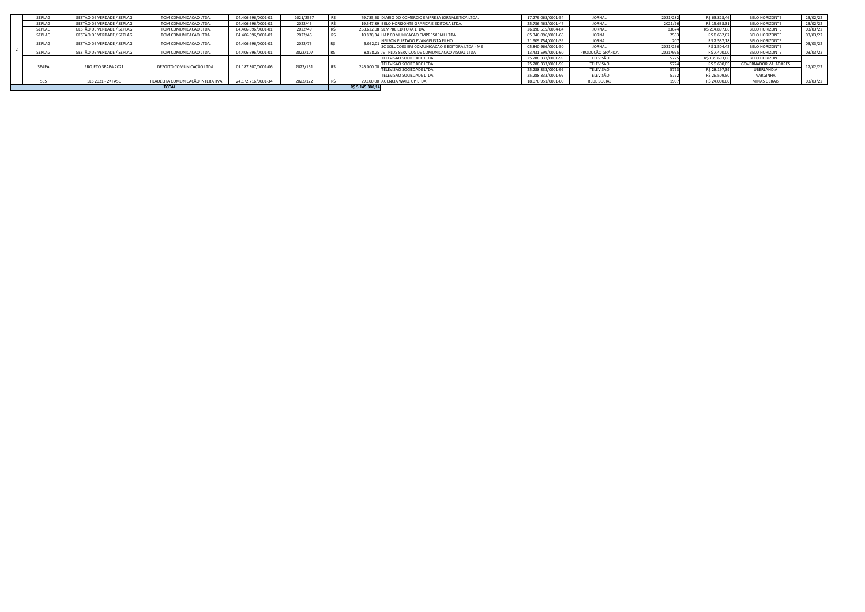|        |                            | <b>TOTAL</b>                                                           |                                                                                         |                                                                |                     | R\$ 5.145.380,14                                        |                                                         |                    |                    |                |                             |              |
|--------|----------------------------|------------------------------------------------------------------------|-----------------------------------------------------------------------------------------|----------------------------------------------------------------|---------------------|---------------------------------------------------------|---------------------------------------------------------|--------------------|--------------------|----------------|-----------------------------|--------------|
|        |                            |                                                                        |                                                                                         | 2022/122                                                       |                     |                                                         |                                                         |                    |                    |                |                             | 03/03/22     |
|        |                            |                                                                        |                                                                                         |                                                                |                     | <b>TELEVISAO SOCIEDADE LTDA.</b>                        | 25.288.333/0001-99                                      | <b>TELEVISÃO</b>   |                    | R\$ 26.509,50  | VARGINHA                    |              |
|        |                            |                                                                        |                                                                                         |                                                                |                     | TELEVISAO SOCIEDADE LTDA.                               | 25.288.333/0001-99                                      | TELEVISÃO          |                    | R\$ 28.197,39  | UBERLANDIA                  |              |
|        |                            |                                                                        |                                                                                         |                                                                |                     | <b>TELEVISAO SOCIEDADE LTDA.</b>                        | 25.288.333/0001-99                                      | <b>TELEVISÃO</b>   |                    | R\$ 9.600,0    | <b>GOVERNADOR VALADARES</b> | 17/02/22     |
|        |                            |                                                                        |                                                                                         |                                                                |                     | <b>TELEVISAO SOCIEDADE LTDA.</b>                        | 25.288.333/0001-99                                      | TELEVISÃO          | 5725               | R\$ 135.693,06 | <b>BELO HORIZONTE</b>       |              |
| SEPLAG | GESTÃO DE VERDADE / SEPLAG | TOM COMUNICACAO LTDA.                                                  | 04.406.696/0001-01                                                                      | 2022/107                                                       |                     | 8.828,25 JET PLUS SERVICOS DE COMUNICACAO VISUAL LTDA   | 13.431.599/0001-60                                      | PRODUÇÃO GRÁFICA   | 2021/995           | R\$ 7.400,00   | <b>BELO HORIZONTE</b>       | 03/03/22     |
|        |                            |                                                                        |                                                                                         |                                                                |                     | SC SOLUCOES EM COMUNICACAO E EDITORA LTDA - ME          | 05.840.966/0001-50                                      | <b>JORNAL</b>      | 2021/256           | R\$ 1.504,42   | <b>BELO HORIZONTE</b>       |              |
|        |                            |                                                                        |                                                                                         |                                                                |                     | NELSON FURTADO EVANGELISTA FILHO                        | 21.909.754/0001-39                                      | <b>JORNAL</b>      |                    | R\$ 2.537,18   | <b>BELO HORIZONTE</b>       | 03/03/22     |
| SEPLAG | GESTÃO DE VERDADE / SEPLAG | TOM COMUNICACAO LTDA.                                                  | 04.406.696/0001-01                                                                      | 2022/46                                                        |                     | 10.828,34 HAP COMUNICACAO EMPRESARIAL LTDA.             | 05.346.096/0001-68                                      | <b>JORNAL</b>      |                    | R\$ 8.662,67   | <b>BELO HORIZONTE</b>       | 03/03/22     |
| SEPLAG | GESTÃO DE VERDADE / SEPLAG | TOM COMUNICACAO LTDA.                                                  | 04.406.696/0001-01                                                                      | 2022/49                                                        |                     | 268.622.08 SEMPRE EDITORA LTDA.                         | 26.198.515/0004-84                                      | <b>JORNAL</b>      | 83674              | R\$ 214.897,66 | <b>BELO HORIZONTE</b>       | 03/03/22     |
| SEPLAG | GESTÃO DE VERDADE / SEPLAG | TOM COMUNICACAO LTDA.                                                  | 04.406.696/0001-01                                                                      | 2022/45                                                        |                     | 19.547,89 BELO HORIZONTE GRAFICA E EDITORA LTDA.        | 25.736.463/0001-47                                      | <b>JORNAL</b>      | 2021/26            | R\$ 15.638,31  | <b>BELO HORIZONTE</b>       | 23/02/22     |
| SEPLAG | GESTÃO DE VERDADE / SEPLAG | TOM COMUNICACAO LTDA.                                                  | 04.406.696/0001-01                                                                      | 2021/2557                                                      |                     | 79.785,58 DIARIO DO COMERCIO EMPRESA JORNALISTICA LTDA. | 17.279.068/0001-54                                      | <b>JORNA</b>       | 2021/282           | R\$ 63.828,46  | <b>BELO HORIZONTE</b>       | 23/02/22     |
|        | SEPLAG<br>SEAPA            | GESTÃO DE VERDADE / SEPLAG<br>PROJETO SEAPA 2021<br>SES 2021 - 2ª FASE | TOM COMUNICACAO LTDA.<br>DEZOITO COMUNICAÇÃO LTDA.<br>FILADÉLFIA COMUNICAÇÃO INTERATIVA | 04.406.696/0001-01<br>01.187.307/0001-06<br>24.172.716/0001-34 | 2022/75<br>2022/151 |                                                         | 5.052,0<br>245.000,00<br>29.100,00 AGENCIA WAKE UP LTDA | 18.076.951/0001-00 | <b>REDE SOCIAL</b> |                | R\$ 24.000,00               | MINAS GERAIS |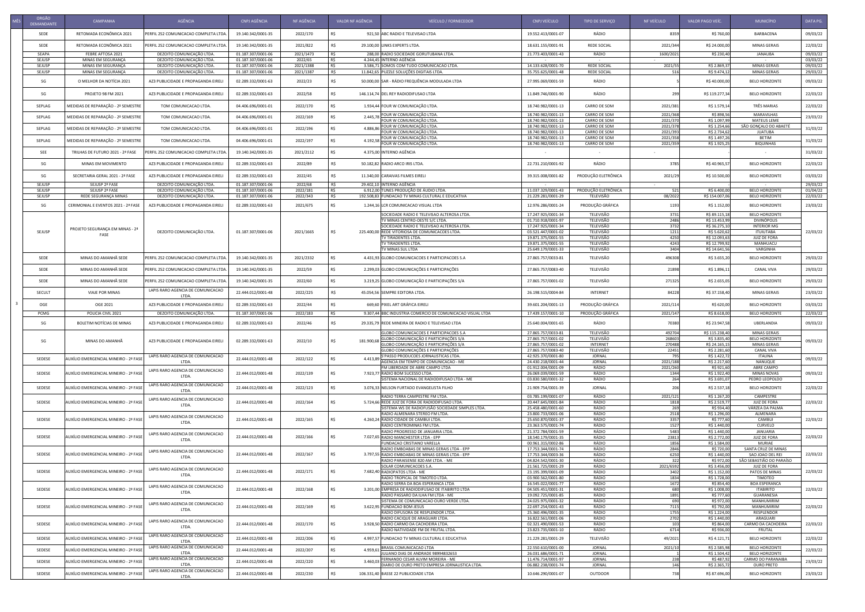| ORGÃO<br>DEMANDANTE | CAMPANHA                                 | AGÊNCIA                                                | CNPJ AGÊNCIA                             | NF AGÊNCIA           | VALOR NF AGÊNCIA | VEÍCULO / FORNECEDOR                                                                       | CNPJ VEÍCULO                             | TIPO DE SERVIÇO                     | NF VEÍCULO           | VALOR PAGO VEÍC                 | MUNICÍPIO                                       | DATA PG.             |
|---------------------|------------------------------------------|--------------------------------------------------------|------------------------------------------|----------------------|------------------|--------------------------------------------------------------------------------------------|------------------------------------------|-------------------------------------|----------------------|---------------------------------|-------------------------------------------------|----------------------|
| SEDE                | RETOMADA ECONÔMICA 2021                  | PERFIL 252 COMUNICACAO COMPLETA LTDA                   | 19.140.342/0001-35                       | 2022/170             |                  | 921,50 ABC RADIO E TELEVISAO LTDA                                                          | 19.552.413/0001-07                       | RÁDIO                               | 8359                 | R\$ 760,00                      | BARBACENA                                       | 09/03/22             |
| SEDE                | RETOMADA ECONÔMICA 2021                  | PERFIL 252 COMUNICACAO COMPLETA LTDA                   | 19.140.342/0001-35                       | 2021/822             | R\$              | 29.100,00 LINKS EXPERTS LTDA.                                                              | 18.631.155/0001-91                       | <b>REDE SOCIAL</b>                  | 2021/344             | R\$ 24.000,00                   | <b>MINAS GERAIS</b>                             | 22/03/22             |
| SEAPA               | FEBRE AFTOSA 2021                        | DEZOITO COMUNICAÇÃO LTDA.                              | 01.187.307/0001-06                       | 2021/1473            | R\$              | 288,00 RADIO SOCIEDADE GORUTUBANA LTDA                                                     | 21.773.403/0001-43                       | RÁDIO                               | 1600/202             | R\$ 230,40                      | <b>JANAUBA</b>                                  | 09/03/22             |
| SEJUSP<br>SEJUSP    | MINAS EM SEGURANÇA<br>MINAS EM SEGURANÇA | DEZOITO COMUNICAÇÃO LTDA.<br>DEZOITO COMUNICAÇÃO LTDA. | 01.187.307/0001-06<br>01.187.307/0001-06 | 2022/65<br>2021/1388 | R\$<br>R\$       | 4.244,45 INTERNO AGÊNCIA<br>3.586,71 SOMOS COM TUDO COMUNICACAO LTDA.                      | 14.133.628/0001-70                       | <b>REDE SOCIAL</b>                  | 2021/55              | R\$ 2.869,37                    | MINAS GERAIS                                    | 03/03/22<br>09/03/22 |
| SEJUSP              | MINAS EM SEGURANÇA                       | DEZOITO COMUNICAÇÃO LTDA.                              | 01.187.307/0001-06                       | 2021/1387            | R\$              | 11.842,65 PUZZLE SOLUÇÕES DIGITAIS LTDA                                                    | 35.755.625/0001-48                       | <b>REDE SOCIAL</b>                  | -516                 | R\$ 9.474,12                    | <b>MINAS GERAIS</b>                             | 29/03/22             |
| SG                  | O MELHOR DA NOTÍCIA 2021                 | AZ3 PUBLICIDADE E PROPAGANDA EIREI                     | 02.289.332/0001-63                       | 2022/23              | R\$              | 50.000,00 SAR - RÁDIO FREQUÊNCIA MODULADA LTDA                                             | 27.995.069/0001-59                       | RÁDIO                               |                      | R\$40.000,00                    | <b>BELO HORIZONTE</b>                           | 09/03/22             |
| SG                  | <b>PROJETO 98 FM 2021</b>                | AZ3 PUBLICIDADE E PROPAGANDA EIREL                     | 02.289.332/0001-63                       | 2022/58              |                  | 146.114,74 DEL REY RADIODIFUSAO LTDA                                                       | 11.849.746/0001-90                       | RÁDIO                               | 299                  | R\$ 119.277,34                  | <b>BELO HORIZONTE</b>                           | 22/03/22             |
| SEPLAG              | MEDIDAS DE REPARAÇÃO - 2º SEMESTRE       | TOM COMUNICACAO LTDA.                                  | 04.406.696/0001-01                       | 2022/170             |                  | 1.934,44 FOUR W COMUNICAÇÃO LTDA                                                           | 18.740.982/0001-13                       | CARRO DE SOM                        | 2021/381             | R\$ 1.579,14                    | TRÊS MARIAS                                     | 22/03/22             |
| SEPLAG              | MEDIDAS DE REPARAÇÃO - 2º SEMESTRE       | TOM COMUNICACAO LTDA.                                  | 04.406.696/0001-01                       | 2022/169             |                  | FOUR W COMUNICAÇÃO LTDA                                                                    | 18.740.982/0001-13                       | <b>CARRO DE SOM</b>                 | 2021/368             | R\$ 898,56                      | <b>MARAVILHAS</b>                               | 23/03/22             |
|                     |                                          |                                                        |                                          |                      |                  | $2.445,78$ FOUR W COMUNICAÇÃO LTDA.                                                        | 18.740.982/0001-13                       | <b>CARRO DE SOM</b>                 | 2021/370             | R\$ 1.097,99                    | <b>MATEUS LEME</b>                              |                      |
| SEPLAG              | MEDIDAS DE REPARAÇÃO - 2º SEMESTRE       | TOM COMUNICACAO LTDA.                                  | 04.406.696/0001-01                       | 2022/196             | 4.886.86         | FOUR W COMUNICAÇÃO LTDA<br>FOUR W COMUNICAÇÃO LTDA.                                        | 18.740.982/0001-13<br>18.740.982/0001-13 | <b>CARRO DE SOM</b><br>CARRO DE SOM | 2021/378<br>2021/393 | R\$ 1.254,66<br>R\$ 2.734,62    | SÃO GONÇALO DO ABAETÉ<br><b>JUATUBA</b>         | 31/03/22             |
| SEPLAG              | MEDIDAS DE REPARAÇÃO - 2º SEMESTRE       | TOM COMUNICACAO LTDA.                                  | 04.406.696/0001-01                       | 2022/197             |                  | $4.192,58$ FOUR W COMUNICAÇÃO LTDA.<br>FOUR W COMUNICAÇÃO LTDA                             | 18.740.982/0001-13<br>18.740.982/0001-13 | CARRO DE SOM<br>CARRO DE SOM        | 2021/358<br>2021/359 | R\$ 1.497,26<br>R\$ 1.925,25    | <b>BETIM</b><br><b>BIQUINHAS</b>                | 31/03/22             |
| SEE                 | TRILHAS DE FUTURO 2021 - 2ª FASE         | <b>ERFIL 252 COMUNICACAO COMPLETA LTDA.</b>            | 19.140.342/0001-35                       | 2021/2112            |                  | 4.375,00 INTERNO AGÊNCIA                                                                   |                                          |                                     |                      |                                 |                                                 | 31/03/22             |
| SG                  | MINAS EM MOVIMENTO                       | AZ3 PUBLICIDADE E PROPAGANDA EIRELI                    | 02.289.332/0001-63                       | 2022/89              |                  | 50.182,82 RADIO ARCO IRIS LTDA.                                                            | 22.731.210/0001-92                       | RÁDIO                               | 3785                 | R\$40.965,57                    | <b>BELO HORIZONTE</b>                           | 22/03/22             |
| SG                  | SECRETARIA GERAL 2021 - 2ª FASE          | AZ3 PUBLICIDADE E PROPAGANDA EIREL                     | 02.289.332/0001-63                       | 2022/45              |                  | 11.340,00 CARAIVAS FILMES EIRELI                                                           | 39.315.008/0001-82                       | PRODUÇÃO ELETRÔNICA                 | 2021/29              | R\$ 10.500,00                   | <b>BELO HORIZONTE</b>                           | 03/03/22             |
| SEJUSP              | SEJUSP 2ª FASE                           | DEZOITO COMUNICAÇÃO LTDA.                              | 01.187.307/0001-06                       | 2022/68              | R\$              | 29.402,10 INTERNO AGÊNCIA                                                                  |                                          |                                     |                      |                                 |                                                 | 29/03/22             |
| SEJUSP              | SEJUSP 2ª FASE                           | DEZOITO COMUNICAÇÃO LTDA.                              | 01.187.307/0001-06                       | 2022/181             | R\$              | 6.912,00 TUNES PRODUÇÃO DE ÁUDIO LTDA.                                                     | 11.037.329/0001-43                       | PRODUÇÃO ELETRÔNICA                 |                      | R\$ 6.400,00                    | <b>BELO HORIZONTE</b>                           | 01/04/22             |
| SEJUSP              | REDE SEGURANÇA MINAS                     | DEZOITO COMUNICAÇÃO LTDA.                              | 01.187.307/0001-06                       | 2022/343             | R\$              | 192.508,83 FUNDACAO TV MINAS CULTURAL E EDUCATIVA                                          | 21.229.281/0001-29                       | TELEVISÃO                           | 08/2022              | R\$ 154.007,06                  | <b>BELO HORIZONTE</b>                           | 22/03/22             |
| SG                  | CERIMONIAL E EVENTOS 2021 - 2ª FASE      | AZ3 PUBLICIDADE E PROPAGANDA EIRELI                    | 02.289.332/0001-63                       | 2021/675             |                  | 1.244,16 LCR COMUNICACAO VISUAL LTDA                                                       | 12.976.286/0001-24                       | PRODUÇÃO GRÁFICA                    | 1193                 | R\$ 1.152,00                    | <b>BELO HORIZONTE</b>                           | 23/03/22             |
|                     |                                          |                                                        |                                          |                      |                  | SOCIEDADE RADIO E TELEVISAO ALTEROSA LTDA                                                  | 17.247.925/0001-34                       | TELEVISÃO                           | 3731                 | R\$ 89.115,18                   | <b>BELO HORIZONTE</b>                           |                      |
|                     |                                          |                                                        |                                          |                      |                  | TV MINAS CENTRO-OESTE S/C LTDA.                                                            | 01.710.918/0001-97                       | TELEVISÃO                           | 2486                 | R\$ 13.453,99                   | <b>DIVINÓPOLIS</b>                              |                      |
|                     | PROJETO SEGURANÇA EM MINAS - 2ª          |                                                        |                                          |                      |                  | SOCIEDADE RADIO E TELEVISAO ALTEROSA LTDA                                                  | 17.247.925/0001-34                       | TELEVISÃO                           | 3732                 | R\$ 36.275,10                   | <b>INTERIOR MG</b>                              |                      |
| SEJUSP              | FASE                                     | DEZOITO COMUNICAÇÃO LTDA.                              | 01.187.307/0001-06                       | 2021/1665            | R\$              | 225.400,00 REDE VITORIOSA DE COMUNICACOES LTDA.<br>TV TIRADENTES LTDA.                     | 03.521.447/0001-02<br>19.871.375/0001-55 | TELEVISÃO<br>TELEVISÃO              | 1211<br>4250         | R\$ 5.620,62<br>R\$ 12.093,63   | <b>ITUIUTABA</b><br><b>JUIZ DE FORA</b>         | 22/03/22             |
|                     |                                          |                                                        |                                          |                      |                  | TV TIRADENTES LTDA.                                                                        | 19.871.375/0001-55                       | TELEVISÃO                           | 4243                 | R\$ 12.799,92                   | MANHUACU                                        |                      |
|                     |                                          |                                                        |                                          |                      |                  | TV MINAS SUL LTDA                                                                          | 25.649.179/0001-33                       | TELEVISÃO                           | 3404                 | R\$ 14.641,56                   | VARGINHA                                        |                      |
| SEDE                | MINAS DO AMANHÃ SEDE                     | PERFIL 252 COMUNICACAO COMPLETA LTDA.                  | 19.140.342/0001-35                       | 2021/2332            |                  | 4.431,93 GLOBO COMUNICACOES E PARTICIPACOES S.A                                            | 27.865.757/0033-81                       | TELEVISÃO                           | 496308               | R\$ 3.655,20                    | <b>BELO HORIZONTE</b>                           | 29/03/22             |
| SEDE                | MINAS DO AMANHÃ SEDE                     | PERFIL 252 COMUNICACAO COMPLETA LTDA                   | 19.140.342/0001-35                       | 2022/59              |                  | 2.299,03 GLOBO COMUNICAÇÕES E PARTICIPAÇÕES                                                | 27.865.757/0083-40                       | TELEVISÃO                           | 21898                | R\$ 1.896,11                    | <b>CANAL VIVA</b>                               | 29/03/22             |
| SEDE                | MINAS DO AMANHÃ SEDE                     | PERFIL 252 COMUNICACAO COMPLETA LTDA                   | 19.140.342/0001-35                       | 2022/60              |                  | 3.219,25 GLOBO COMUNICAÇÃO E PARTICIPAÇÕES S/A                                             | 27.865.757/0001-02                       | TELEVISÃO                           | 271325               | R\$ 2.655,05                    | <b>BELO HORIZONTE</b>                           | 29/03/22             |
| <b>SECULT</b>       | VIAJE POR MINAS                          | LAPIS RARO AGENCIA DE COMUNICACAO<br>LTDA.             | 22.444.012/0001-48                       | 2022/225             |                  | 45.054,56 SEMPRE EDITORA LTDA.                                                             | 26.198.515/0004-84                       | <b>INTERNET</b>                     | 84228                | R\$ 37.158,40                   | <b>MINAS GERAIS</b>                             | 23/03/22             |
| OGE                 | OGE 2021                                 | AZ3 PUBLICIDADE E PROPAGANDA EIREL                     | 02.289.332/0001-63                       | 2022/44              |                  | 669,60 PIXEL ART GRÁFICA EIRELI                                                            | 39.601.204/0001-13                       | PRODUÇÃO GRÁFICA                    | 2021/114             | R\$ 620,00                      | <b>BELO HORIZONTE</b>                           | 03/03/22             |
| PCMG                | POLICIA CIVIL 2021                       | DEZOITO COMUNICAÇÃO LTDA.                              | 01.187.307/0001-06                       | 2022/183             | R\$              | 9.307,44 BBC INDUSTRIA COMERCIO DE COMUNICACAO VISUAL LTDA                                 | 17.439.157/0001-10                       | PRODUÇÃO GRÁFICA                    | 2021/147             | R\$ 8.618,00                    | <b>BELO HORIZONTE</b>                           | 22/03/22             |
|                     |                                          |                                                        |                                          |                      |                  |                                                                                            |                                          |                                     |                      |                                 |                                                 |                      |
| SG                  | BOLETIM NOTÍCIAS DE MINAS                | AZ3 PUBLICIDADE E PROPAGANDA EIRELI                    | 02.289.332/0001-63                       | 2022/46              | R\$              | 29.335,79 REDE MINEIRA DE RADIO E TELEVISAO LTDA<br>GLOBO COMUNICACOES E PARTICIPACOES S.A | 25.640.004/0001-65<br>27.865.757/0033-81 | RÁDIO<br>TELEVISÃO                  | 70380<br>492704      | R\$ 23.947,58<br>R\$ 115.238,40 | UBERLANDIA<br><b>MINAS GERAIS</b>               | 09/03/22             |
|                     |                                          |                                                        |                                          |                      |                  | GLOBO COMUNICAÇÃO E PARTICIPAÇÕES S/A                                                      | 27.865.757/0001-02                       | TELEVISÃO                           | 268603               | R\$ 3.835,40                    | <b>BELO HORIZONTE</b>                           |                      |
| SG                  | MINAS DO AMANHÃ                          | AZ3 PUBLICIDADE E PROPAGANDA EIRELI                    | 02.289.332/0001-63                       | 2022/10              | 181.900,68       | GLOBO COMUNICAÇÃO E PARTICIPAÇÕES S/A                                                      | 27.865.757/0001-02                       | <b>INTERNET</b>                     | 270488               | R\$ 24.165,15                   | <b>MINAS GERAIS</b>                             | 09/03/22             |
|                     |                                          |                                                        |                                          |                      |                  | GLOBO COMUNICAÇÕES E PARTICIPAÇÕES                                                         | 27.865.757/0083-40                       | TELEVISÃO                           | 22451                | R\$ 2.281,60                    | <b>CANAL VIVA</b>                               |                      |
| SEDESE              | AUXÍLIO EMERGENCIAL MINEIRO - 2ª FASE    | LAPIS RARO AGENCIA DE COMUNICACAO<br>LTDA.             | 22.444.012/0001-48                       | 2022/122             | 4.413.           | S'PASSO PRODUCOES JORNALISTICAS LTDA.<br>AGENCIA EM TEMPO DE COMUNICACAO - ME              | 42.925.370/0001-80<br>24.430.218/0001-44 | <b>JORNAL</b><br><b>JORNAL</b>      | 2021/188             | R\$ 1.422,72<br>R\$ 2.217,60    | <b>ITAUNA</b><br>NANUQUE                        | 09/03/22             |
|                     |                                          |                                                        |                                          |                      |                  | FM LIBERDADE DE ABRE CAMPO LTDA                                                            | 01.912.004/0001-09                       | RÁDIO                               | 2021/260             | R\$ 921,60                      | ABRE CAMPO                                      |                      |
| SEDESE              | AUXÍLIO EMERGENCIAL MINEIRO - 2ª FASE    | LAPIS RARO AGENCIA DE COMUNICACAO<br>LTDA.             | 22.444.012/0001-48                       | 2022/139             |                  | 7.923,77 RADIO BOM SUCESSO LTDA.                                                           | 26.069.039/0001-59                       | RÁDIO                               | 1344                 | R\$ 1.922,40                    | <b>MINAS NOVAS</b>                              | 09/03/22             |
|                     |                                          | LAPIS RARO AGENCIA DE COMUNICACAO                      |                                          |                      |                  | SISTEMA NACIONAL DE RADIODIFUSAO LTDA - ME                                                 | 03.830.580/0001-32                       | RÁDIO                               | 264                  | R\$ 3.691,07                    | PEDRO LEOPOLDO                                  |                      |
| SEDESE              | AUXÍLIO EMERGENCIAL MINEIRO - 2ª FASE    | LTDA.                                                  | 22.444.012/0001-48                       | 2022/123             |                  | 3.076,33 NELSON FURTADO EVANGELISTA FILHO<br>RADIO TERRA CAMPESTRE FM LTDA.                | 21.909.754/0001-39<br>03.785.199/0001-07 | <b>JORNAL</b><br>RÁDIO              | 2021/121             | R\$ 2.537,18<br>R\$ 1.267,20    | <b>BELO HORIZONTE</b><br>CAMPESTRE              | 22/03/22             |
| SEDESE              | AUXÍLIO EMERGENCIAL MINEIRO - 2ª FASE    | LAPIS RARO AGENCIA DE COMUNICACAO                      | 22.444.012/0001-48                       | 2022/164             |                  | 5.724,66 REDE JUIZ DE FORA DE RADIODIFUSAO LTDA.                                           | 20.447.645/0001-84                       | RÁDIO                               | 1818                 | R\$ 2.519,77                    | <b>JUIZ DE FORA</b>                             | 22/03/22             |
|                     |                                          | LTDA.                                                  |                                          |                      |                  | SISTEMA WS DE RADIOFUSÃO SOCIEDADE SIMPLES LTDA.                                           | 25.458.480/0001-60                       | RÁDIO                               | 269                  | R\$ 934,40                      | VÁRZEA DA PALMA                                 |                      |
| SEDESE              | AUXÍLIO EMERGENCIAL MINEIRO - 2ª FASE    | LAPIS RARO AGENCIA DE COMUNICACAO                      | 22.444.012/0001-48                       | 2022/165             |                  | RADIO ALMENARA STEREO FM LTDA<br>4.260,24 RADIO CIDADE DE CAMBUI LTDA.                     | 23.800.733/0001-06<br>25.650.870/0001-37 | RÁDIO<br>RÁDIO                      | 2518<br>3357         | R\$ 1.296,00<br>R\$ 777,60      | ALMENARA<br><b>CAMBUI</b>                       | 22/03/22             |
|                     |                                          | LTDA.                                                  |                                          |                      |                  | RADIO CENTROMINAS FM LTDA.                                                                 | 23.363.575/0001-74                       | RÁDIO                               | 1527                 | R\$ 1.440,00                    | CURVELO                                         |                      |
|                     |                                          | LAPIS RARO AGENCIA DE COMUNICACAO                      |                                          |                      |                  | RADIO PROGRESSO DE JANUARIA LTDA.                                                          | 21.372.784/0001-59                       | RÁDIO                               | 5483                 | R\$ 1.440,00                    | <b>JANUARIA</b>                                 |                      |
| SEDESE              | AUXÍLIO EMERGENCIAL MINEIRO - 2ª FASE    | LTDA.                                                  | 22.444.012/0001-48                       | 2022/166             |                  | 7.027,65 RADIO MANCHESTER LTDA - EPP<br><b>FUNDACAO CRISTIANO VARELLA</b>                  | 18.540.179/0001-35<br>00.961.315/0002-86 | RÁDIO<br>RÁDIO                      | 23813<br>1856        | R\$ 2.772,00<br>R\$ 1.584,00    | <b>JUIZ DE FORA</b><br><b>MURIAE</b>            | 22/03/22             |
|                     |                                          |                                                        |                                          |                      |                  | RADIO EMBOABAS DE MINAS GERAIS LTDA - EPP                                                  | 17.753.344/0001-74                       | RÁDIO                               | 2846                 | R\$ 720,00                      | SANTA CRUZ DE MINAS                             |                      |
| SEDESE              | AUXÍLIO EMERGENCIAL MINEIRO - 2ª FASE    | LAPIS RARO AGENCIA DE COMUNICACAC<br>LTDA.             | 22.444.012/0001-48                       | 2022/167             |                  | 3.797,55 RADIO EMBOABAS DE MINAS GERAIS LTDA - EPP                                         | 17.753.344/0003-36                       | RÁDIO                               | 6250                 | R\$ 1.440,00                    | SAO JOAO DEL REI                                | 22/03/22             |
|                     |                                          |                                                        |                                          |                      |                  | RADIO PARAISENSE 820 AM LTDA. - ME<br>SOLAR COMUNICACOES S.A.                              | 04.824.542/0001-30<br>21.561.725/0001-29 | RÁDIO<br>RÁDIO                      | 322<br>2021/6592     | R\$ 972,00<br>R\$ 3.456,00      | SÃO SEBASTIÃO DO PARAÍSO<br><b>JUIZ DE FORA</b> |                      |
| SEDESE              | AUXÍLIO EMERGENCIAL MINEIRO - 2ª FASE    | LAPIS RARO AGENCIA DE COMUNICACAO                      | 22.444.012/0001-48                       | 2022/171             |                  | 7.682,40 RADIOPATOS LTDA - ME                                                              | 23.195.399/0001-09                       | RÁDIO                               | 3402                 | R\$ 1.152,00                    | PATOS DE MINAS                                  | 22/03/22             |
|                     |                                          | LTDA.                                                  |                                          |                      |                  | RADIO TROPICAL DE TIMOTEO LTDA.                                                            | 03.900.562/0001-80                       | RÁDIO                               | 1834                 | R\$ 1.728,00                    | TIMOTEO                                         |                      |
|                     | AUXÍLIO EMERGENCIAL MINEIRO - 2ª FASE    | LAPIS RARO AGENCIA DE COMUNICACAO                      |                                          |                      |                  | RADIO SERRA DA BOA ESPERANCA LTDA                                                          | 16.545.022/0001-77                       | RÁDIO                               | 1672                 | R\$ 854,40                      | <b>BOA ESPERANCA</b>                            |                      |
| SEDESE              |                                          | <b>LTDA</b>                                            | 22.444.012/0001-48                       | 2022/168             |                  | 3.201,00 EMPRESA DE RADIODIFUSAO DE ITABIRITO LTDA<br>RADIO PASSARO DA ILHA FM LTDA - ME   | 04.505.451/0001-31<br>19.092.725/0001-85 | RÁDIO<br>RÁDIO                      | 1891                 | R\$ 1.008,00<br>R\$ 777,60      | <b>ITABIRITO</b><br><b>GUARANESIA</b>           | 22/03/22             |
|                     |                                          | LAPIS RARO AGENCIA DE COMUNICACAO                      |                                          |                      |                  | SISTEMA DE COMUNICACAO OURO VERDE LTDA.                                                    | 24.025.975/0001-32                       | RÁDIO                               | 690                  | R\$ 972,00                      | MANHUMIRIM                                      |                      |
| SEDESE              | AUXÍLIO EMERGENCIAL MINEIRO - 2ª FASE    | LTDA.                                                  | 22.444.012/0001-48                       | 2022/169             |                  | 3.622,95 FUNDACAO BOM JESUS                                                                | 22.697.254/0001-43                       | RÁDIO                               | 7115                 | R\$ 792,00                      | MANHUMIRIM                                      | 22/03/22             |
|                     |                                          |                                                        |                                          |                      |                  | RADIO DIFUSORA DE RESPLENDOR LTDA.<br>RADIO CACIQUE DE ARAGUARI LTDA.                      | 25.360.496/0001-35<br>16.822.561/0001-06 | RÁDIO<br>RÁDIO                      | 1755<br>2702         | R\$ 1.224,00<br>R\$ 1.440,00    | RESPLENDOR<br>ARAGUARI                          |                      |
| SEDESE              | AUXÍLIO EMERGENCIAL MINEIRO - 2ª FASE    | LAPIS RARO AGENCIA DE COMUNICACAC                      | 22.444.012/0001-48                       | 2022/170             |                  | 3.928,50 RADIO CARMO DA CACHOEIRA LTDA.                                                    | 02.321.490/0001-53                       | RÁDIO                               |                      | R\$ 864,00                      | <b>CARMO DA CACHOEIRA</b>                       | 22/03/22             |
|                     |                                          | <b>LTDA</b>                                            |                                          |                      |                  | RADIO NATIVIDADE FM DE FRUTAL LTDA.                                                        | 23.823.735/0001-10                       | RÁDIO                               | 6714                 | R\$ 936,00                      | <b>FRUTAL</b>                                   |                      |
| SEDESE              | AUXÍLIO EMERGENCIAL MINEIRO - 2ª FASE    | LAPIS RARO AGENCIA DE COMUNICACAO<br>LTDA.             | 22.444.012/0001-48                       | 2022/206             |                  | 4.997,57 FUNDACAO TV MINAS CULTURAL E EDUCATIVA                                            | 21.229.281/0001-29                       | TELEVISÃO                           | 49/202               | R\$4.121,71                     | <b>BELO HORIZONTE</b>                           | 22/03/22             |
| SEDESE              | AUXÍLIO EMERGENCIAL MINEIRO - 2ª FASE    | LAPIS RARO AGENCIA DE COMUNICACAO<br>LTDA.             | 22.444.012/0001-48                       | 2022/207             | 4.959,61         | <b>BRASIL COMUNICACAO LTDA</b><br>JULIANO DIAS DE ANDRADE 98994832653                      | 22.550.610/0001-00<br>26.031.686/0001-71 | <b>JORNAL</b><br>JORNAL             | 2021/10              | R\$ 2.585,98<br>R\$ 1.504,42    | <b>BELO HORIZONTE</b><br><b>BELO HORIZONTE</b>  | 22/03/22             |
| SEDESE              | AUXÍLIO EMERGENCIAL MINEIRO - 2ª FASE    | LAPIS RARO AGENCIA DE COMUNICACAO                      | 22.444.012/0001-48                       | 2022/220             | 3.460,0          | FERNANDO CESAR ALVIM MOREIRA - ME                                                          | 11.476.714/0001-97                       | <b>JORNAL</b>                       | 238                  | R\$ 487,92                      | <b>CARMO DO PARANAIBA</b>                       | 23/03/22             |
|                     |                                          | LTDA.<br>LAPIS RARO AGENCIA DE COMUNICACAO             |                                          |                      |                  | DIARIO DE OURO PRETO EMPRESA JORNALISTICA LTDA.                                            | 06.882.238/0001-74                       | JORNAL                              |                      | R\$ 2.365,72                    | <b>OURO PRETO</b>                               |                      |
| SEDESE              | AUXÍLIO EMERGENCIAL MINEIRO - 2ª FASE    | LTDA.                                                  | 22.444.012/0001-48                       | 2022/230             |                  | 106.331,40 BASSE 22 PUBLICIDADE LTDA                                                       | 10.646.290/0001-07                       | OUTDOOR                             |                      | R\$ 87.696,00                   | <b>BELO HORIZONTE</b>                           | 23/03/22             |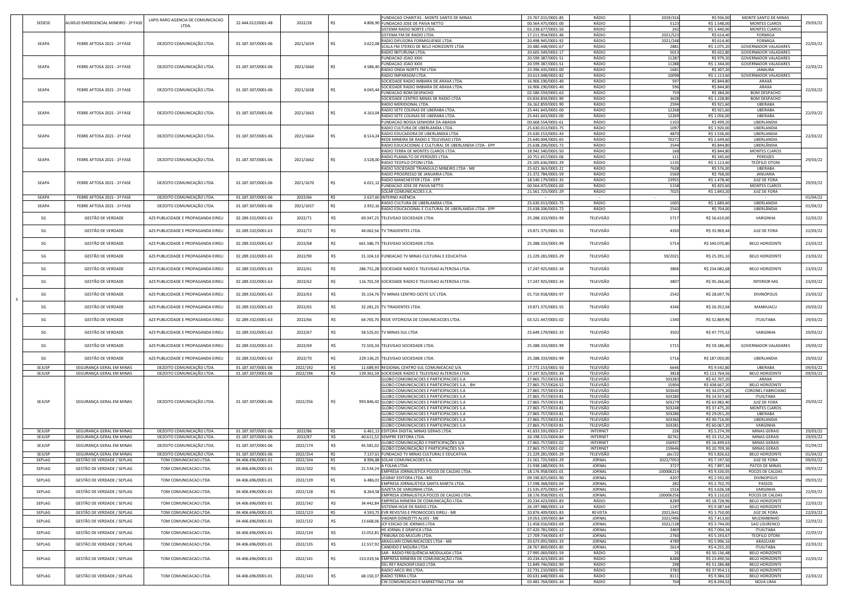| SEDESE           | AUXÍLIO EMERGENCIAL MINEIRO - 2ª FASE                | LAPIS RARO AGENCIA DE COMUNICACAO                    | 22.444.012/0001-48                       | 2022/28            |            |                 | <b>FUNDACAO CHARITAS - MONTE SANTO DE MINAS</b><br>4.806,90 FUNDACAO JOSE DE PAIVA NETTO           | 23.767.015/0001-85<br>00.564.475/0001-00 | RÁDIO<br>RÁDIO              | 2019/316<br>5123     | R\$ 936,00<br>R\$ 1.548,00     | MONTE SANTO DE MINAS<br><b>MONTES CLAROS</b>               | 29/03/22             |
|------------------|------------------------------------------------------|------------------------------------------------------|------------------------------------------|--------------------|------------|-----------------|----------------------------------------------------------------------------------------------------|------------------------------------------|-----------------------------|----------------------|--------------------------------|------------------------------------------------------------|----------------------|
|                  |                                                      | LTDA.                                                |                                          |                    |            |                 | SISTEMA RADIO NORTE LTDA.                                                                          | 03.238.677/0001-50                       | RÁDIO                       | 242                  | R\$ 1.440,00                   | <b>MONTES CLAROS</b>                                       |                      |
|                  |                                                      |                                                      |                                          |                    |            |                 | SISTEMA FM DE RADIO LTDA.<br>RADIO DIFUSORA FORMIGUENSE LTDA.                                      | 17.211.954/0001-46<br>20.498.945/0001-92 | RÁDIO<br>RÁDIO              | 2021/523<br>2021/248 | R\$ 614,40<br>R\$ 614,40       | <b>FORMIGA</b><br><b>FORMIGA</b>                           |                      |
| SEAPA            | FEBRE AFTOSA 2021 - 2ª FASE                          | DEZOITO COMUNICAÇÃO LTDA.                            | 01.187.307/0001-06                       | 2021/1659          | R\$        |                 | 3.622,08 SCALA FM STEREO DE BELO HORIZONTE LTDA                                                    | 20.480.448/0001-67                       | RÁDIO                       | 2881                 | R\$ 1.075,20                   | <b>GOVERNADOR VALADARES</b>                                | 22/03/22             |
|                  |                                                      |                                                      |                                          |                    |            |                 | RADIO IBITURUNA LTDA.                                                                              | 20.605.549/0001-17                       | RÁDIO                       | 5013                 | R\$ 652,80                     | <b>GOVERNADOR VALADARES</b>                                |                      |
|                  |                                                      |                                                      |                                          |                    |            |                 | <b>FUNDACAO JOAO XXIII</b><br><b>FUNDACAO JOAO XXIII</b>                                           | 20.599.387/0001-51<br>20.599.387/0001-51 | RÁDIO<br>RÁDIO              | 11287<br>11288       | R\$ 979,20<br>R\$ 1.344,00     | <b>GOVERNADOR VALADARES</b><br><b>GOVERNADOR VALADARES</b> |                      |
| SEAPA            | FEBRE AFTOSA 2021 - 2ª FASE                          | DEZOITO COMUNICAÇÃO LTDA.                            | 01.187.307/0001-06                       | 2021/1660          | R\$        |                 | RADIO ONDA NORTE FM LTDA                                                                           | 23.396.435/0001-00                       | RÁDIO                       | 1681                 | R\$ 307,20                     | JANAUBA                                                    | 22/03/22             |
|                  |                                                      |                                                      |                                          |                    |            |                 | <b>RADIO IMPARSOM LTDA.</b><br>SOCIEDADE RADIO IMBIARA DE ARAXA LTDA                               | 20.613.048/0001-82<br>16.906.190/0001-40 | RÁDIO<br>RÁDIO              | 10098<br>597         | R\$ 1.113,60<br>R\$ 844,80     | <b>GOVERNADOR VALADARES</b><br>ARAXÁ                       |                      |
| SEAPA            | FEBRE AFTOSA 2021 - 2ª FASE                          | DEZOITO COMUNICAÇÃO LTDA                             | 01.187.307/0001-06                       | 2021/1658          | R\$        | 4.045,44        | SOCIEDADE RADIO IMBIARA DE ARAXA LTDA                                                              | 16.906.190/0001-40                       | RÁDIO                       | 596                  | R\$ 844,80                     | ARAXA                                                      | 22/03/22             |
|                  |                                                      |                                                      |                                          |                    |            |                 | <b>FUNDACAO BOM DESPACHO</b><br>SOCIEDADE CENTRO MINAS DE RADIO LTDA                               | 02.580.559/0001-63<br>03.834.834/0001-90 | RÁDIO<br>RÁDIO              | 759<br>3628          | R\$ 384,00<br>R\$ 1.228,80     | <b>BOM DESPACHO</b><br><b>BOM DESPACHO</b>                 |                      |
|                  |                                                      |                                                      |                                          |                    |            |                 | <b>RADIO MERIDIONAL LTDA.</b>                                                                      | 26.162.859/0001-90                       | RÁDIO                       | 2594                 | R\$ 921,60                     | <b>UBERABA</b>                                             |                      |
| SEAPA            | FEBRE AFTOSA 2021 - 2ª FASE                          | DEZOITO COMUNICAÇÃO LTDA.                            | 01.187.307/0001-06                       | 2021/1663          | R\$        | $4.163.04 \Box$ | RADIO SETE COLINAS DE UBERABA LTDA.<br>RADIO SETE COLINAS DE UBERABA LTDA                          | 25.441.643/0001-00<br>25.441.643/0001-00 | RÁDIO<br>RÁDIO              | 12268<br>12269       | R\$ 921,60<br>R\$ 1.056,00     | <b>UBERABA</b><br><b>UBERABA</b>                           | 22/03/22             |
|                  |                                                      |                                                      |                                          |                    |            |                 | <b>FUNDACAO NOSSA SENHORA DA ABADIA</b>                                                            | 00.668.554/0001-61                       | RÁDIO                       | 1103                 | R\$499,20                      | UBERLANDIA                                                 |                      |
|                  |                                                      |                                                      |                                          |                    |            |                 | RADIO CULTURA DE UBERLANDIA LTDA.                                                                  | 25.630.013/0001-75                       | RÁDIO                       | 1097                 | R\$ 1.920,00                   | UBERLANDIA                                                 |                      |
| SEAPA            | FEBRE AFTOSA 2021 - 2ª FASE                          | DEZOITO COMUNICAÇÃO LTDA.                            | 01.187.307/0001-06                       | 2021/1664          | R\$        | 8.514,24        | RADIO EDUCADORA DE UBERLANDIA LTDA<br>REDE MINEIRA DE RADIO E TELEVISAO LTDA                       | 25.630.153/0001-43<br>25.640.004/0001-65 | RÁDIO<br>RÁDIO              | 4870<br>70272        | R\$ 1.536,00<br>R\$ 2.649,60   | UBERLANDIA<br>UBERLANDIA                                   | 22/03/22             |
|                  |                                                      |                                                      |                                          |                    |            |                 | RADIO EDUCACIONAL E CULTURAL DE UBERLANDIA LTDA - EPP                                              | 25.638.206/0001-72                       | RÁDIO                       | 2544                 | R\$ 844,80                     | UBERLÂNDIA                                                 |                      |
|                  |                                                      |                                                      |                                          |                    |            |                 | RADIO TERRA DE MONTES CLAROS LTDA.<br>RADIO PLANALTO DE PERDIZES LTDA.                             | 18.942.540/0001-50<br>20.751.657/0001-06 | RÁDIO<br>RÁDIO              | 168<br>111           | R\$ 844,80<br>R\$ 345,60       | <b>MONTES CLAROS</b><br>PERDIZES                           |                      |
| SEAPA            | FEBRE AFTOSA 2021 - 2ª FASE                          | DEZOITO COMUNICAÇÃO LTDA.                            | 01.187.307/0001-06                       | 2021/1662          | R\$        |                 | RADIO TEOFILO OTONI LTDA.                                                                          | 25.105.636/0001-29                       | RÁDIO                       | 1135                 | R\$ 1.113,60                   | TEÓFILO OTONI                                              | 29/03/22             |
|                  |                                                      |                                                      |                                          |                    |            |                 | RADIO SOCIEDADE TRIANGULO MINEIRO LTDA - ME<br>RADIO PROGRESSO DE JANUARIA LTDA.                   | 25.421.363/0001-21<br>21.372.784/0001-59 | RÁDIO<br>RÁDIO              | 7638<br>5569         | R\$ 576,00<br>R\$ 768,00       | UBERABA<br><b>JANUARIA</b>                                 |                      |
| SEAPA            | FEBRE AFTOSA 2021 - 2ª FASE                          | DEZOITO COMUNICAÇÃO LTDA.                            | 01.187.307/0001-06                       | 2021/1670          | R\$        |                 | RADIO MANCHESTER LTDA - EPP                                                                        | 18.540.179/0001-35                       | RÁDIO                       | 23955                | R\$ 1.478,40                   | JUIZ DE FORA                                               | 29/03/22             |
|                  |                                                      |                                                      |                                          |                    |            |                 | 6.021,12 FUNDACAO JOSE DE PAIVA NETTO<br>SOLAR COMUNICACOES S.A.                                   | 00.564.475/0001-00<br>21.561.725/0001-29 | RÁDIO<br>RÁDIO              | 5158<br>7025         | R\$ 825,60<br>R\$ 1.843,20     | <b>MONTES CLAROS</b><br>JUIZ DE FORA                       |                      |
| SEAPA            | FEBRE AFTOSA 2021 - 2ª FASE                          | DEZOITO COMUNICAÇÃO LTDA                             | 01.187.307/0001-06                       | 2022/66            | R\$        |                 | 2.637,60 INTERNO AGÊNCIA                                                                           |                                          |                             |                      |                                |                                                            | 01/04/22             |
| SEAPA            | FEBRE AFTOSA 2021 - 2ª FASE                          | DEZOITO COMUNICAÇÃO LTDA.                            | 01.187.307/0001-06                       | 2021/1657          | R\$        | 2.932,16        | RADIO CULTURA DE UBERLANDIA LTDA.<br>RADIO EDUCACIONAL E CULTURAL DE UBERLANDIA LTDA - EPP         | 25.630.013/0001-75<br>25.638.206/0001-72 | RÁDIO<br>RÁDIO              | 1005<br>2543         | R\$ 1.689,60<br>R\$ 704,00     | UBERLANDIA<br>UBERLÂNDIA                                   | 01/04/22             |
|                  |                                                      |                                                      |                                          |                    |            |                 |                                                                                                    |                                          |                             |                      |                                |                                                            |                      |
| SG               | <b>GESTÃO DE VERDADE</b>                             | AZ3 PUBLICIDADE E PROPAGANDA EIREL                   | 02.289.332/0001-63                       | 2022/71            |            |                 | 69.347,25 TELEVISAO SOCIEDADE LTDA.                                                                | 25.288.333/0001-99                       | TELEVISÃO                   | 571                  | R\$ 56.610,00                  | VARGINHA                                                   | 22/03/22             |
| SG               | <b>GESTÃO DE VERDADE</b>                             | AZ3 PUBLICIDADE E PROPAGANDA EIREL                   | 02.289.332/0001-63                       | 2022/72            |            |                 | 44.062,56 TV TIRADENTES LTDA.                                                                      | 19.871.375/0001-55                       | TELEVISÃO                   | 4350                 | R\$ 35.969,44                  | <b>JUIZ DE FORA</b>                                        | 22/03/22             |
| SG               | <b>GESTÃO DE VERDADE</b>                             | AZ3 PUBLICIDADE E PROPAGANDA EIRELI                  | 02.289.332/0001-63                       | 2022/68            | -R\$       |                 | 661.586,73 TELEVISAO SOCIEDADE LTDA.                                                               | 25.288.333/0001-99                       | TELEVISÃO                   | 5714                 | R\$ 540.070,80                 | <b>BELO HORIZONTE</b>                                      | 23/03/22             |
|                  |                                                      |                                                      |                                          |                    |            |                 |                                                                                                    |                                          |                             |                      |                                |                                                            |                      |
| SG               | <b>GESTÃO DE VERDADE</b>                             | AZ3 PUBLICIDADE E PROPAGANDA EIREL                   | 02.289.332/0001-63                       | 2022/90            |            |                 | 31.104,10 FUNDACAO TV MINAS CULTURAL E EDUCATIVA                                                   | 21.229.281/0001-29                       | TELEVISÃO                   | 59/202               | R\$ 25.391,1                   | <b>BELO HORIZONTE</b>                                      | 23/03/22             |
| SG               | GESTÃO DE VERDADE                                    | AZ3 PUBLICIDADE E PROPAGANDA EIRELI                  | 02.289.332/0001-63                       | 2022/61            | -RS        |                 | 286.751,28 SOCIEDADE RADIO E TELEVISAO ALTEROSA LTDA.                                              | 17.247.925/0001-34                       | TELEVISÃO                   | 3806                 | R\$ 234.082,68                 | <b>BELO HORIZONTE</b>                                      | 23/03/22             |
| SG               | GESTÃO DE VERDADE                                    | AZ3 PUBLICIDADE E PROPAGANDA EIRELI                  | 02.289.332/0001-63                       | 2022/62            | -R\$       |                 | 116.701,59 SOCIEDADE RADIO E TELEVISAO ALTEROSA LTDA.                                              | 17.247.925/0001-34                       | TELEVISÃO                   | 380                  | R\$ 95.266,60                  | <b>INTERIOR MG</b>                                         | 23/03/22             |
| SG               | GESTÃO DE VERDADE                                    | AZ3 PUBLICIDADE E PROPAGANDA EIREL                   | 02.289.332/0001-63                       | 2022/63            |            |                 | 35.154,76 TV MINAS CENTRO-OESTE S/C LTDA.                                                          | 01.710.918/0001-97                       | TELEVISÃO                   | 2542                 | R\$ 28.697,7                   | DIVINÓPOLIS                                                | 23/03/22             |
| SG               | <b>GESTÃO DE VERDADE</b>                             | AZ3 PUBLICIDADE E PROPAGANDA EIREL                   | 02.289.332/0001-63                       | 2022/65            |            |                 | 32.281,25 TV TIRADENTES LTDA.                                                                      | 19.871.375/0001-55                       | TELEVISÃO                   | 434                  | R\$ 26.352,04                  | MANHUACU                                                   | 29/03/22             |
| SG               | GESTÃO DE VERDADE                                    | AZ3 PUBLICIDADE E PROPAGANDA EIREL                   | 02.289.332/0001-63                       | 2022/66            | -R\$       |                 | 64.765,70 REDE VITORIOSA DE COMUNICACOES LTDA                                                      | 03.521.447/0001-02                       | TELEVISÃO                   | 1340                 | R\$ 52.869,96                  | <b>ITUIUTABA</b>                                           | 29/03/22             |
| SG               | GESTÃO DE VERDADE                                    | AZ3 PUBLICIDADE E PROPAGANDA EIREL                   | 02.289.332/0001-63                       | 2022/67            | -R\$       |                 | 58.525,01 TV MINAS SUL LTDA                                                                        | 25.649.179/0001-33                       | TELEVISÃO                   | 3502                 | R\$47.775,52                   | VARGINHA                                                   | 29/03/22             |
| SG               | GESTÃO DE VERDADE                                    | AZ3 PUBLICIDADE E PROPAGANDA EIREL                   | 02.289.332/0001-63                       | 2022/69            |            |                 | 72.503,34 TELEVISAO SOCIEDADE LTDA.                                                                | 25.288.333/0001-99                       | TELEVISÃO                   | 571                  | R\$ 59.186,40                  | <b>GOVERNADOR VALADARES</b>                                | 29/03/22             |
| SG               | <b>GESTÃO DE VERDADE</b>                             | AZ3 PUBLICIDADE E PROPAGANDA EIRELI                  | 02.289.332/0001-63                       | 2022/70            | -R\$       |                 | 229.136,25 TELEVISAO SOCIEDADE LTDA.                                                               | 25.288.333/0001-99                       | TELEVISÃO                   | 5716                 | R\$ 187.050,00                 | UBERLANDIA                                                 | 29/03/22             |
| SEJUSP           | SEGURANÇA GERAL EM MINAS                             | DEZOITO COMUNICAÇÃO LTDA.                            | 01.187.307/0001-06                       | 2022/192           | R\$        |                 | 11.689,93 REGIONAL CENTRO SUL COMUNICACAO S/A.                                                     | 17.772.153/0001-50                       | TELEVISÃO                   | 6646                 | R\$ 9.542,80                   | <b>UBERABA</b>                                             | 09/03/22             |
| SEJUSP           | SEGURANÇA GERAL EM MINAS                             | DEZOITO COMUNICAÇÃO LTDA.                            | 01.187.307/0001-06                       | 2022/196           |            |                 | 139.361,59 SOCIEDADE RADIO E TELEVISAO ALTEROSA LTDA.                                              | 17.247.925/0001-34                       | TELEVISÃO                   | 3818                 | R\$ 113.764,56                 | <b>BELO HORIZONTE</b>                                      | 09/03/22             |
|                  |                                                      |                                                      |                                          |                    |            |                 | <b>GLOBO COMUNICACOES E PARTICIPACOES S.A</b><br>GLOBO COMUNICACOES E PARTICIPACOES S.A. - BH      | 27.865.757/0033-81<br>27.865.757/0026-52 | TELEVISÃO<br>TELEVISÃO      | 503283<br>15904      | R\$42.707,20<br>R\$438.667,20  | ARAXA<br><b>BELO HORIZONTE</b>                             |                      |
|                  |                                                      |                                                      |                                          |                    |            |                 | <b>GLOBO COMUNICACOES E PARTICIPACOES S.A</b>                                                      | 27.865.757/0033-81                       | TELEVISÃO                   | 503640               | R\$ 34.079,20                  | <b>CORONEL FABRICIANO</b>                                  |                      |
| SEJUSP           | SEGURANÇA GERAL EM MINAS                             | DEZOITO COMUNICAÇÃO LTDA.                            | 01.187.307/0001-06                       | 2022/256           | R\$        |                 | <b>GLOBO COMUNICACOES E PARTICIPACOES S.A</b><br>993.846,42 GLOBO COMUNICACOES E PARTICIPACOES S.A | 27.865.757/0033-81<br>27.865.757/0033-81 | TELEVISÃO<br>TELEVISÃO      | 503280<br>503279     | R\$ 14.557,60<br>R\$ 63.982,40 | <b>ITUIUTABA</b><br>JUIZ DE FORA                           | 29/03/22             |
|                  |                                                      |                                                      |                                          |                    |            |                 | <b>GLOBO COMUNICACOES E PARTICIPACOES S.A</b>                                                      | 27.865.757/0033-81                       | TELEVISÃO                   | 503248               | R\$ 37.475,20                  | <b>MONTES CLAROS</b>                                       |                      |
|                  |                                                      |                                                      |                                          |                    |            |                 | <b>GLOBO COMUNICACOES E PARTICIPACOES S.A</b><br><b>GLOBO COMUNICACOES E PARTICIPACOES S.A</b>     | 27.865.757/0033-81<br>27.865.757/0033-81 | TELEVISÃO<br>TELEVISÃO      | 503286<br>503360     | R\$ 29.051,20<br>R\$ 90.716,00 | UBERABA<br><b>UBERLANDIA</b>                               |                      |
|                  |                                                      |                                                      |                                          |                    |            |                 | <b>GLOBO COMUNICACOES E PARTICIPACOES S.A</b>                                                      | 27.865.757/0033-81                       | TELEVISÃO                   | 503281               | R\$ 60.067,20                  | VARGINHA                                                   |                      |
| SEJUSP<br>SEJUSP | SEGURANÇA GERAL EM MINAS<br>SEGURANÇA GERAL EM MINAS | DEZOITO COMUNICAÇÃO LTDA<br>DEZOITO COMUNICAÇÃO LTDA | 01.187.307/0001-06<br>01.187.307/0001-06 | 2022/86<br>2022/87 | R\$<br>R\$ |                 | 6.461,13 EDITORA DIGITAL MINAS GERAIS LTDA.<br>40.611,52 SEMPRE EDITORA LTDA.                      | 41.833.591/0003-27<br>26.198.515/0004-84 | INTERNET<br><b>INTERNET</b> | -226<br>82761        | R\$ 5.274,39<br>R\$ 33.152,26  | <b>MINAS GERAIS</b><br><b>MINAS GERAIS</b>                 | 29/03/22<br>29/03/22 |
| SEJUSP           | SEGURANÇA GERAL EM MINAS                             | DEZOITO COMUNICAÇÃO LTDA.                            | 01.187.307/0001-06                       | 2022/174           | R\$        |                 | 45.581,02 GLOBO COMUNICAÇÃO E PARTICIPAÇÕES S/A                                                    | 27.865.757/0001-02                       | <b>INTERNET</b>             | 156937               | R\$ 16.499,63                  | <b>MINAS GERAIS</b>                                        | 01/04/22             |
| SEJUSP           | SEGURANÇA GERAL EM MINAS                             | DEZOITO COMUNICAÇÃO LTDA                             | 01.187.307/0001-06                       | 2022/254           | R\$        |                 | GLOBO COMUNICAÇÃO E PARTICIPAÇÕES S/A<br>7.137,61 FUNDACAO TV MINAS CULTURAL E EDUCATIVA           | 27.865.757/0001-02<br>21.229.281/0001-29 | INTERNET<br>TELEVISÃO       | 159646<br>abr/22     | R\$ 20.709,36<br>R\$ 5.826,62  | <b>MINAS GERAIS</b><br><b>BELO HORIZONTE</b>               | 01/04/22             |
| SEPLAG           | GESTÃO DE VERDADE / SEPLAG                           | TOM COMUNICACAO LTDA.                                | 04.406.696/0001-01                       | 2022/104           | R\$        |                 | 8.996,88 SOLAR COMUNICACOES S.A.                                                                   | 21.561.725/0001-29                       | JORNAL                      | 2022/7053            | R\$ 7.197,50                   | JUIZ DE FORA                                               | 09/03/22             |
| SEPLAG           | GESTÃO DE VERDADE / SEPLAG                           | TOM COMUNICACAO LTDA.                                | 04.406.696/0001-01                       | 2022/102           | R\$        | 21.534,24       | A FOLHA LTDA.<br>EMPRESA JORNALISTICA POCOS DE CALDAS LTDA.                                        | 21.938.188/0001-93<br>18.176.958/0001-01 | JORNAL<br>JORNAL            | 3727<br>100006214    | R\$ 7.897,34<br>R\$ 9.330,05   | PATOS DE MINAS<br>POCOS DE CALDAS                          | 09/03/22             |
| SEPLAG           | GESTÃO DE VERDADE / SEPLAG                           | TOM COMUNICACAO LTDA.                                | 04.406.696/0001-01                       | 2022/139           |            | 6.486,01        | LEGRAF EDITORA LTDA - ME<br>EMPRESA JORNALISTICA SANTA MARTA LTDA.                                 | 09.190.825/0001-90<br>17.598.368/0001-04 | JORNAL<br>JORNAL            | 4207<br>282          | R\$ 2.592,00<br>R\$ 2.702,70   | <b>DIVINOPOLIS</b><br>PASSOS                               | 09/03/22             |
| SEPLAG           | GESTÃO DE VERDADE / SEPLAG                           | TOM COMUNICACAO LTDA.                                | 04.406.696/0001-01                       | 2022/128           |            | 8.264,58        | <b>GAZETA DE VARGINHA LTDA.</b>                                                                    | 21.535.075/0001-47                       | JORNAL                      | 1516                 | R\$ 3.636,58                   | VARGINHA                                                   | 22/03/22             |
|                  |                                                      |                                                      |                                          |                    |            |                 | EMPRESA JORNALISTICA POCOS DE CALDAS LTDA.<br>EMPRESA MINEIRA DE COMUNICAÇÃO LTDA                  | 18.176.958/0001-01<br>20.234.423/0001-83 | JORNAL<br>RÁDIO             | 100006256<br>8289    | R\$ 3.110,02<br>R\$ 18.728,96  | POCOS DE CALDAS<br><b>BELO HORIZONTE</b>                   |                      |
|                  |                                                      | TOM COMUNICACAO LTDA.                                | 04.406.696/0001-01                       | 2022/142           |            | 34.442,84 ⊨     | SISTEMA HOJE DE RADIO LTDA.                                                                        | 26.197.988/0001-14                       | RÁDIO                       | 1197                 | R\$ 9.387,64                   | <b>BELO HORIZONTE</b>                                      | 22/03/22             |
| SEPLAG           | GESTÃO DE VERDADE / SEPLAG                           |                                                      |                                          |                    | R\$        |                 | 4.593,75 EVR REVISTAS E PROMOCOES EIRELI - ME                                                      | 20.876.409/0001-83                       | REVISTA                     | 2021/641             | R\$ 3.750,00                   | JUIZ DE FORA                                               | 22/03/22             |
| SEPLAG           | GESTÃO DE VERDADE / SEPLAG                           | TOM COMUNICACAO LTDA.                                | 04.406.696/0001-01                       | 2022/123           |            |                 | VAGNER DONIZETTI ALVES - ME                                                                        | 19.053.339/0001-84                       | JORNAL                      |                      | R\$ 7.413,60                   | MUZAMBINHO                                                 |                      |
| SEPLAG           | GESTÃO DE VERDADE / SEPLAG                           | TOM COMUNICACAO LTDA.                                | 04.406.696/0001-01                       | 2022/132           |            | 13.668,06       | JCP EDICAO DE JORNAIS LTDA                                                                         | 11.458.016/0001-69                       | JORNAL                      | 2021/496<br>2021/138 | R\$ 3.744,00                   | SAO LOURENCO                                               | 22/03/22             |
| SEPLAG           | GESTÃO DE VERDADE / SEPLAG                           | TOM COMUNICACAO LTDA.                                | 04.406.696/0001-01                       | 2022/134           |            | 15.052,81       | HS JORNAL E GRÁFICA LTDA<br>TRIBUNA DO MUCURI LTDA.                                                | 07.420.781/0001-12<br>17.709.734/0001-47 | JORNAL<br>JORNAL            | 3469<br>2760         | R\$ 7.094,34<br>R\$ 5.193,67   | <b>ITUIUTABA</b><br><b>TEOFILO OTONI</b>                   | 22/03/22             |
| SEPLAG           | GESTÃO DE VERDADE / SEPLAG                           | TOM COMUNICACAO LTDA.                                | 04.406.696/0001-01                       | 2022/135           |            | 12.557,92       | ARAGUARI COMUNICACOES LTDA - ME                                                                    | 20.673.091/0001-33                       | JORNAL                      | 4789                 | R\$ 5.996,1                    | ARAGUARI                                                   | 22/03/22             |
|                  |                                                      |                                                      |                                          |                    |            |                 | CANDIDO E MOURA LTDA<br>SAR - RÁDIO FREQUÊNCIA MODULADA LTDA                                       | 28.767.869/0001-85<br>27.995.069/0001-59 | JORNAL<br>RÁDIO             | 2614                 | R\$4.255,20<br>R\$ 50.136,48   | <b>ITUIUTABA</b><br><b>BELO HORIZONTE</b>                  |                      |
| SEPLAG           | GESTÃO DE VERDADE / SEPLAG                           | TOM COMUNICACAO LTDA.                                | 04.406.696/0001-01                       | 2022/141           | R\$        |                 | 153.019,56 EMPRESA MINEIRA DE COMUNICAÇÃO LTDA<br>DEL REY RADIODIFUSAO LTDA                        | 20.234.423/0001-83                       | RÁDIO                       | 8288<br>298L         | R\$ 23.490,56                  | <b>BELO HORIZONTE</b>                                      | 22/03/22             |
|                  |                                                      |                                                      |                                          |                    |            |                 | RADIO ARCO IRIS LTDA.                                                                              | 11.849.746/0001-90<br>22.731.210/0001-92 | RÁDIO<br>RÁDIO              | 3783                 | R\$ 51.286,88<br>R\$ 37.954,11 | <b>BELO HORIZONTE</b><br><b>BELO HORIZONTE</b>             |                      |
| SEPLAG           | GESTÃO DE VERDADE / SEPLAG                           | TOM COMUNICACAO LTDA.                                | 04.406.696/0001-01                       | 2022/143           | R\$        |                 | 68.150,37 RADIO TERRA LTDA<br>CW COMUNICACAO E MARKETING LTDA - ME                                 | 00.631.648/0001-66<br>03.481.764/0001-34 | RÁDIO<br>RÁDIO              | 8111<br>704          | R\$ 9.384,32<br>R\$ 8.294,52   | <b>BELO HORIZONTE</b><br>NOVA LIMA                         | 22/03/22             |